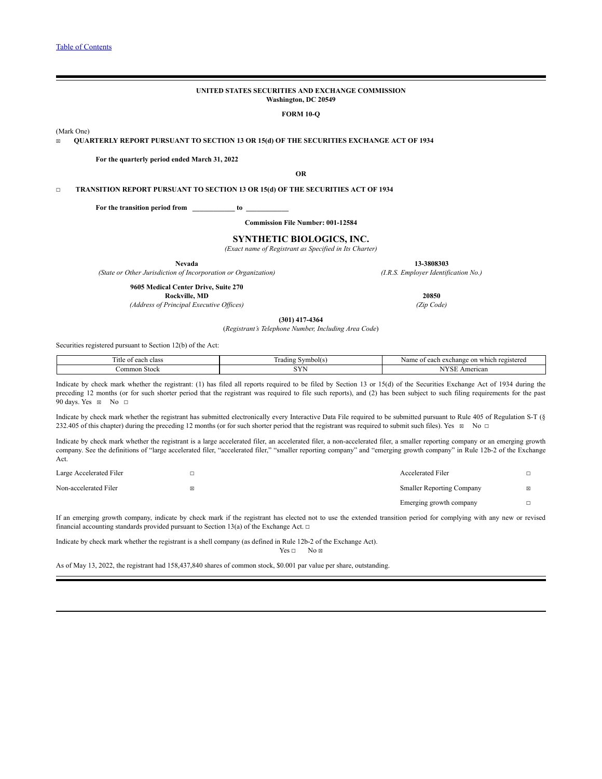## **UNITED STATES SECURITIES AND EXCHANGE COMMISSION Washington, DC 20549**

**FORM 10-Q**

(Mark One)

☒ **QUARTERLY REPORT PURSUANT TO SECTION 13 OR 15(d) OF THE SECURITIES EXCHANGE ACT OF 1934**

**For the quarterly period ended March 31, 2022**

**OR**

☐ **TRANSITION REPORT PURSUANT TO SECTION 13 OR 15(d) OF THE SECURITIES ACT OF 1934**

For the transition period from \_\_\_\_\_\_\_\_\_\_\_\_\_ to \_

**Commission File Number: 001-12584**

### **SYNTHETIC BIOLOGICS, INC.**

*(Exact name of Registrant as Specified in Its Charter)*

**Nevada 13-3808303**

*(State or Other Jurisdiction of Incorporation or Organization) (I.R.S. Employer Identification No.)*

**9605 Medical Center Drive, Suite 270 Rockville, MD 20850**

*(Address of Principal Executive Offices) (Zip Code)*

**(301) 417-4364**

(*Registrant's Telephone Number, Including Area Code*)

Securities registered pursuant to Section 12(b) of the Act:

| itle<br>ı clas<br>ΩŤ<br>ca <sub>11</sub><br>. | radıng.<br>: Symbol(s | Name.<br>. exchang<br>h registered<br>on<br>≅ whic…<br>each<br>OТ |
|-----------------------------------------------|-----------------------|-------------------------------------------------------------------|
| `ommon-<br><b>Stock</b>                       | $\bigcap$<br>.        | $+ + -$<br>American<br>- 31 F                                     |

Indicate by check mark whether the registrant: (1) has filed all reports required to be filed by Section 13 or 15(d) of the Securities Exchange Act of 1934 during the preceding 12 months (or for such shorter period that the registrant was required to file such reports), and (2) has been subject to such filing requirements for the past 90 days. Yes  $\boxtimes$  No  $\Box$ 

Indicate by check mark whether the registrant has submitted electronically every Interactive Data File required to be submitted pursuant to Rule 405 of Regulation S-T (§ 232.405 of this chapter) during the preceding 12 months (or for such shorter period that the registrant was required to submit such files). Yes ⊠ No □

Indicate by check mark whether the registrant is a large accelerated filer, an accelerated filer, a non-accelerated filer, a smaller reporting company or an emerging growth company. See the definitions of "large accelerated filer, "accelerated filer," "smaller reporting company" and "emerging growth company" in Rule 12b-2 of the Exchange Act.

| Large Accelerated Filer | Accelerated Filer                |  |
|-------------------------|----------------------------------|--|
| Non-accelerated Filer   | <b>Smaller Reporting Company</b> |  |
|                         | Emerging growth company          |  |

If an emerging growth company, indicate by check mark if the registrant has elected not to use the extended transition period for complying with any new or revised financial accounting standards provided pursuant to Section 13(a) of the Exchange Act.  $□$ 

Indicate by check mark whether the registrant is a shell company (as defined in Rule 12b-2 of the Exchange Act).

 $Yes \Box$  No  $\boxtimes$ 

As of May 13, 2022, the registrant had 158,437,840 shares of common stock, \$0.001 par value per share, outstanding.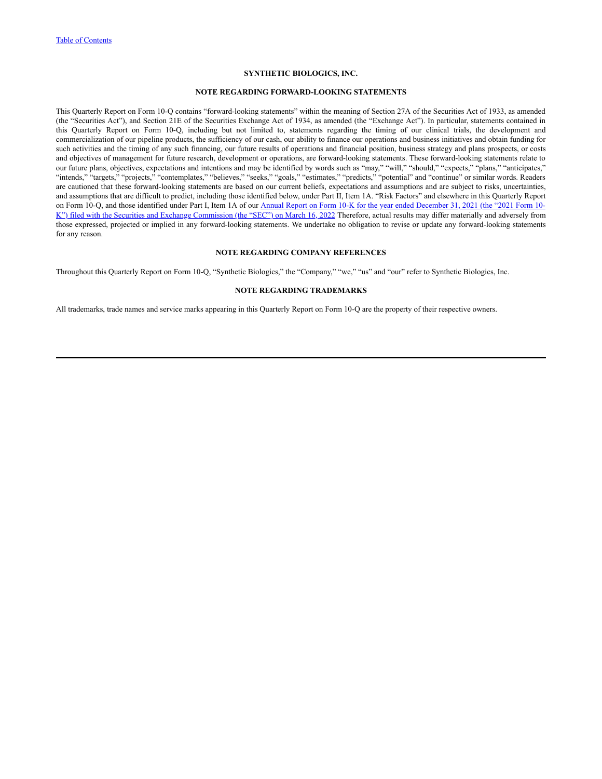## **SYNTHETIC BIOLOGICS, INC.**

## **NOTE REGARDING FORWARD-LOOKING STATEMENTS**

This Quarterly Report on Form 10-Q contains "forward-looking statements" within the meaning of Section 27A of the Securities Act of 1933, as amended (the "Securities Act"), and Section 21E of the Securities Exchange Act of 1934, as amended (the "Exchange Act"). In particular, statements contained in this Quarterly Report on Form 10-Q, including but not limited to, statements regarding the timing of our clinical trials, the development and commercialization of our pipeline products, the sufficiency of our cash, our ability to finance our operations and business initiatives and obtain funding for such activities and the timing of any such financing, our future results of operations and financial position, business strategy and plans prospects, or costs and objectives of management for future research, development or operations, are forward-looking statements. These forward-looking statements relate to our future plans, objectives, expectations and intentions and may be identified by words such as "may," "will," "should," "expects," "plans," "anticipates," "intends," "targets," "projects," "contemplates," "believes," "seeks," "goals," "estimates," "predicts," "potential" and "continue" or similar words. Readers are cautioned that these forward-looking statements are based on our current beliefs, expectations and assumptions and are subject to risks, uncertainties, and assumptions that are difficult to predict, including those identified below, under Part II, Item 1A. "Risk Factors" and elsewhere in this Quarterly Report on Form 10-Q, and those identified under Part I, Item 1A of our Annual Report on Form 10-K for the year ended December 31, 2021 (the "2021 Form 10-K") filed with the Securities and Exchange [Commission](https://www.sec.gov/ix?doc=/Archives/edgar/data/894158/000141057822000405/syn-20211231x10k.htm) (the "SEC") on March 16, 2022 Therefore, actual results may differ materially and adversely from those expressed, projected or implied in any forward-looking statements. We undertake no obligation to revise or update any forward-looking statements for any reason.

## **NOTE REGARDING COMPANY REFERENCES**

Throughout this Quarterly Report on Form 10-Q, "Synthetic Biologics," the "Company," "we," "us" and "our" refer to Synthetic Biologics, Inc.

## **NOTE REGARDING TRADEMARKS**

All trademarks, trade names and service marks appearing in this Quarterly Report on Form 10-Q are the property of their respective owners.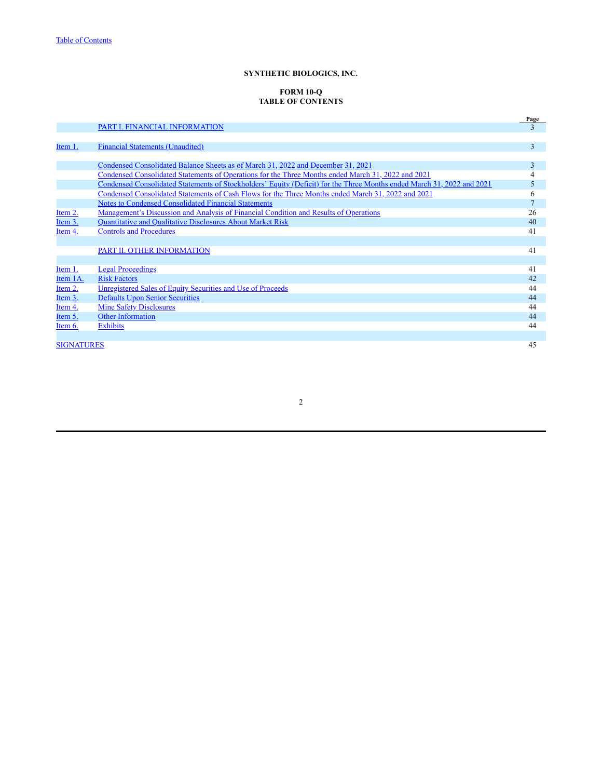# **SYNTHETIC BIOLOGICS, INC.**

#### **FORM 10-Q TABLE OF CONTENTS**

<span id="page-2-0"></span>

|                   |                                                                                                                        | Page         |
|-------------------|------------------------------------------------------------------------------------------------------------------------|--------------|
|                   | PART I. FINANCIAL INFORMATION                                                                                          | $\mathbf{3}$ |
|                   |                                                                                                                        |              |
| Item 1.           | <b>Financial Statements (Unaudited)</b>                                                                                | 3            |
|                   |                                                                                                                        |              |
|                   | Condensed Consolidated Balance Sheets as of March 31, 2022 and December 31, 2021                                       | 3            |
|                   | Condensed Consolidated Statements of Operations for the Three Months ended March 31, 2022 and 2021                     | 4            |
|                   | Condensed Consolidated Statements of Stockholders' Equity (Deficit) for the Three Months ended March 31, 2022 and 2021 | 5            |
|                   | Condensed Consolidated Statements of Cash Flows for the Three Months ended March 31, 2022 and 2021                     | 6            |
|                   | Notes to Condensed Consolidated Financial Statements                                                                   |              |
| Item $2.$         | <u>Management's Discussion and Analysis of Financial Condition and Results of Operations</u>                           | 26           |
| Item 3.           | Quantitative and Qualitative Disclosures About Market Risk                                                             | 40           |
| Item 4.           | <b>Controls and Procedures</b>                                                                                         | 41           |
|                   |                                                                                                                        |              |
|                   | PART II. OTHER INFORMATION                                                                                             | 41           |
|                   |                                                                                                                        |              |
| Item $1$ .        | <b>Legal Proceedings</b>                                                                                               | 41           |
| Item 1A.          | <b>Risk Factors</b>                                                                                                    | 42           |
| Item $2.$         | Unregistered Sales of Equity Securities and Use of Proceeds                                                            | 44           |
| Item $3.$         | <b>Defaults Upon Senior Securities</b>                                                                                 | 44           |
| Item 4.           | <b>Mine Safety Disclosures</b>                                                                                         | 44           |
| Item 5.           | Other Information                                                                                                      | 44           |
| Item 6.           | <b>Exhibits</b>                                                                                                        | 44           |
|                   |                                                                                                                        |              |
| <b>SIGNATURES</b> |                                                                                                                        | 45           |
|                   |                                                                                                                        |              |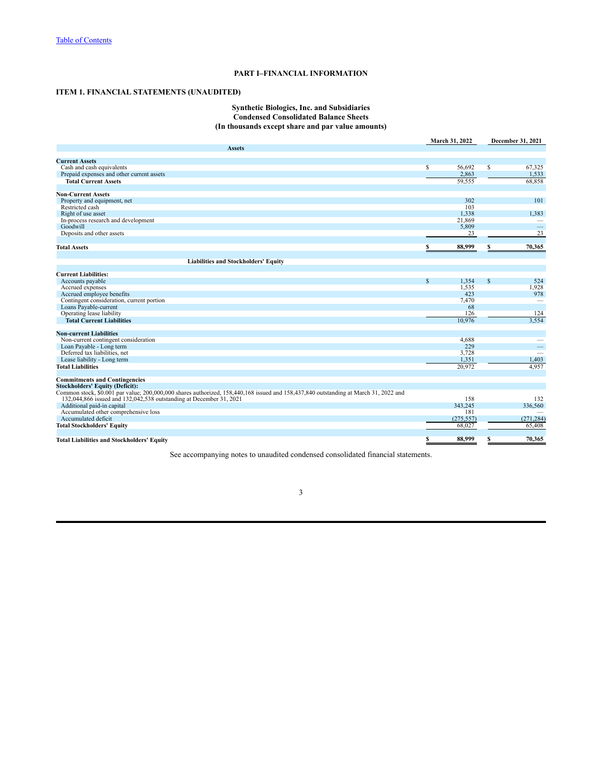## **PART I–FINANCIAL INFORMATION**

# <span id="page-3-2"></span><span id="page-3-1"></span><span id="page-3-0"></span>**ITEM 1. FINANCIAL STATEMENTS (UNAUDITED)**

## **Synthetic Biologics, Inc. and Subsidiaries Condensed Consolidated Balance Sheets (In thousands except share and par value amounts)**

|                                                                                                                                      |                         | March 31, 2022 |                         | <b>December 31, 2021</b> |
|--------------------------------------------------------------------------------------------------------------------------------------|-------------------------|----------------|-------------------------|--------------------------|
| <b>Assets</b>                                                                                                                        |                         |                |                         |                          |
| <b>Current Assets</b>                                                                                                                |                         |                |                         |                          |
| Cash and cash equivalents                                                                                                            | $\overline{\mathbf{s}}$ | 56.692         | $\overline{\mathbf{s}}$ | 67,325                   |
| Prepaid expenses and other current assets                                                                                            |                         | 2,863          |                         | 1,533                    |
| <b>Total Current Assets</b>                                                                                                          |                         | 59.555         |                         | 68,858                   |
|                                                                                                                                      |                         |                |                         |                          |
| <b>Non-Current Assets</b>                                                                                                            |                         |                |                         |                          |
| Property and equipment, net                                                                                                          |                         | 302            |                         | 101                      |
| Restricted cash                                                                                                                      |                         | 103            |                         |                          |
| Right of use asset                                                                                                                   |                         | 1,338          |                         | 1,383                    |
| In-process research and development                                                                                                  |                         | 21,869         |                         | -                        |
| Goodwill                                                                                                                             |                         | 5,809          |                         |                          |
| Deposits and other assets                                                                                                            |                         | 23             |                         | 23                       |
|                                                                                                                                      |                         |                |                         |                          |
| <b>Total Assets</b>                                                                                                                  |                         | 88,999         |                         | 70.365                   |
| <b>Liabilities and Stockholders' Equity</b>                                                                                          |                         |                |                         |                          |
|                                                                                                                                      |                         |                |                         |                          |
| <b>Current Liabilities:</b>                                                                                                          |                         |                |                         |                          |
| Accounts payable                                                                                                                     | $\mathbf S$             | 1.354          | $\mathbf{s}$            | 524                      |
| Accrued expenses                                                                                                                     |                         | 1,535          |                         | 1,928                    |
| Accrued employee benefits                                                                                                            |                         | 423            |                         | 978                      |
| Contingent consideration, current portion                                                                                            |                         | 7,470          |                         | $\overline{\phantom{a}}$ |
| Loans Payable-current                                                                                                                |                         | 68             |                         |                          |
| Operating lease liability                                                                                                            |                         | 126            |                         | 124                      |
| <b>Total Current Liabilities</b>                                                                                                     |                         | 10.976         |                         | 3,554                    |
| <b>Non-current Liabilities</b>                                                                                                       |                         |                |                         |                          |
| Non-current contingent consideration                                                                                                 |                         | 4,688          |                         |                          |
| Loan Payable - Long term                                                                                                             |                         | 229            |                         |                          |
| Deferred tax liabilities, net                                                                                                        |                         | 3,728          |                         |                          |
| Lease liability - Long term                                                                                                          |                         | 1.351          |                         | 1,403                    |
| <b>Total Liabilities</b>                                                                                                             |                         | 20,972         |                         | 4,957                    |
|                                                                                                                                      |                         |                |                         |                          |
| <b>Commitments and Contingencies</b>                                                                                                 |                         |                |                         |                          |
| <b>Stockholders' Equity (Deficit):</b>                                                                                               |                         |                |                         |                          |
| Common stock, \$0.001 par value; 200,000,000 shares authorized, 158,440,168 issued and 158,437,840 outstanding at March 31, 2022 and |                         |                |                         |                          |
| 132,044,866 issued and 132,042,538 outstanding at December 31, 2021                                                                  |                         | 158            |                         | 132                      |
| Additional paid-in capital                                                                                                           |                         | 343,245        |                         | 336,560                  |
| Accumulated other comprehensive loss                                                                                                 |                         | 181            |                         |                          |
| Accumulated deficit                                                                                                                  |                         | (275, 557)     |                         | (271, 284)               |
| <b>Total Stockholders' Equity</b>                                                                                                    |                         | 68.027         |                         | 65.408                   |
| <b>Total Liabilities and Stockholders' Equity</b>                                                                                    |                         | 88,999         |                         | 70,365                   |
|                                                                                                                                      |                         |                |                         |                          |

See accompanying notes to unaudited condensed consolidated financial statements.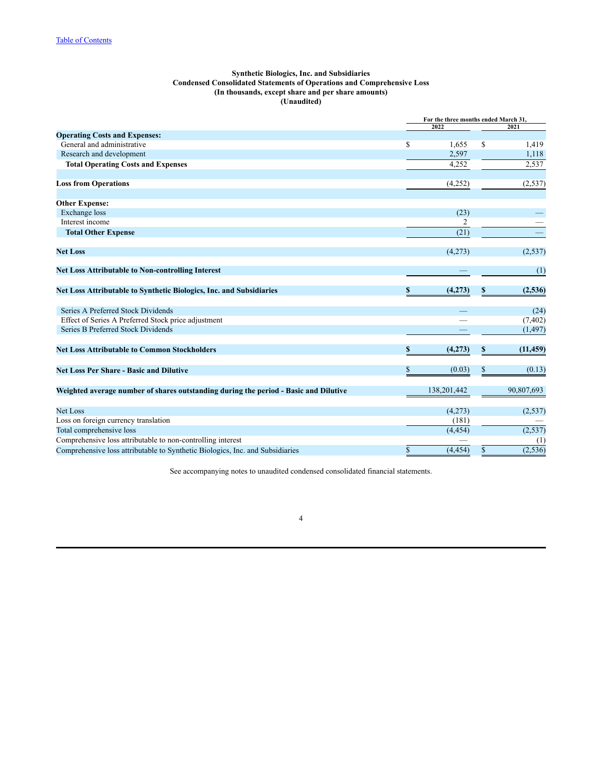## **Synthetic Biologics, Inc. and Subsidiaries Condensed Consolidated Statements of Operations and Comprehensive Loss (In thousands, except share and per share amounts) (Unaudited)**

<span id="page-4-0"></span>

|                                                                                      | For the three months ended March 31, |    |            |  |  |
|--------------------------------------------------------------------------------------|--------------------------------------|----|------------|--|--|
|                                                                                      | 2022                                 |    | 2021       |  |  |
| <b>Operating Costs and Expenses:</b>                                                 |                                      |    |            |  |  |
| General and administrative                                                           | \$<br>1.655                          | \$ | 1,419      |  |  |
| Research and development                                                             | 2,597                                |    | 1,118      |  |  |
| <b>Total Operating Costs and Expenses</b>                                            | 4.252                                |    | 2,537      |  |  |
| <b>Loss from Operations</b>                                                          | (4,252)                              |    | (2, 537)   |  |  |
| <b>Other Expense:</b>                                                                |                                      |    |            |  |  |
| <b>Exchange</b> loss                                                                 | (23)                                 |    |            |  |  |
| Interest income                                                                      | 2                                    |    |            |  |  |
| <b>Total Other Expense</b>                                                           | (21)                                 |    |            |  |  |
| <b>Net Loss</b>                                                                      | (4,273)                              |    | (2,537)    |  |  |
| <b>Net Loss Attributable to Non-controlling Interest</b>                             |                                      |    | (1)        |  |  |
| Net Loss Attributable to Synthetic Biologics, Inc. and Subsidiaries                  | \$<br>(4,273)                        | \$ | (2,536)    |  |  |
| Series A Preferred Stock Dividends                                                   |                                      |    | (24)       |  |  |
| Effect of Series A Preferred Stock price adjustment                                  |                                      |    | (7, 402)   |  |  |
| Series B Preferred Stock Dividends                                                   |                                      |    | (1, 497)   |  |  |
| <b>Net Loss Attributable to Common Stockholders</b>                                  | \$<br>(4,273)                        | \$ | (11, 459)  |  |  |
| <b>Net Loss Per Share - Basic and Dilutive</b>                                       | \$<br>(0.03)                         | \$ | (0.13)     |  |  |
| Weighted average number of shares outstanding during the period - Basic and Dilutive | 138,201,442                          |    | 90,807,693 |  |  |
| <b>Net Loss</b>                                                                      | (4,273)                              |    | (2,537)    |  |  |
| Loss on foreign currency translation                                                 | (181)                                |    |            |  |  |
| Total comprehensive loss                                                             | (4, 454)                             |    | (2, 537)   |  |  |
| Comprehensive loss attributable to non-controlling interest                          |                                      |    | (1)        |  |  |
| Comprehensive loss attributable to Synthetic Biologics, Inc. and Subsidiaries        | \$<br>(4, 454)                       | \$ | (2, 536)   |  |  |
|                                                                                      |                                      |    |            |  |  |

See accompanying notes to unaudited condensed consolidated financial statements.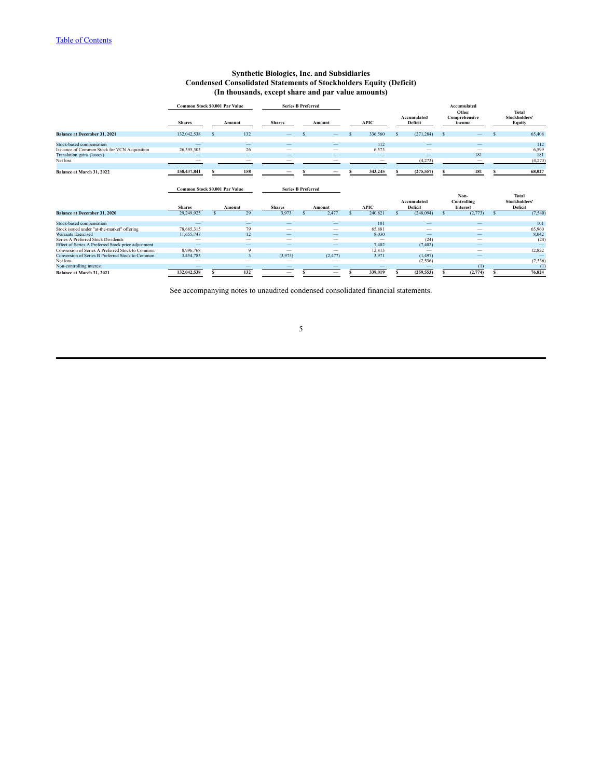### **Synthetic Biologics, Inc. and Subsidiaries Condensed Consolidated Statements of Stockholders Equity (Deficit) (In thousands, except share and par value amounts)**

<span id="page-5-0"></span>

|                                                                                           | <b>Common Stock \$0.001 Par Value</b> |                                |               | <b>Series B Preferred</b> |                          |                                   |   |                          | Accumulated                      |                                         |
|-------------------------------------------------------------------------------------------|---------------------------------------|--------------------------------|---------------|---------------------------|--------------------------|-----------------------------------|---|--------------------------|----------------------------------|-----------------------------------------|
|                                                                                           | <b>Shares</b>                         | Amount                         | <b>Shares</b> |                           | Amount                   | <b>APIC</b>                       |   | Accumulated<br>Deficit   | Other<br>Comprehensive<br>income | <b>Total</b><br>Stockholders'<br>Equity |
| <b>Balance at December 31, 2021</b>                                                       | 132,042,538                           | 132                            |               |                           |                          | 336,560                           | s | (271, 284)               |                                  | 65,408                                  |
| Stock-based compensation                                                                  |                                       |                                |               |                           |                          | 112                               |   |                          |                                  | 112                                     |
| Issuance of Common Stock for VCN Acquisition                                              | 26,395,303                            | 26                             | -             |                           |                          | 6,573                             |   |                          | -                                | 6,599                                   |
| Translation gains (losses)                                                                |                                       | $\overline{\phantom{a}}$       | -             |                           |                          | $\overline{\phantom{a}}$          |   | –                        | 181                              | 181                                     |
| Net loss                                                                                  |                                       | -                              |               |                           |                          | $\overline{\phantom{a}}$          |   | (4,273)                  | -                                | (4,273)                                 |
|                                                                                           |                                       |                                |               |                           |                          |                                   |   |                          |                                  |                                         |
| Balance at March 31, 2022                                                                 | 158,437,841                           | 158                            |               |                           |                          | 343,245                           |   | (275, 557)               | 181                              | 68,027                                  |
|                                                                                           |                                       |                                |               |                           |                          |                                   |   |                          |                                  |                                         |
|                                                                                           | <b>Common Stock \$0.001 Par Value</b> |                                |               | <b>Series B Preferred</b> |                          |                                   |   |                          |                                  |                                         |
|                                                                                           |                                       |                                |               |                           |                          |                                   |   |                          |                                  |                                         |
|                                                                                           | <b>Shares</b>                         | Amount                         | <b>Shares</b> |                           | <b>Amount</b>            | <b>APIC</b>                       |   | Accumulated<br>Deficit   | Non-<br>Controlling<br>Interest  | Total<br>Stockholders'<br>Deficit       |
| <b>Balance at December 31, 2020</b>                                                       | 29,249,925                            | 29                             | 3,973         |                           | 2,477                    | 240,821                           |   | (248,094)                | (2,773)                          | (7,540)                                 |
|                                                                                           |                                       |                                |               |                           |                          |                                   |   |                          |                                  |                                         |
| Stock-based compensation                                                                  |                                       |                                | -             |                           |                          | 101                               |   | -                        |                                  | 101                                     |
| Stock issued under "at-the-market" offering                                               | 78,685,315                            | 79                             | -             |                           |                          | 65,881                            |   |                          |                                  | 65,960                                  |
| <b>Warrants Exercised</b>                                                                 | 11,655,747                            | 12<br>$\overline{\phantom{0}}$ | -             |                           | $\overline{\phantom{a}}$ | 8,030<br>$\overline{\phantom{a}}$ |   |                          | -                                | 8,042                                   |
| Series A Preferred Stock Dividends<br>Effect of Series A Preferred Stock price adjustment |                                       |                                |               |                           | $\overline{\phantom{a}}$ | 7,402                             |   | (24)<br>(7, 402)         |                                  | (24)                                    |
| Conversion of Series A Preferred Stock to Common                                          | 8,996,768                             | $^{\circ}$                     |               |                           | $\overline{\phantom{a}}$ | 12,813                            |   | $\overline{\phantom{a}}$ |                                  |                                         |
| Conversion of Series B Preferred Stock to Common                                          | 3,454,783                             | $\mathbf{3}$                   | (3,973)       |                           | (2, 477)                 | 3,971                             |   | (1, 497)                 |                                  | 12,822                                  |
| Net loss                                                                                  |                                       |                                | -             |                           |                          |                                   |   | (2, 536)                 |                                  | (2, 536)                                |
| Non-controlling interest                                                                  |                                       |                                |               |                           | $\overline{\phantom{a}}$ | 339,019                           |   | (259, 553)               | (1)<br>(2,774)                   | (1)<br>76,824                           |

See accompanying notes to unaudited condensed consolidated financial statements.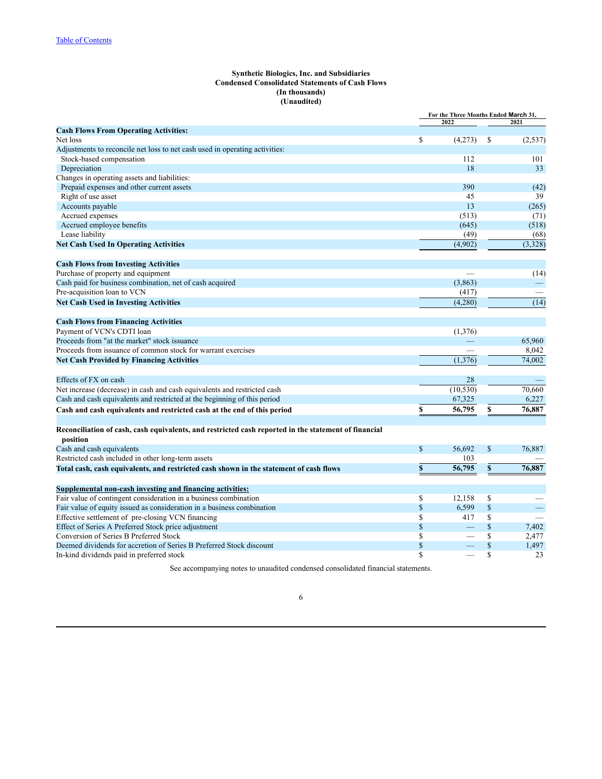### **Synthetic Biologics, Inc. and Subsidiaries Condensed Consolidated Statements of Cash Flows (In thousands) (Unaudited)**

<span id="page-6-0"></span>

|                                                                                                                  | For the Three Months Ended March 31, |                          |              |         |
|------------------------------------------------------------------------------------------------------------------|--------------------------------------|--------------------------|--------------|---------|
|                                                                                                                  |                                      | 2022                     |              | 2021    |
| <b>Cash Flows From Operating Activities:</b><br>Net loss                                                         | \$                                   | (4,273)                  | S            | (2,537) |
| Adjustments to reconcile net loss to net cash used in operating activities:                                      |                                      |                          |              |         |
| Stock-based compensation                                                                                         |                                      | 112                      |              | 101     |
| Depreciation                                                                                                     |                                      | 18                       |              | 33      |
| Changes in operating assets and liabilities:                                                                     |                                      |                          |              |         |
| Prepaid expenses and other current assets                                                                        |                                      | 390                      |              | (42)    |
| Right of use asset                                                                                               |                                      | 45                       |              | 39      |
| Accounts payable                                                                                                 |                                      | 13                       |              | (265)   |
| Accrued expenses                                                                                                 |                                      | (513)                    |              | (71)    |
| Accrued employee benefits                                                                                        |                                      | (645)                    |              | (518)   |
| Lease liability                                                                                                  |                                      | (49)                     |              | (68)    |
| <b>Net Cash Used In Operating Activities</b>                                                                     |                                      | (4,902)                  |              | (3,328) |
|                                                                                                                  |                                      |                          |              |         |
| <b>Cash Flows from Investing Activities</b>                                                                      |                                      |                          |              |         |
| Purchase of property and equipment                                                                               |                                      |                          |              | (14)    |
| Cash paid for business combination, net of cash acquired                                                         |                                      | (3,863)                  |              |         |
| Pre-acquisition loan to VCN                                                                                      |                                      | (417)                    |              |         |
| <b>Net Cash Used in Investing Activities</b>                                                                     |                                      | (4,280)                  |              | (14)    |
| <b>Cash Flows from Financing Activities</b>                                                                      |                                      |                          |              |         |
| Payment of VCN's CDTI loan                                                                                       |                                      | (1,376)                  |              |         |
| Proceeds from "at the market" stock issuance                                                                     |                                      |                          |              | 65,960  |
| Proceeds from issuance of common stock for warrant exercises                                                     |                                      |                          |              | 8,042   |
| <b>Net Cash Provided by Financing Activities</b>                                                                 |                                      | (1,376)                  |              | 74,002  |
| Effects of FX on cash                                                                                            |                                      | 28                       |              |         |
| Net increase (decrease) in cash and cash equivalents and restricted cash                                         |                                      | (10, 530)                |              | 70,660  |
| Cash and cash equivalents and restricted at the beginning of this period                                         |                                      | 67,325                   |              | 6,227   |
|                                                                                                                  |                                      |                          |              |         |
| Cash and cash equivalents and restricted cash at the end of this period                                          | \$                                   | 56,795                   | \$           | 76,887  |
| Reconciliation of cash, cash equivalents, and restricted cash reported in the statement of financial<br>position |                                      |                          |              |         |
| Cash and cash equivalents                                                                                        | \$                                   | 56,692                   | $\$$         | 76,887  |
| Restricted cash included in other long-term assets                                                               |                                      | 103                      |              |         |
| Total cash, cash equivalents, and restricted cash shown in the statement of cash flows                           | \$                                   | 56,795                   | \$           | 76,887  |
|                                                                                                                  |                                      |                          |              |         |
| Supplemental non-cash investing and financing activities:                                                        |                                      |                          |              |         |
| Fair value of contingent consideration in a business combination                                                 | \$                                   | 12,158                   | \$           |         |
| Fair value of equity issued as consideration in a business combination                                           | \$                                   | 6,599                    | $\mathbb{S}$ |         |
| Effective settlement of pre-closing VCN financing                                                                | \$                                   | 417                      | \$           |         |
| Effect of Series A Preferred Stock price adjustment                                                              | \$                                   |                          | $\mathbb{S}$ | 7,402   |
| Conversion of Series B Preferred Stock                                                                           | \$                                   |                          | \$           | 2,477   |
| Deemed dividends for accretion of Series B Preferred Stock discount                                              | \$                                   | $\overline{\phantom{0}}$ | \$           | 1,497   |
| In-kind dividends paid in preferred stock                                                                        | \$                                   |                          | \$           | 23      |

See accompanying notes to unaudited condensed consolidated financial statements.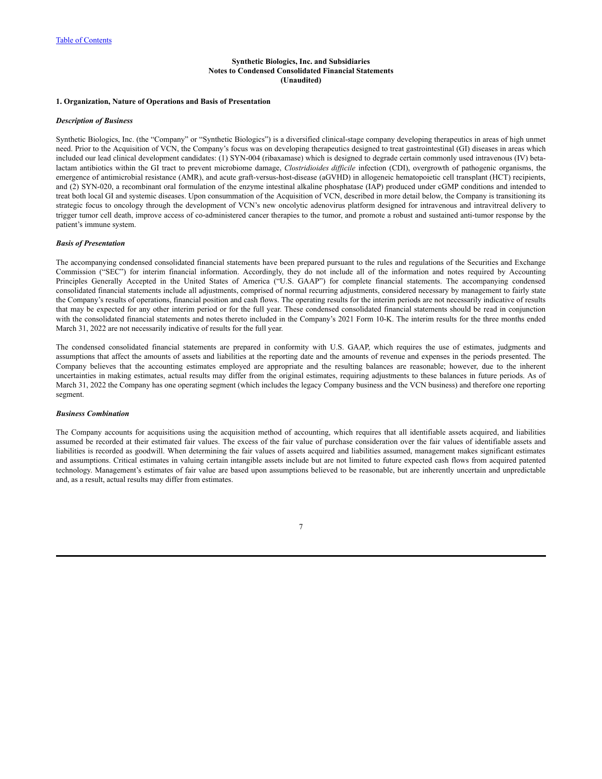#### <span id="page-7-0"></span>**1. Organization, Nature of Operations and Basis of Presentation**

#### *Description of Business*

Synthetic Biologics, Inc. (the "Company" or "Synthetic Biologics") is a diversified clinical-stage company developing therapeutics in areas of high unmet need. Prior to the Acquisition of VCN, the Company's focus was on developing therapeutics designed to treat gastrointestinal (GI) diseases in areas which included our lead clinical development candidates: (1) SYN-004 (ribaxamase) which is designed to degrade certain commonly used intravenous (IV) betalactam antibiotics within the GI tract to prevent microbiome damage, *Clostridioides dif icile* infection (CDI), overgrowth of pathogenic organisms, the emergence of antimicrobial resistance (AMR), and acute graft-versus-host-disease (aGVHD) in allogeneic hematopoietic cell transplant (HCT) recipients, and (2) SYN-020, a recombinant oral formulation of the enzyme intestinal alkaline phosphatase (IAP) produced under cGMP conditions and intended to treat both local GI and systemic diseases. Upon consummation of the Acquisition of VCN, described in more detail below, the Company is transitioning its strategic focus to oncology through the development of VCN's new oncolytic adenovirus platform designed for intravenous and intravitreal delivery to trigger tumor cell death, improve access of co-administered cancer therapies to the tumor, and promote a robust and sustained anti-tumor response by the patient's immune system.

#### *Basis of Presentation*

The accompanying condensed consolidated financial statements have been prepared pursuant to the rules and regulations of the Securities and Exchange Commission ("SEC") for interim financial information. Accordingly, they do not include all of the information and notes required by Accounting Principles Generally Accepted in the United States of America ("U.S. GAAP") for complete financial statements. The accompanying condensed consolidated financial statements include all adjustments, comprised of normal recurring adjustments, considered necessary by management to fairly state the Company's results of operations, financial position and cash flows. The operating results for the interim periods are not necessarily indicative of results that may be expected for any other interim period or for the full year. These condensed consolidated financial statements should be read in conjunction with the consolidated financial statements and notes thereto included in the Company's 2021 Form 10-K. The interim results for the three months ended March 31, 2022 are not necessarily indicative of results for the full year.

The condensed consolidated financial statements are prepared in conformity with U.S. GAAP, which requires the use of estimates, judgments and assumptions that affect the amounts of assets and liabilities at the reporting date and the amounts of revenue and expenses in the periods presented. The Company believes that the accounting estimates employed are appropriate and the resulting balances are reasonable; however, due to the inherent uncertainties in making estimates, actual results may differ from the original estimates, requiring adjustments to these balances in future periods. As of March 31, 2022 the Company has one operating segment (which includes the legacy Company business and the VCN business) and therefore one reporting segment.

#### *Business Combination*

The Company accounts for acquisitions using the acquisition method of accounting, which requires that all identifiable assets acquired, and liabilities assumed be recorded at their estimated fair values. The excess of the fair value of purchase consideration over the fair values of identifiable assets and liabilities is recorded as goodwill. When determining the fair values of assets acquired and liabilities assumed, management makes significant estimates and assumptions. Critical estimates in valuing certain intangible assets include but are not limited to future expected cash flows from acquired patented technology. Management's estimates of fair value are based upon assumptions believed to be reasonable, but are inherently uncertain and unpredictable and, as a result, actual results may differ from estimates.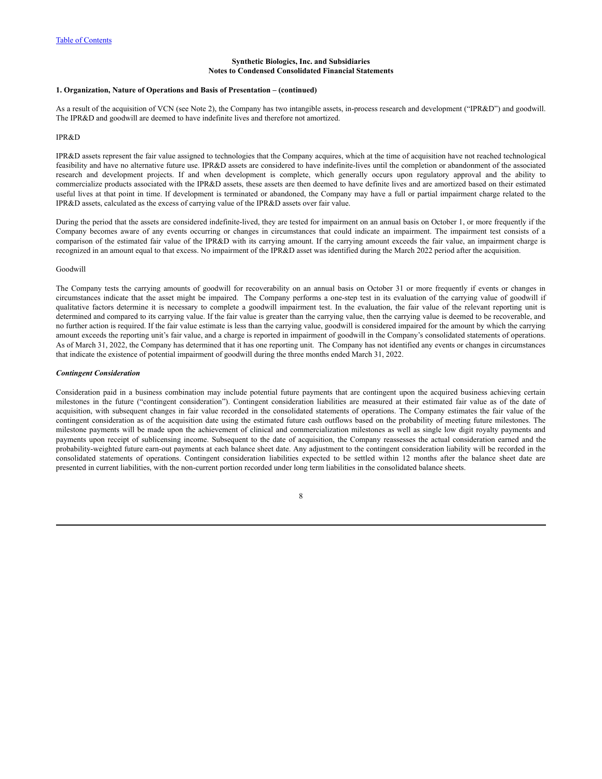#### **1. Organization, Nature of Operations and Basis of Presentation – (continued)**

As a result of the acquisition of VCN (see Note 2), the Company has two intangible assets, in-process research and development ("IPR&D") and goodwill. The IPR&D and goodwill are deemed to have indefinite lives and therefore not amortized.

#### IPR&D

IPR&D assets represent the fair value assigned to technologies that the Company acquires, which at the time of acquisition have not reached technological feasibility and have no alternative future use. IPR&D assets are considered to have indefinite-lives until the completion or abandonment of the associated research and development projects. If and when development is complete, which generally occurs upon regulatory approval and the ability to commercialize products associated with the IPR&D assets, these assets are then deemed to have definite lives and are amortized based on their estimated useful lives at that point in time. If development is terminated or abandoned, the Company may have a full or partial impairment charge related to the IPR&D assets, calculated as the excess of carrying value of the IPR&D assets over fair value.

During the period that the assets are considered indefinite-lived, they are tested for impairment on an annual basis on October 1, or more frequently if the Company becomes aware of any events occurring or changes in circumstances that could indicate an impairment. The impairment test consists of a comparison of the estimated fair value of the IPR&D with its carrying amount. If the carrying amount exceeds the fair value, an impairment charge is recognized in an amount equal to that excess. No impairment of the IPR&D asset was identified during the March 2022 period after the acquisition.

#### Goodwill

The Company tests the carrying amounts of goodwill for recoverability on an annual basis on October 31 or more frequently if events or changes in circumstances indicate that the asset might be impaired. The Company performs a one-step test in its evaluation of the carrying value of goodwill if qualitative factors determine it is necessary to complete a goodwill impairment test. In the evaluation, the fair value of the relevant reporting unit is determined and compared to its carrying value. If the fair value is greater than the carrying value, then the carrying value is deemed to be recoverable, and no further action is required. If the fair value estimate is less than the carrying value, goodwill is considered impaired for the amount by which the carrying amount exceeds the reporting unit's fair value, and a charge is reported in impairment of goodwill in the Company's consolidated statements of operations. As of March 31, 2022, the Company has determined that it has one reporting unit. The Company has not identified any events or changes in circumstances that indicate the existence of potential impairment of goodwill during the three months ended March 31, 2022.

#### *Contingent Consideration*

Consideration paid in a business combination may include potential future payments that are contingent upon the acquired business achieving certain milestones in the future ("contingent consideration"). Contingent consideration liabilities are measured at their estimated fair value as of the date of acquisition, with subsequent changes in fair value recorded in the consolidated statements of operations. The Company estimates the fair value of the contingent consideration as of the acquisition date using the estimated future cash outflows based on the probability of meeting future milestones. The milestone payments will be made upon the achievement of clinical and commercialization milestones as well as single low digit royalty payments and payments upon receipt of sublicensing income. Subsequent to the date of acquisition, the Company reassesses the actual consideration earned and the probability-weighted future earn-out payments at each balance sheet date. Any adjustment to the contingent consideration liability will be recorded in the consolidated statements of operations. Contingent consideration liabilities expected to be settled within 12 months after the balance sheet date are presented in current liabilities, with the non-current portion recorded under long term liabilities in the consolidated balance sheets.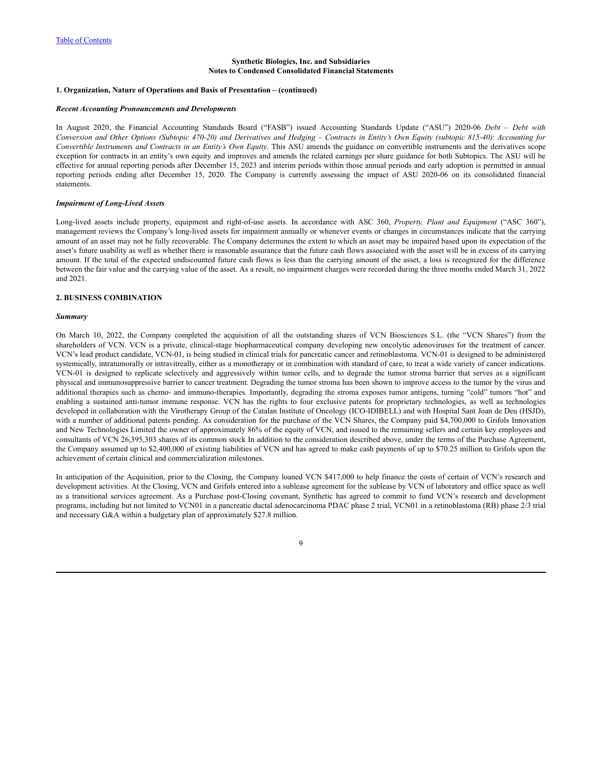#### **1. Organization, Nature of Operations and Basis of Presentation – (continued)**

#### *Recent Accounting Pronouncements and Developments*

In August 2020, the Financial Accounting Standards Board ("FASB") issued Accounting Standards Update ("ASU") 2020-06 *Debt – Debt with* Conversion and Other Options (Subtopic 470-20) and Derivatives and Hedging - Contracts in Entity's Own Equity (subtopic 815-40): Accounting for *Convertible Instruments and Contracts in an Entity's Own Equity*. This ASU amends the guidance on convertible instruments and the derivatives scope exception for contracts in an entity's own equity and improves and amends the related earnings per share guidance for both Subtopics. The ASU will be effective for annual reporting periods after December 15, 2023 and interim periods within those annual periods and early adoption is permitted in annual reporting periods ending after December 15, 2020. The Company is currently assessing the impact of ASU 2020-06 on its consolidated financial statements.

#### *Impairment of Long-Lived Assets*

Long-lived assets include property, equipment and right-of-use assets. In accordance with ASC 360, *Property, Plant and Equipment* ("ASC 360"), management reviews the Company's long-lived assets for impairment annually or whenever events or changes in circumstances indicate that the carrying amount of an asset may not be fully recoverable. The Company determines the extent to which an asset may be impaired based upon its expectation of the asset's future usability as well as whether there is reasonable assurance that the future cash flows associated with the asset will be in excess of its carrying amount. If the total of the expected undiscounted future cash flows is less than the carrying amount of the asset, a loss is recognized for the difference between the fair value and the carrying value of the asset. As a result, no impairment charges were recorded during the three months ended March 31, 2022 and 2021.

## **2. BUSINESS COMBINATION**

#### *Summary*

On March 10, 2022, the Company completed the acquisition of all the outstanding shares of VCN Biosciences S.L. (the "VCN Shares") from the shareholders of VCN. VCN is a private, clinical-stage biopharmaceutical company developing new oncolytic adenoviruses for the treatment of cancer. VCN's lead product candidate, VCN-01, is being studied in clinical trials for pancreatic cancer and retinoblastoma. VCN-01 is designed to be administered systemically, intratumorally or intravitreally, either as a monotherapy or in combination with standard of care, to treat a wide variety of cancer indications. VCN-01 is designed to replicate selectively and aggressively within tumor cells, and to degrade the tumor stroma barrier that serves as a significant physical and immunosuppressive barrier to cancer treatment. Degrading the tumor stroma has been shown to improve access to the tumor by the virus and additional therapies such as chemo- and immuno-therapies. Importantly, degrading the stroma exposes tumor antigens, turning "cold" tumors "hot" and enabling a sustained anti-tumor immune response. VCN has the rights to four exclusive patents for proprietary technologies, as well as technologies developed in collaboration with the Virotherapy Group of the Catalan Institute of Oncology (ICO-IDIBELL) and with Hospital Sant Joan de Deu (HSJD), with a number of additional patents pending. As consideration for the purchase of the VCN Shares, the Company paid \$4,700,000 to Grifols Innovation and New Technologies Limited the owner of approximately 86% of the equity of VCN, and issued to the remaining sellers and certain key employees and consultants of VCN 26,395,303 shares of its common stock In addition to the consideration described above, under the terms of the Purchase Agreement, the Company assumed up to \$2,400,000 of existing liabilities of VCN and has agreed to make cash payments of up to \$70.25 million to Grifols upon the achievement of certain clinical and commercialization milestones.

In anticipation of the Acquisition, prior to the Closing, the Company loaned VCN \$417,000 to help finance the costs of certain of VCN's research and development activities. At the Closing, VCN and Grifols entered into a sublease agreement for the sublease by VCN of laboratory and office space as well as a transitional services agreement. As a Purchase post-Closing covenant, Synthetic has agreed to commit to fund VCN's research and development programs, including but not limited to VCN01 in a pancreatic ductal adenocarcinoma PDAC phase 2 trial, VCN01 in a retinoblastoma (RB) phase 2/3 trial and necessary G&A within a budgetary plan of approximately \$27.8 million.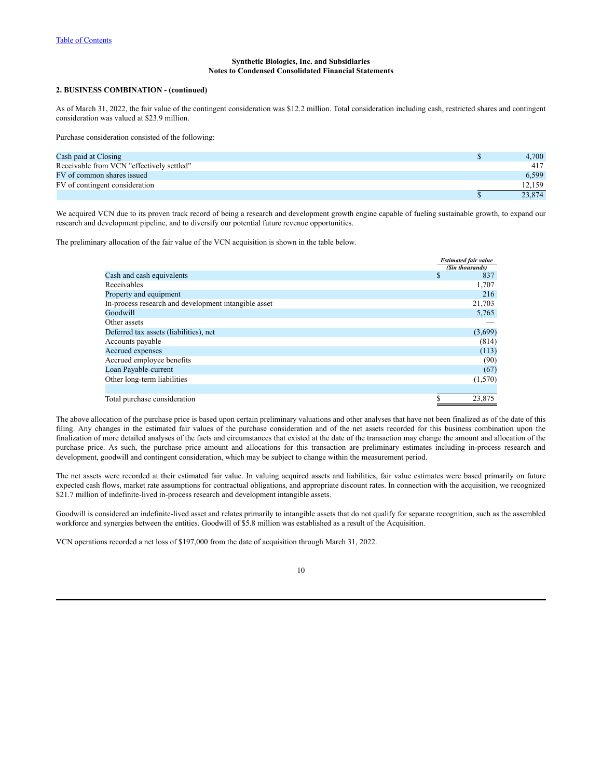## **2. BUSINESS COMBINATION - (continued)**

As of March 31, 2022, the fair value of the contingent consideration was \$12.2 million. Total consideration including cash, restricted shares and contingent consideration was valued at \$23.9 million.

Purchase consideration consisted of the following:

| Cash paid at Closing                      | 4.700  |
|-------------------------------------------|--------|
| Receivable from VCN "effectively settled" | 417    |
| FV of common shares issued                | 6.599  |
| FV of contingent consideration            | 12.159 |
|                                           | 23.874 |

We acquired VCN due to its proven track record of being a research and development growth engine capable of fueling sustainable growth, to expand our research and development pipeline, and to diversify our potential future revenue opportunities.

The preliminary allocation of the fair value of the VCN acquisition is shown in the table below.

|                                                      | <b>Estimated fair value</b> |
|------------------------------------------------------|-----------------------------|
|                                                      | (Sin thousands)             |
| Cash and cash equivalents                            | \$<br>837                   |
| Receivables                                          | 1,707                       |
| Property and equipment                               | 216                         |
| In-process research and development intangible asset | 21,703                      |
| Goodwill                                             | 5,765                       |
| Other assets                                         |                             |
| Deferred tax assets (liabilities), net               | (3,699)                     |
| Accounts payable                                     | (814)                       |
| Accrued expenses                                     | (113)                       |
| Accrued employee benefits                            | (90)                        |
| Loan Payable-current                                 | (67)                        |
| Other long-term liabilities                          | (1,570)                     |
|                                                      |                             |
| Total purchase consideration                         | 23,875                      |

The above allocation of the purchase price is based upon certain preliminary valuations and other analyses that have not been finalized as of the date of this filing. Any changes in the estimated fair values of the purchase consideration and of the net assets recorded for this business combination upon the finalization of more detailed analyses of the facts and circumstances that existed at the date of the transaction may change the amount and allocation of the purchase price. As such, the purchase price amount and allocations for this transaction are preliminary estimates including in-process research and development, goodwill and contingent consideration, which may be subject to change within the measurement period.

The net assets were recorded at their estimated fair value. In valuing acquired assets and liabilities, fair value estimates were based primarily on future expected cash flows, market rate assumptions for contractual obligations, and appropriate discount rates. In connection with the acquisition, we recognized \$21.7 million of indefinite-lived in-process research and development intangible assets.

Goodwill is considered an indefinite-lived asset and relates primarily to intangible assets that do not qualify for separate recognition, such as the assembled workforce and synergies between the entities. Goodwill of \$5.8 million was established as a result of the Acquisition.

VCN operations recorded a net loss of \$197,000 from the date of acquisition through March 31, 2022.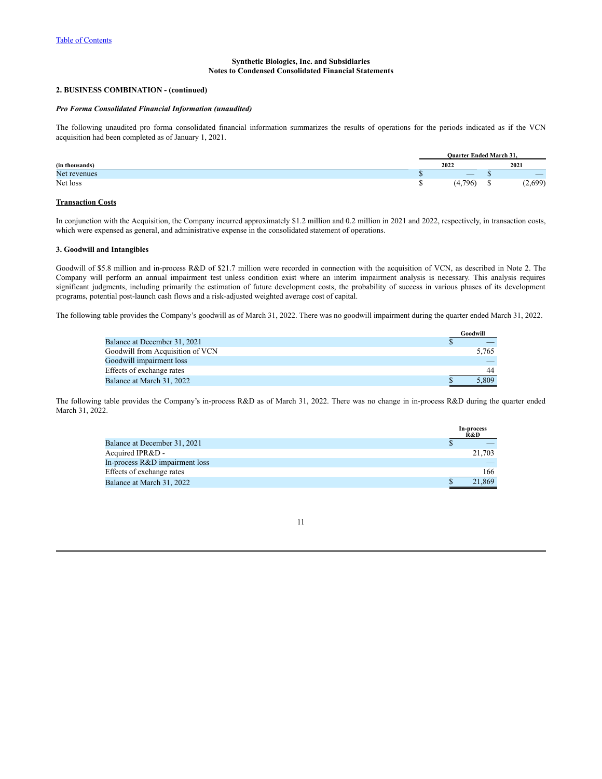## **2. BUSINESS COMBINATION - (continued)**

#### *Pro Forma Consolidated Financial Information (unaudited)*

The following unaudited pro forma consolidated financial information summarizes the results of operations for the periods indicated as if the VCN acquisition had been completed as of January 1, 2021.

|                | <b>Quarter Ended March 31,</b> |         |
|----------------|--------------------------------|---------|
| (in thousands) | 2022                           | 2021    |
| Net revenues   |                                |         |
| Net loss       | (4.796)                        | (2,699) |

## **Transaction Costs**

In conjunction with the Acquisition, the Company incurred approximately \$1.2 million and 0.2 million in 2021 and 2022, respectively, in transaction costs, which were expensed as general, and administrative expense in the consolidated statement of operations.

## **3. Goodwill and Intangibles**

Goodwill of \$5.8 million and in-process R&D of \$21.7 million were recorded in connection with the acquisition of VCN, as described in Note 2. The Company will perform an annual impairment test unless condition exist where an interim impairment analysis is necessary. This analysis requires significant judgments, including primarily the estimation of future development costs, the probability of success in various phases of its development programs, potential post-launch cash flows and a risk-adjusted weighted average cost of capital.

The following table provides the Company's goodwill as of March 31, 2022. There was no goodwill impairment during the quarter ended March 31, 2022.

**Goodwill**

|                                  | Goodwill |
|----------------------------------|----------|
| Balance at December 31, 2021     |          |
| Goodwill from Acquisition of VCN | 5.765    |
| Goodwill impairment loss         |          |
| Effects of exchange rates        | 44       |
| Balance at March 31, 2022        | 5.809    |

The following table provides the Company's in-process R&D as of March 31, 2022. There was no change in in-process R&D during the quarter ended March 31, 2022.

|                                | In-process<br>R&D |
|--------------------------------|-------------------|
| Balance at December 31, 2021   |                   |
| Acquired IPR&D -               | 21,703            |
| In-process R&D impairment loss |                   |
| Effects of exchange rates      | 166               |
| Balance at March 31, 2022      | 21,869            |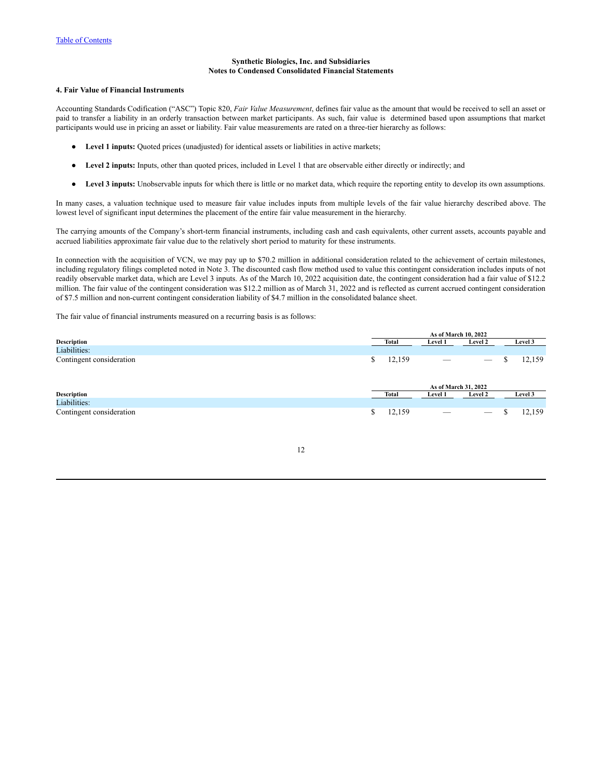## **4. Fair Value of Financial Instruments**

Accounting Standards Codification ("ASC") Topic 820, *Fair Value Measurement*, defines fair value as the amount that would be received to sell an asset or paid to transfer a liability in an orderly transaction between market participants. As such, fair value is determined based upon assumptions that market participants would use in pricing an asset or liability. Fair value measurements are rated on a three-tier hierarchy as follows:

- **Level 1 inputs:** Quoted prices (unadjusted) for identical assets or liabilities in active markets;
- **Level 2 inputs:** Inputs, other than quoted prices, included in Level 1 that are observable either directly or indirectly; and
- Level 3 inputs: Unobservable inputs for which there is little or no market data, which require the reporting entity to develop its own assumptions.

In many cases, a valuation technique used to measure fair value includes inputs from multiple levels of the fair value hierarchy described above. The lowest level of significant input determines the placement of the entire fair value measurement in the hierarchy.

The carrying amounts of the Company's short-term financial instruments, including cash and cash equivalents, other current assets, accounts payable and accrued liabilities approximate fair value due to the relatively short period to maturity for these instruments.

In connection with the acquisition of VCN, we may pay up to \$70.2 million in additional consideration related to the achievement of certain milestones, including regulatory filings completed noted in Note 3. The discounted cash flow method used to value this contingent consideration includes inputs of not readily observable market data, which are Level 3 inputs. As of the March 10, 2022 acquisition date, the contingent consideration had a fair value of \$12.2 million. The fair value of the contingent consideration was \$12.2 million as of March 31, 2022 and is reflected as current accrued contingent consideration of \$7.5 million and non-current contingent consideration liability of \$4.7 million in the consolidated balance sheet.

The fair value of financial instruments measured on a recurring basis is as follows:

|                          |        | <b>As of March 10, 2022</b> |                          |         |
|--------------------------|--------|-----------------------------|--------------------------|---------|
| <b>Description</b>       | Total  | <b>Level 1</b>              | Level 2                  | Level 3 |
| Liabilities:             |        |                             |                          |         |
| Contingent consideration | 12.159 | $\overline{\phantom{a}}$    | $\overline{\phantom{a}}$ | 12,159  |
|                          |        |                             |                          |         |

|                          | As of March 31, 2022 |                          |                          |  |         |
|--------------------------|----------------------|--------------------------|--------------------------|--|---------|
| Description              | Total                | <b>Level 1</b>           | Level 2                  |  | Level 3 |
| Liabilities:             |                      |                          |                          |  |         |
| Contingent consideration | 12.159               | $\overline{\phantom{a}}$ | $\overline{\phantom{a}}$ |  | 12,159  |

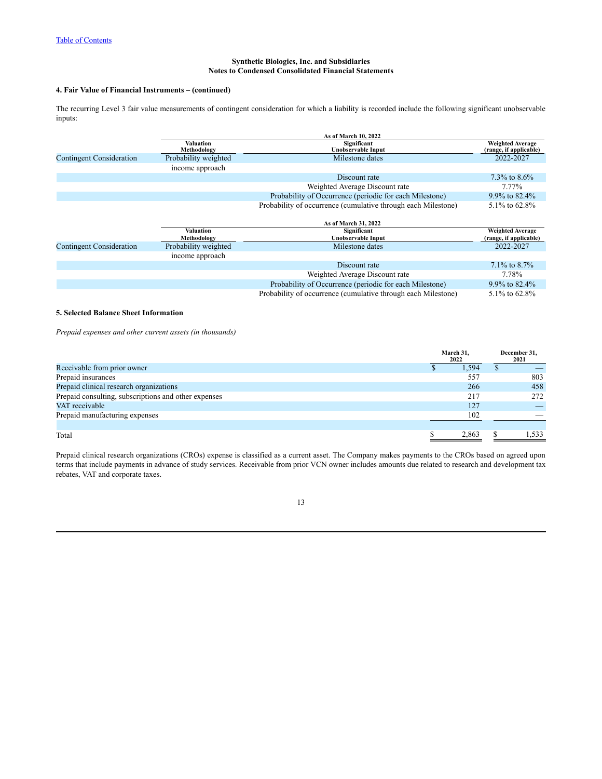# **4. Fair Value of Financial Instruments – (continued)**

The recurring Level 3 fair value measurements of contingent consideration for which a liability is recorded include the following significant unobservable inputs:

|                                 |                                 | As of March 10, 2022                                          |                                                   |
|---------------------------------|---------------------------------|---------------------------------------------------------------|---------------------------------------------------|
|                                 | Valuation<br>Methodology        | Significant<br><b>Unobservable Input</b>                      | <b>Weighted Average</b><br>(range, if applicable) |
| <b>Contingent Consideration</b> | Probability weighted            | Milestone dates                                               | 2022-2027                                         |
|                                 | income approach                 |                                                               |                                                   |
|                                 |                                 | Discount rate                                                 | 7.3\% to $8.6\%$                                  |
|                                 |                                 | Weighted Average Discount rate                                | 7.77%                                             |
|                                 |                                 | Probability of Occurrence (periodic for each Milestone)       | 9.9% to 82.4%                                     |
|                                 |                                 | Probability of occurrence (cumulative through each Milestone) | 5.1\% to 62.8\%                                   |
|                                 |                                 | As of March 31, 2022                                          |                                                   |
|                                 | <b>Valuation</b><br>Methodology | Significant<br><b>Unobservable Input</b>                      | <b>Weighted Average</b><br>(range, if applicable) |
| <b>Contingent Consideration</b> | Probability weighted            | Milestone dates                                               | 2022-2027                                         |
|                                 | income approach                 |                                                               |                                                   |

| mount approach |                                                               |                    |
|----------------|---------------------------------------------------------------|--------------------|
|                | Discount rate                                                 | $7.1\%$ to $8.7\%$ |
|                | Weighted Average Discount rate                                | 7.78%              |
|                | Probability of Occurrence (periodic for each Milestone)       | 9.9% to $82.4\%$   |
|                | Probability of occurrence (cumulative through each Milestone) | 5.1\% to 62.8\%    |

## **5. Selected Balance Sheet Information**

*Prepaid expenses and other current assets (in thousands)*

|                                                      | March 31,<br>2022 | December 31,<br>2021 |
|------------------------------------------------------|-------------------|----------------------|
| Receivable from prior owner                          | 1.594             |                      |
| Prepaid insurances                                   | 557               | 803                  |
| Prepaid clinical research organizations              | 266               | 458                  |
| Prepaid consulting, subscriptions and other expenses | 217               | 272                  |
| VAT receivable                                       | 127               |                      |
| Prepaid manufacturing expenses                       | 102               |                      |
|                                                      |                   |                      |
| Total                                                | 2.863             | .533                 |

Prepaid clinical research organizations (CROs) expense is classified as a current asset. The Company makes payments to the CROs based on agreed upon terms that include payments in advance of study services. Receivable from prior VCN owner includes amounts due related to research and development tax rebates, VAT and corporate taxes.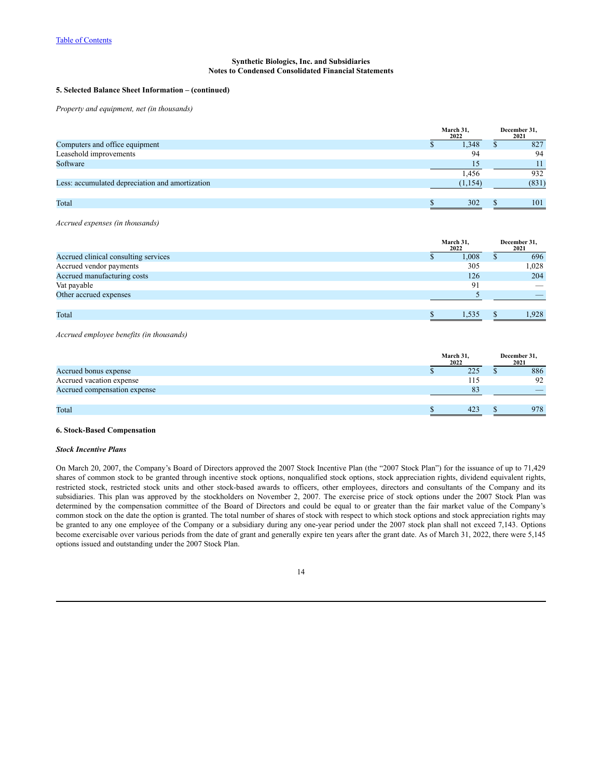### **5. Selected Balance Sheet Information – (continued)**

*Property and equipment, net (in thousands)*

|                                                 | March 31,<br>2022 | December 31,<br>2021 |
|-------------------------------------------------|-------------------|----------------------|
| Computers and office equipment                  | 1.348             | 827                  |
| Leasehold improvements                          | 94                | 94                   |
| Software                                        |                   |                      |
|                                                 | 1,456             | 932                  |
| Less: accumulated depreciation and amortization | (1.154)           | (831)                |
|                                                 |                   |                      |
| Total                                           | 302               | 101                  |

*Accrued expenses (in thousands)*

|                                      | March 31,<br>2022 | December 31,<br>2021 |
|--------------------------------------|-------------------|----------------------|
| Accrued clinical consulting services | .008              | 696                  |
| Accrued vendor payments              | 305               | 1,028                |
| Accrued manufacturing costs          | 126               | 204                  |
| Vat payable                          | 91                |                      |
| Other accrued expenses               |                   |                      |
|                                      |                   |                      |
| Total                                | 1,535             | 1.928                |

*Accrued employee benefits (in thousands)*

|                              | March 31,<br>2022 | December 31,<br>2021 |
|------------------------------|-------------------|----------------------|
| Accrued bonus expense        | 225               | 886                  |
| Accrued vacation expense     | 115               | 92                   |
| Accrued compensation expense |                   |                      |
|                              |                   |                      |
| Total                        | $42^{\circ}$      | 978                  |

#### **6. Stock-Based Compensation**

#### *Stock Incentive Plans*

On March 20, 2007, the Company's Board of Directors approved the 2007 Stock Incentive Plan (the "2007 Stock Plan") for the issuance of up to 71,429 shares of common stock to be granted through incentive stock options, nonqualified stock options, stock appreciation rights, dividend equivalent rights, restricted stock, restricted stock units and other stock-based awards to officers, other employees, directors and consultants of the Company and its subsidiaries. This plan was approved by the stockholders on November 2, 2007. The exercise price of stock options under the 2007 Stock Plan was determined by the compensation committee of the Board of Directors and could be equal to or greater than the fair market value of the Company's common stock on the date the option is granted. The total number of shares of stock with respect to which stock options and stock appreciation rights may be granted to any one employee of the Company or a subsidiary during any one-year period under the 2007 stock plan shall not exceed 7,143. Options become exercisable over various periods from the date of grant and generally expire ten years after the grant date. As of March 31, 2022, there were 5,145 options issued and outstanding under the 2007 Stock Plan.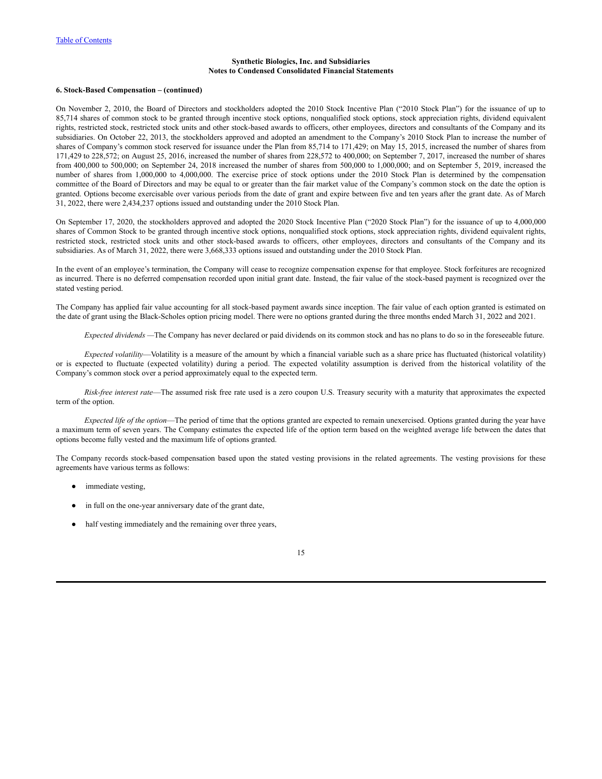#### **6. Stock-Based Compensation – (continued)**

On November 2, 2010, the Board of Directors and stockholders adopted the 2010 Stock Incentive Plan ("2010 Stock Plan") for the issuance of up to 85,714 shares of common stock to be granted through incentive stock options, nonqualified stock options, stock appreciation rights, dividend equivalent rights, restricted stock, restricted stock units and other stock-based awards to officers, other employees, directors and consultants of the Company and its subsidiaries. On October 22, 2013, the stockholders approved and adopted an amendment to the Company's 2010 Stock Plan to increase the number of shares of Company's common stock reserved for issuance under the Plan from 85,714 to 171,429; on May 15, 2015, increased the number of shares from 171,429 to 228,572; on August 25, 2016, increased the number of shares from 228,572 to 400,000; on September 7, 2017, increased the number of shares from 400,000 to 500,000; on September 24, 2018 increased the number of shares from 500,000 to 1,000,000; and on September 5, 2019, increased the number of shares from 1,000,000 to 4,000,000. The exercise price of stock options under the 2010 Stock Plan is determined by the compensation committee of the Board of Directors and may be equal to or greater than the fair market value of the Company's common stock on the date the option is granted. Options become exercisable over various periods from the date of grant and expire between five and ten years after the grant date. As of March 31, 2022, there were 2,434,237 options issued and outstanding under the 2010 Stock Plan.

On September 17, 2020, the stockholders approved and adopted the 2020 Stock Incentive Plan ("2020 Stock Plan") for the issuance of up to 4,000,000 shares of Common Stock to be granted through incentive stock options, nonqualified stock options, stock appreciation rights, dividend equivalent rights, restricted stock, restricted stock units and other stock-based awards to officers, other employees, directors and consultants of the Company and its subsidiaries. As of March 31, 2022, there were 3,668,333 options issued and outstanding under the 2010 Stock Plan.

In the event of an employee's termination, the Company will cease to recognize compensation expense for that employee. Stock forfeitures are recognized as incurred. There is no deferred compensation recorded upon initial grant date. Instead, the fair value of the stock-based payment is recognized over the stated vesting period.

The Company has applied fair value accounting for all stock-based payment awards since inception. The fair value of each option granted is estimated on the date of grant using the Black-Scholes option pricing model. There were no options granted during the three months ended March 31, 2022 and 2021.

*Expected dividends —*The Company has never declared or paid dividends on its common stock and has no plans to do so in the foreseeable future.

*Expected volatility*—Volatility is a measure of the amount by which a financial variable such as a share price has fluctuated (historical volatility) or is expected to fluctuate (expected volatility) during a period. The expected volatility assumption is derived from the historical volatility of the Company's common stock over a period approximately equal to the expected term.

*Risk-free interest rate*—The assumed risk free rate used is a zero coupon U.S. Treasury security with a maturity that approximates the expected term of the option.

*Expected life of the option*—The period of time that the options granted are expected to remain unexercised. Options granted during the year have a maximum term of seven years. The Company estimates the expected life of the option term based on the weighted average life between the dates that options become fully vested and the maximum life of options granted.

The Company records stock-based compensation based upon the stated vesting provisions in the related agreements. The vesting provisions for these agreements have various terms as follows:

- immediate vesting,
- in full on the one-year anniversary date of the grant date,
- half vesting immediately and the remaining over three years,

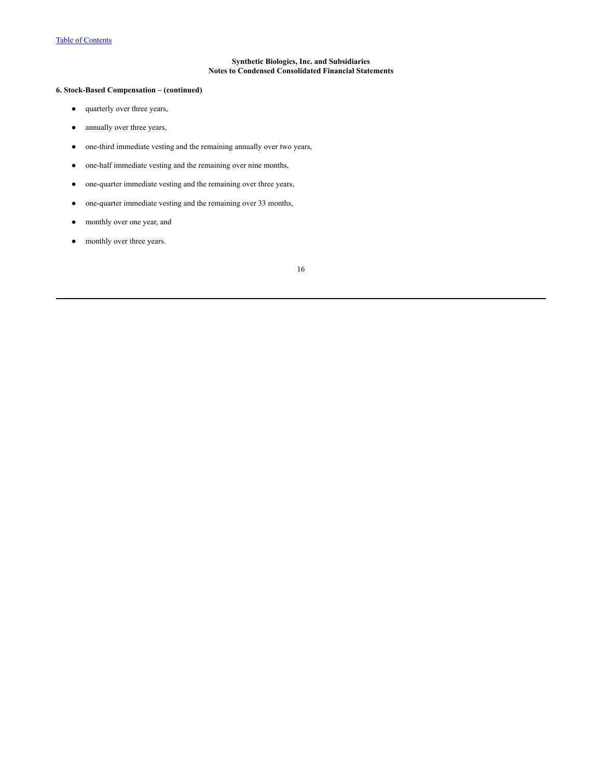# **6. Stock-Based Compensation – (continued)**

- quarterly over three years,
- annually over three years,
- one-third immediate vesting and the remaining annually over two years,
- one-half immediate vesting and the remaining over nine months,
- one-quarter immediate vesting and the remaining over three years,
- one-quarter immediate vesting and the remaining over 33 months,
- monthly over one year, and
- monthly over three years.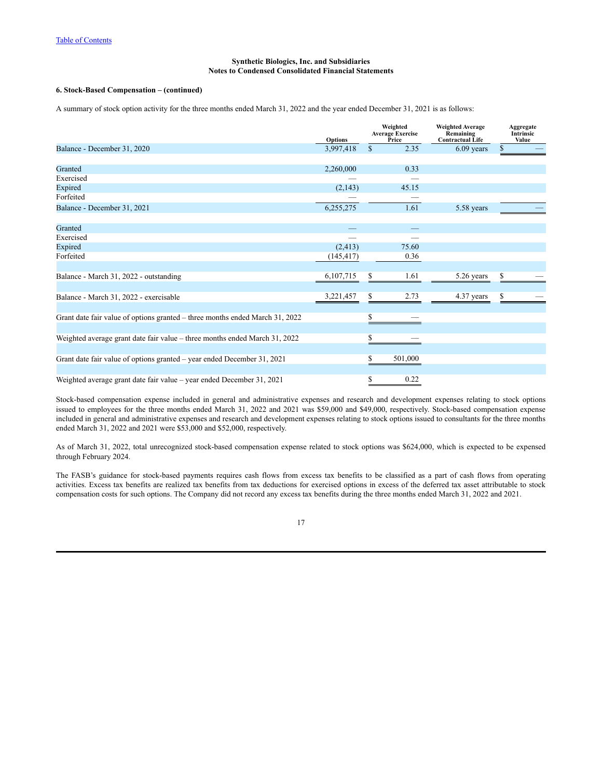## **6. Stock-Based Compensation – (continued)**

A summary of stock option activity for the three months ended March 31, 2022 and the year ended December 31, 2021 is as follows:

|                                                                              | <b>Options</b> | Weighted<br><b>Average Exercise</b><br>Price |         | <b>Weighted Average</b><br>Remaining<br><b>Contractual Life</b> | Aggregate<br><b>Intrinsic</b><br>Value |
|------------------------------------------------------------------------------|----------------|----------------------------------------------|---------|-----------------------------------------------------------------|----------------------------------------|
| Balance - December 31, 2020                                                  | 3,997,418      | $\mathbb{S}$                                 | 2.35    | $6.09$ years                                                    |                                        |
|                                                                              |                |                                              |         |                                                                 |                                        |
| Granted                                                                      | 2,260,000      |                                              | 0.33    |                                                                 |                                        |
| Exercised                                                                    |                |                                              |         |                                                                 |                                        |
| Expired                                                                      | (2,143)        |                                              | 45.15   |                                                                 |                                        |
| Forfeited                                                                    |                |                                              |         |                                                                 |                                        |
| Balance - December 31, 2021                                                  | 6,255,275      |                                              | 1.61    | 5.58 years                                                      |                                        |
|                                                                              |                |                                              |         |                                                                 |                                        |
| Granted                                                                      |                |                                              |         |                                                                 |                                        |
| Exercised                                                                    |                |                                              |         |                                                                 |                                        |
| Expired                                                                      | (2, 413)       |                                              | 75.60   |                                                                 |                                        |
| Forfeited                                                                    | (145, 417)     |                                              | 0.36    |                                                                 |                                        |
|                                                                              |                |                                              |         |                                                                 |                                        |
| Balance - March 31, 2022 - outstanding                                       | 6,107,715      |                                              | 1.61    | 5.26 years                                                      | \$                                     |
|                                                                              |                |                                              |         |                                                                 |                                        |
| Balance - March 31, 2022 - exercisable                                       | 3,221,457      | \$.                                          | 2.73    | 4.37 years                                                      | \$                                     |
|                                                                              |                |                                              |         |                                                                 |                                        |
| Grant date fair value of options granted – three months ended March 31, 2022 |                |                                              |         |                                                                 |                                        |
|                                                                              |                |                                              |         |                                                                 |                                        |
| Weighted average grant date fair value – three months ended March 31, 2022   |                |                                              |         |                                                                 |                                        |
|                                                                              |                |                                              |         |                                                                 |                                        |
| Grant date fair value of options granted – year ended December 31, 2021      |                |                                              | 501,000 |                                                                 |                                        |
|                                                                              |                |                                              |         |                                                                 |                                        |
|                                                                              |                |                                              |         |                                                                 |                                        |
| Weighted average grant date fair value – year ended December 31, 2021        |                | \$                                           | 0.22    |                                                                 |                                        |

Stock-based compensation expense included in general and administrative expenses and research and development expenses relating to stock options issued to employees for the three months ended March 31, 2022 and 2021 was \$59,000 and \$49,000, respectively. Stock-based compensation expense included in general and administrative expenses and research and development expenses relating to stock options issued to consultants for the three months ended March 31, 2022 and 2021 were \$53,000 and \$52,000, respectively.

As of March 31, 2022, total unrecognized stock-based compensation expense related to stock options was \$624,000, which is expected to be expensed through February 2024.

The FASB's guidance for stock-based payments requires cash flows from excess tax benefits to be classified as a part of cash flows from operating activities. Excess tax benefits are realized tax benefits from tax deductions for exercised options in excess of the deferred tax asset attributable to stock compensation costs for such options. The Company did not record any excess tax benefits during the three months ended March 31, 2022 and 2021.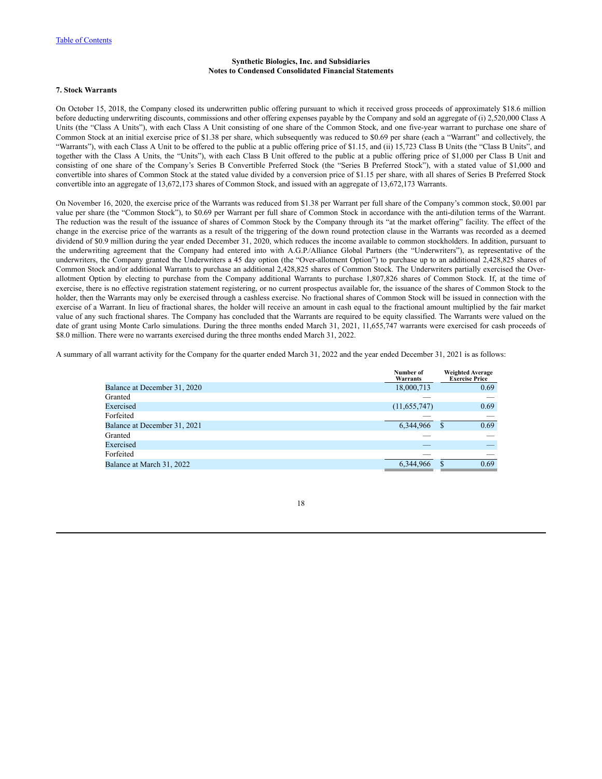#### **7. Stock Warrants**

On October 15, 2018, the Company closed its underwritten public offering pursuant to which it received gross proceeds of approximately \$18.6 million before deducting underwriting discounts, commissions and other offering expenses payable by the Company and sold an aggregate of (i) 2,520,000 Class A Units (the "Class A Units"), with each Class A Unit consisting of one share of the Common Stock, and one five-year warrant to purchase one share of Common Stock at an initial exercise price of \$1.38 per share, which subsequently was reduced to \$0.69 per share (each a "Warrant" and collectively, the "Warrants"), with each Class A Unit to be offered to the public at a public offering price of \$1.15, and (ii) 15,723 Class B Units (the "Class B Units", and together with the Class A Units, the "Units"), with each Class B Unit offered to the public at a public offering price of \$1,000 per Class B Unit and consisting of one share of the Company's Series B Convertible Preferred Stock (the "Series B Preferred Stock"), with a stated value of \$1,000 and convertible into shares of Common Stock at the stated value divided by a conversion price of \$1.15 per share, with all shares of Series B Preferred Stock convertible into an aggregate of 13,672,173 shares of Common Stock, and issued with an aggregate of 13,672,173 Warrants.

On November 16, 2020, the exercise price of the Warrants was reduced from \$1.38 per Warrant per full share of the Company's common stock, \$0.001 par value per share (the "Common Stock"), to \$0.69 per Warrant per full share of Common Stock in accordance with the anti-dilution terms of the Warrant. The reduction was the result of the issuance of shares of Common Stock by the Company through its "at the market offering" facility. The effect of the change in the exercise price of the warrants as a result of the triggering of the down round protection clause in the Warrants was recorded as a deemed dividend of \$0.9 million during the year ended December 31, 2020, which reduces the income available to common stockholders. In addition, pursuant to the underwriting agreement that the Company had entered into with A.G.P./Alliance Global Partners (the "Underwriters"), as representative of the underwriters, the Company granted the Underwriters a 45 day option (the "Over-allotment Option") to purchase up to an additional 2,428,825 shares of Common Stock and/or additional Warrants to purchase an additional 2,428,825 shares of Common Stock. The Underwriters partially exercised the Overallotment Option by electing to purchase from the Company additional Warrants to purchase 1,807,826 shares of Common Stock. If, at the time of exercise, there is no effective registration statement registering, or no current prospectus available for, the issuance of the shares of Common Stock to the holder, then the Warrants may only be exercised through a cashless exercise. No fractional shares of Common Stock will be issued in connection with the exercise of a Warrant. In lieu of fractional shares, the holder will receive an amount in cash equal to the fractional amount multiplied by the fair market value of any such fractional shares. The Company has concluded that the Warrants are required to be equity classified. The Warrants were valued on the date of grant using Monte Carlo simulations. During the three months ended March 31, 2021, 11,655,747 warrants were exercised for cash proceeds of \$8.0 million. There were no warrants exercised during the three months ended March 31, 2022.

A summary of all warrant activity for the Company for the quarter ended March 31, 2022 and the year ended December 31, 2021 is as follows:

|                              | Number of<br>Warrants | <b>Weighted Average</b><br><b>Exercise Price</b> |
|------------------------------|-----------------------|--------------------------------------------------|
| Balance at December 31, 2020 | 18,000,713            | 0.69                                             |
| Granted                      |                       |                                                  |
| Exercised                    | (11, 655, 747)        | 0.69                                             |
| Forfeited                    |                       |                                                  |
| Balance at December 31, 2021 | 6,344,966             | 0.69<br>S                                        |
| Granted                      |                       |                                                  |
| Exercised                    |                       |                                                  |
| Forfeited                    |                       |                                                  |
| Balance at March 31, 2022    | 6,344,966             | 0.69                                             |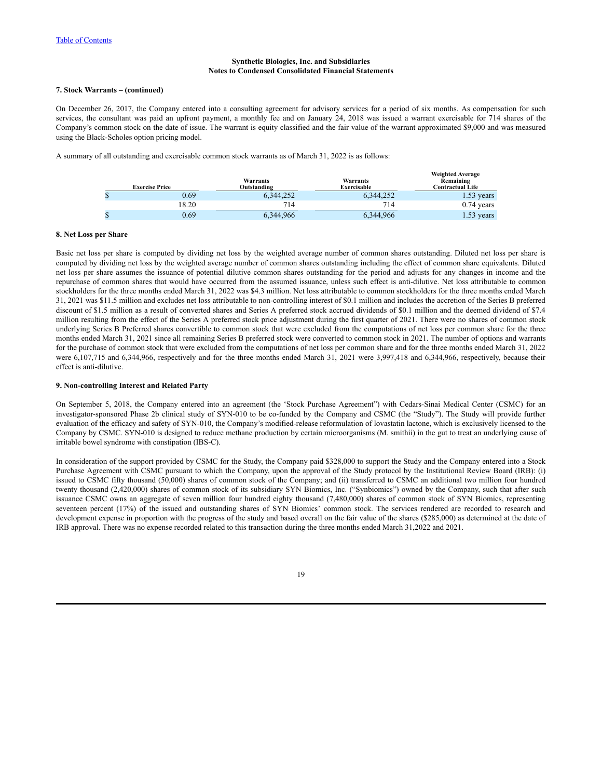#### **7. Stock Warrants – (continued)**

On December 26, 2017, the Company entered into a consulting agreement for advisory services for a period of six months. As compensation for such services, the consultant was paid an upfront payment, a monthly fee and on January 24, 2018 was issued a warrant exercisable for 714 shares of the Company's common stock on the date of issue. The warrant is equity classified and the fair value of the warrant approximated \$9,000 and was measured using the Black-Scholes option pricing model.

A summary of all outstanding and exercisable common stock warrants as of March 31, 2022 is as follows:

| <b>Exercise Price</b> | Warrants<br>Outstanding | Warrants<br>Exercisable | <b>Weighted Average</b><br>Remaining<br>Contractual Life |
|-----------------------|-------------------------|-------------------------|----------------------------------------------------------|
| \$<br>0.69            | 6,344,252               | 6,344,252               | $.53$ years                                              |
| 18.20                 | 714                     | 714                     | $0.74$ years                                             |
| \$<br>0.69            | 6.344.966               | 6,344,966               | $.53$ years                                              |

#### **8. Net Loss per Share**

Basic net loss per share is computed by dividing net loss by the weighted average number of common shares outstanding. Diluted net loss per share is computed by dividing net loss by the weighted average number of common shares outstanding including the effect of common share equivalents. Diluted net loss per share assumes the issuance of potential dilutive common shares outstanding for the period and adjusts for any changes in income and the repurchase of common shares that would have occurred from the assumed issuance, unless such effect is anti-dilutive. Net loss attributable to common stockholders for the three months ended March 31, 2022 was \$4.3 million. Net loss attributable to common stockholders for the three months ended March 31, 2021 was \$11.5 million and excludes net loss attributable to non-controlling interest of \$0.1 million and includes the accretion of the Series B preferred discount of \$1.5 million as a result of converted shares and Series A preferred stock accrued dividends of \$0.1 million and the deemed dividend of \$7.4 million resulting from the effect of the Series A preferred stock price adjustment during the first quarter of 2021. There were no shares of common stock underlying Series B Preferred shares convertible to common stock that were excluded from the computations of net loss per common share for the three months ended March 31, 2021 since all remaining Series B preferred stock were converted to common stock in 2021. The number of options and warrants for the purchase of common stock that were excluded from the computations of net loss per common share and for the three months ended March 31, 2022 were 6,107,715 and 6,344,966, respectively and for the three months ended March 31, 2021 were 3,997,418 and 6,344,966, respectively, because their effect is anti-dilutive.

#### **9. Non-controlling Interest and Related Party**

On September 5, 2018, the Company entered into an agreement (the 'Stock Purchase Agreement") with Cedars-Sinai Medical Center (CSMC) for an investigator-sponsored Phase 2b clinical study of SYN-010 to be co-funded by the Company and CSMC (the "Study"). The Study will provide further evaluation of the efficacy and safety of SYN-010, the Company's modified-release reformulation of lovastatin lactone, which is exclusively licensed to the Company by CSMC. SYN-010 is designed to reduce methane production by certain microorganisms (M. smithii) in the gut to treat an underlying cause of irritable bowel syndrome with constipation (IBS-C).

In consideration of the support provided by CSMC for the Study, the Company paid \$328,000 to support the Study and the Company entered into a Stock Purchase Agreement with CSMC pursuant to which the Company, upon the approval of the Study protocol by the Institutional Review Board (IRB): (i) issued to CSMC fifty thousand (50,000) shares of common stock of the Company; and (ii) transferred to CSMC an additional two million four hundred twenty thousand (2,420,000) shares of common stock of its subsidiary SYN Biomics, Inc. ("Synbiomics") owned by the Company, such that after such issuance CSMC owns an aggregate of seven million four hundred eighty thousand (7,480,000) shares of common stock of SYN Biomics, representing seventeen percent (17%) of the issued and outstanding shares of SYN Biomics' common stock. The services rendered are recorded to research and development expense in proportion with the progress of the study and based overall on the fair value of the shares (\$285,000) as determined at the date of IRB approval. There was no expense recorded related to this transaction during the three months ended March 31,2022 and 2021.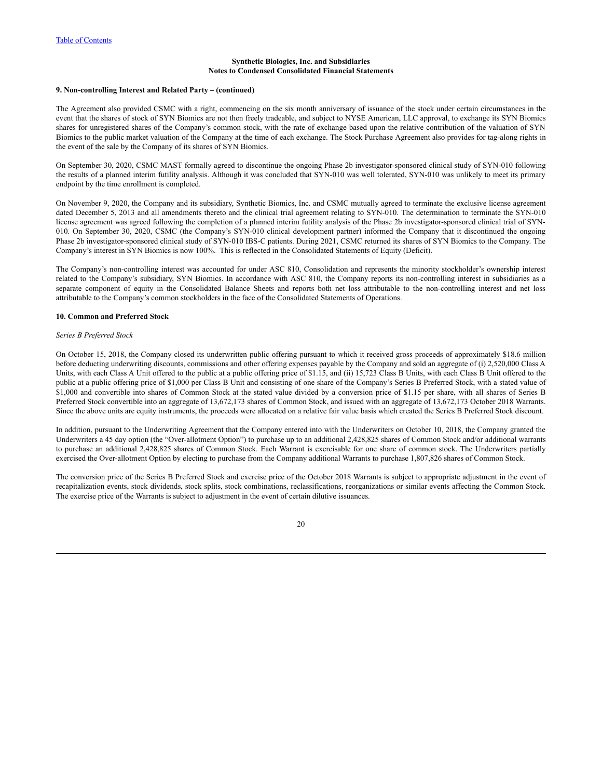#### **9. Non-controlling Interest and Related Party – (continued)**

The Agreement also provided CSMC with a right, commencing on the six month anniversary of issuance of the stock under certain circumstances in the event that the shares of stock of SYN Biomics are not then freely tradeable, and subject to NYSE American, LLC approval, to exchange its SYN Biomics shares for unregistered shares of the Company's common stock, with the rate of exchange based upon the relative contribution of the valuation of SYN Biomics to the public market valuation of the Company at the time of each exchange. The Stock Purchase Agreement also provides for tag-along rights in the event of the sale by the Company of its shares of SYN Biomics.

On September 30, 2020, CSMC MAST formally agreed to discontinue the ongoing Phase 2b investigator-sponsored clinical study of SYN-010 following the results of a planned interim futility analysis. Although it was concluded that SYN-010 was well tolerated, SYN-010 was unlikely to meet its primary endpoint by the time enrollment is completed.

On November 9, 2020, the Company and its subsidiary, Synthetic Biomics, Inc. and CSMC mutually agreed to terminate the exclusive license agreement dated December 5, 2013 and all amendments thereto and the clinical trial agreement relating to SYN-010. The determination to terminate the SYN-010 license agreement was agreed following the completion of a planned interim futility analysis of the Phase 2b investigator-sponsored clinical trial of SYN-010. On September 30, 2020, CSMC (the Company's SYN-010 clinical development partner) informed the Company that it discontinued the ongoing Phase 2b investigator-sponsored clinical study of SYN-010 IBS-C patients. During 2021, CSMC returned its shares of SYN Biomics to the Company. The Company's interest in SYN Biomics is now 100%. This is reflected in the Consolidated Statements of Equity (Deficit).

The Company's non-controlling interest was accounted for under ASC 810, Consolidation and represents the minority stockholder's ownership interest related to the Company's subsidiary, SYN Biomics. In accordance with ASC 810, the Company reports its non-controlling interest in subsidiaries as a separate component of equity in the Consolidated Balance Sheets and reports both net loss attributable to the non-controlling interest and net loss attributable to the Company's common stockholders in the face of the Consolidated Statements of Operations.

#### **10. Common and Preferred Stock**

### *Series B Preferred Stock*

On October 15, 2018, the Company closed its underwritten public offering pursuant to which it received gross proceeds of approximately \$18.6 million before deducting underwriting discounts, commissions and other offering expenses payable by the Company and sold an aggregate of (i) 2,520,000 Class A Units, with each Class A Unit offered to the public at a public offering price of \$1.15, and (ii) 15,723 Class B Units, with each Class B Unit offered to the public at a public offering price of \$1,000 per Class B Unit and consisting of one share of the Company's Series B Preferred Stock, with a stated value of \$1,000 and convertible into shares of Common Stock at the stated value divided by a conversion price of \$1.15 per share, with all shares of Series B Preferred Stock convertible into an aggregate of 13,672,173 shares of Common Stock, and issued with an aggregate of 13,672,173 October 2018 Warrants. Since the above units are equity instruments, the proceeds were allocated on a relative fair value basis which created the Series B Preferred Stock discount.

In addition, pursuant to the Underwriting Agreement that the Company entered into with the Underwriters on October 10, 2018, the Company granted the Underwriters a 45 day option (the "Over-allotment Option") to purchase up to an additional 2,428,825 shares of Common Stock and/or additional warrants to purchase an additional 2,428,825 shares of Common Stock. Each Warrant is exercisable for one share of common stock. The Underwriters partially exercised the Over-allotment Option by electing to purchase from the Company additional Warrants to purchase 1,807,826 shares of Common Stock.

The conversion price of the Series B Preferred Stock and exercise price of the October 2018 Warrants is subject to appropriate adjustment in the event of recapitalization events, stock dividends, stock splits, stock combinations, reclassifications, reorganizations or similar events affecting the Common Stock. The exercise price of the Warrants is subject to adjustment in the event of certain dilutive issuances.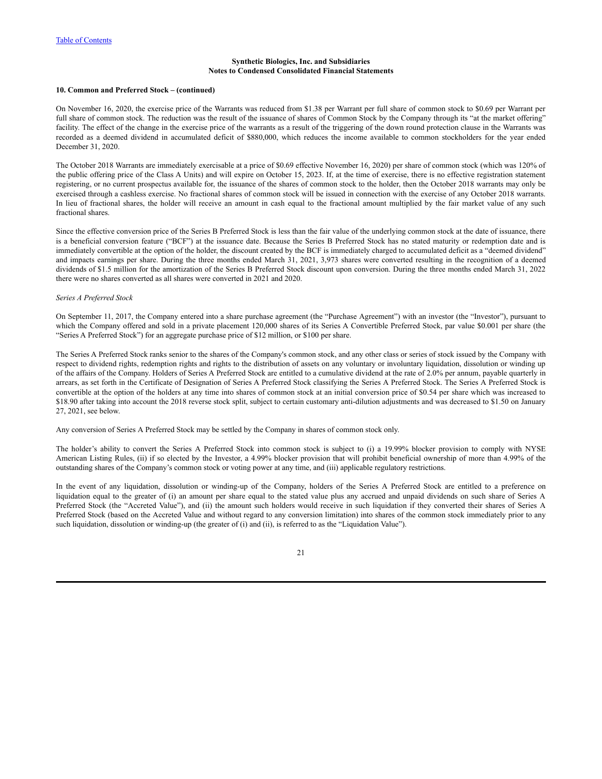#### **10. Common and Preferred Stock – (continued)**

On November 16, 2020, the exercise price of the Warrants was reduced from \$1.38 per Warrant per full share of common stock to \$0.69 per Warrant per full share of common stock. The reduction was the result of the issuance of shares of Common Stock by the Company through its "at the market offering" facility. The effect of the change in the exercise price of the warrants as a result of the triggering of the down round protection clause in the Warrants was recorded as a deemed dividend in accumulated deficit of \$880,000, which reduces the income available to common stockholders for the year ended December 31, 2020.

The October 2018 Warrants are immediately exercisable at a price of \$0.69 effective November 16, 2020) per share of common stock (which was 120% of the public offering price of the Class A Units) and will expire on October 15, 2023. If, at the time of exercise, there is no effective registration statement registering, or no current prospectus available for, the issuance of the shares of common stock to the holder, then the October 2018 warrants may only be exercised through a cashless exercise. No fractional shares of common stock will be issued in connection with the exercise of any October 2018 warrants. In lieu of fractional shares, the holder will receive an amount in cash equal to the fractional amount multiplied by the fair market value of any such fractional shares.

Since the effective conversion price of the Series B Preferred Stock is less than the fair value of the underlying common stock at the date of issuance, there is a beneficial conversion feature ("BCF") at the issuance date. Because the Series B Preferred Stock has no stated maturity or redemption date and is immediately convertible at the option of the holder, the discount created by the BCF is immediately charged to accumulated deficit as a "deemed dividend" and impacts earnings per share. During the three months ended March 31, 2021, 3,973 shares were converted resulting in the recognition of a deemed dividends of \$1.5 million for the amortization of the Series B Preferred Stock discount upon conversion. During the three months ended March 31, 2022 there were no shares converted as all shares were converted in 2021 and 2020.

#### *Series A Preferred Stock*

On September 11, 2017, the Company entered into a share purchase agreement (the "Purchase Agreement") with an investor (the "Investor"), pursuant to which the Company offered and sold in a private placement 120,000 shares of its Series A Convertible Preferred Stock, par value \$0.001 per share (the "Series A Preferred Stock") for an aggregate purchase price of \$12 million, or \$100 per share.

The Series A Preferred Stock ranks senior to the shares of the Company's common stock, and any other class or series of stock issued by the Company with respect to dividend rights, redemption rights and rights to the distribution of assets on any voluntary or involuntary liquidation, dissolution or winding up of the affairs of the Company. Holders of Series A Preferred Stock are entitled to a cumulative dividend at the rate of 2.0% per annum, payable quarterly in arrears, as set forth in the Certificate of Designation of Series A Preferred Stock classifying the Series A Preferred Stock. The Series A Preferred Stock is convertible at the option of the holders at any time into shares of common stock at an initial conversion price of \$0.54 per share which was increased to \$18.90 after taking into account the 2018 reverse stock split, subject to certain customary anti-dilution adjustments and was decreased to \$1.50 on January 27, 2021, see below.

Any conversion of Series A Preferred Stock may be settled by the Company in shares of common stock only.

The holder's ability to convert the Series A Preferred Stock into common stock is subject to (i) a 19.99% blocker provision to comply with NYSE American Listing Rules, (ii) if so elected by the Investor, a 4.99% blocker provision that will prohibit beneficial ownership of more than 4.99% of the outstanding shares of the Company's common stock or voting power at any time, and (iii) applicable regulatory restrictions.

In the event of any liquidation, dissolution or winding-up of the Company, holders of the Series A Preferred Stock are entitled to a preference on liquidation equal to the greater of (i) an amount per share equal to the stated value plus any accrued and unpaid dividends on such share of Series A Preferred Stock (the "Accreted Value"), and (ii) the amount such holders would receive in such liquidation if they converted their shares of Series A Preferred Stock (based on the Accreted Value and without regard to any conversion limitation) into shares of the common stock immediately prior to any such liquidation, dissolution or winding-up (the greater of (i) and (ii), is referred to as the "Liquidation Value").

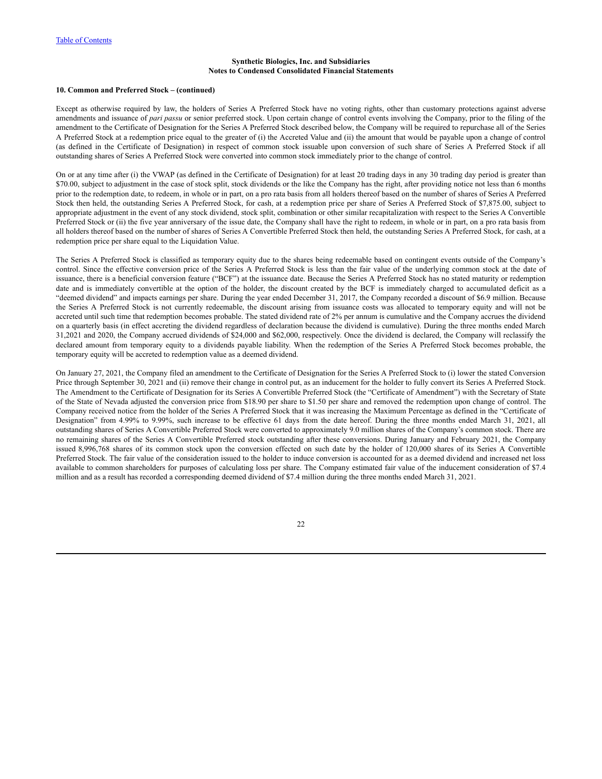#### **10. Common and Preferred Stock – (continued)**

Except as otherwise required by law, the holders of Series A Preferred Stock have no voting rights, other than customary protections against adverse amendments and issuance of *pari passu* or senior preferred stock. Upon certain change of control events involving the Company, prior to the filing of the amendment to the Certificate of Designation for the Series A Preferred Stock described below, the Company will be required to repurchase all of the Series A Preferred Stock at a redemption price equal to the greater of (i) the Accreted Value and (ii) the amount that would be payable upon a change of control (as defined in the Certificate of Designation) in respect of common stock issuable upon conversion of such share of Series A Preferred Stock if all outstanding shares of Series A Preferred Stock were converted into common stock immediately prior to the change of control.

On or at any time after (i) the VWAP (as defined in the Certificate of Designation) for at least 20 trading days in any 30 trading day period is greater than \$70.00, subject to adjustment in the case of stock split, stock dividends or the like the Company has the right, after providing notice not less than 6 months prior to the redemption date, to redeem, in whole or in part, on a pro rata basis from all holders thereof based on the number of shares of Series A Preferred Stock then held, the outstanding Series A Preferred Stock, for cash, at a redemption price per share of Series A Preferred Stock of \$7,875.00, subject to appropriate adjustment in the event of any stock dividend, stock split, combination or other similar recapitalization with respect to the Series A Convertible Preferred Stock or (ii) the five year anniversary of the issue date, the Company shall have the right to redeem, in whole or in part, on a pro rata basis from all holders thereof based on the number of shares of Series A Convertible Preferred Stock then held, the outstanding Series A Preferred Stock, for cash, at a redemption price per share equal to the Liquidation Value.

The Series A Preferred Stock is classified as temporary equity due to the shares being redeemable based on contingent events outside of the Company's control. Since the effective conversion price of the Series A Preferred Stock is less than the fair value of the underlying common stock at the date of issuance, there is a beneficial conversion feature ("BCF") at the issuance date. Because the Series A Preferred Stock has no stated maturity or redemption date and is immediately convertible at the option of the holder, the discount created by the BCF is immediately charged to accumulated deficit as a "deemed dividend" and impacts earnings per share. During the year ended December 31, 2017, the Company recorded a discount of \$6.9 million. Because the Series A Preferred Stock is not currently redeemable, the discount arising from issuance costs was allocated to temporary equity and will not be accreted until such time that redemption becomes probable. The stated dividend rate of 2% per annum is cumulative and the Company accrues the dividend on a quarterly basis (in effect accreting the dividend regardless of declaration because the dividend is cumulative). During the three months ended March 31,2021 and 2020, the Company accrued dividends of \$24,000 and \$62,000, respectively. Once the dividend is declared, the Company will reclassify the declared amount from temporary equity to a dividends payable liability. When the redemption of the Series A Preferred Stock becomes probable, the temporary equity will be accreted to redemption value as a deemed dividend.

On January 27, 2021, the Company filed an amendment to the Certificate of Designation for the Series A Preferred Stock to (i) lower the stated Conversion Price through September 30, 2021 and (ii) remove their change in control put, as an inducement for the holder to fully convert its Series A Preferred Stock. The Amendment to the Certificate of Designation for its Series A Convertible Preferred Stock (the "Certificate of Amendment") with the Secretary of State of the State of Nevada adjusted the conversion price from \$18.90 per share to \$1.50 per share and removed the redemption upon change of control. The Company received notice from the holder of the Series A Preferred Stock that it was increasing the Maximum Percentage as defined in the "Certificate of Designation" from 4.99% to 9.99%, such increase to be effective 61 days from the date hereof. During the three months ended March 31, 2021, all outstanding shares of Series A Convertible Preferred Stock were converted to approximately 9.0 million shares of the Company's common stock. There are no remaining shares of the Series A Convertible Preferred stock outstanding after these conversions. During January and February 2021, the Company issued 8,996,768 shares of its common stock upon the conversion effected on such date by the holder of 120,000 shares of its Series A Convertible Preferred Stock. The fair value of the consideration issued to the holder to induce conversion is accounted for as a deemed dividend and increased net loss available to common shareholders for purposes of calculating loss per share. The Company estimated fair value of the inducement consideration of \$7.4 million and as a result has recorded a corresponding deemed dividend of \$7.4 million during the three months ended March 31, 2021.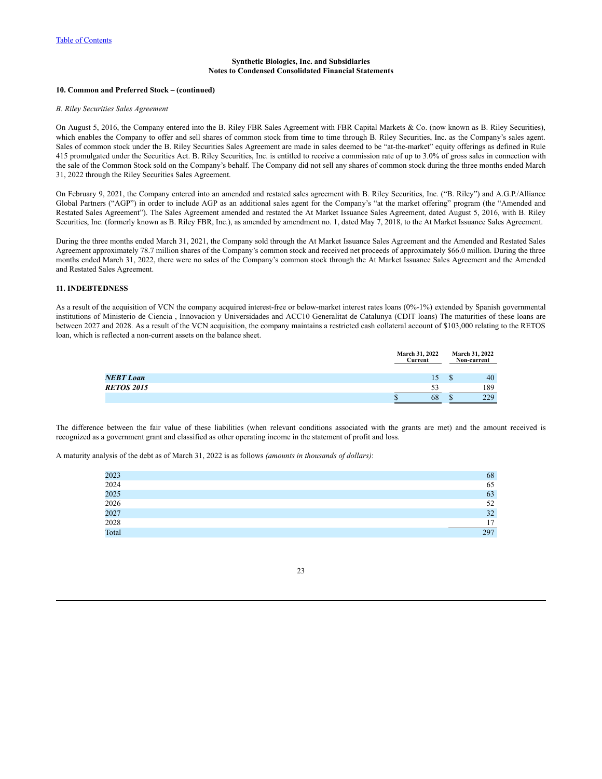### **10. Common and Preferred Stock – (continued)**

### *B. Riley Securities Sales Agreement*

On August 5, 2016, the Company entered into the B. Riley FBR Sales Agreement with FBR Capital Markets & Co. (now known as B. Riley Securities), which enables the Company to offer and sell shares of common stock from time to time through B. Riley Securities, Inc. as the Company's sales agent. Sales of common stock under the B. Riley Securities Sales Agreement are made in sales deemed to be "at-the-market" equity offerings as defined in Rule 415 promulgated under the Securities Act. B. Riley Securities, Inc. is entitled to receive a commission rate of up to 3.0% of gross sales in connection with the sale of the Common Stock sold on the Company's behalf. The Company did not sell any shares of common stock during the three months ended March 31, 2022 through the Riley Securities Sales Agreement.

On February 9, 2021, the Company entered into an amended and restated sales agreement with B. Riley Securities, Inc. ("B. Riley") and A.G.P./Alliance Global Partners ("AGP") in order to include AGP as an additional sales agent for the Company's "at the market offering" program (the "Amended and Restated Sales Agreement"). The Sales Agreement amended and restated the At Market Issuance Sales Agreement, dated August 5, 2016, with B. Riley Securities, Inc. (formerly known as B. Riley FBR, Inc.), as amended by amendment no. 1, dated May 7, 2018, to the At Market Issuance Sales Agreement.

During the three months ended March 31, 2021, the Company sold through the At Market Issuance Sales Agreement and the Amended and Restated Sales Agreement approximately 78.7 million shares of the Company's common stock and received net proceeds of approximately \$66.0 million. During the three months ended March 31, 2022, there were no sales of the Company's common stock through the At Market Issuance Sales Agreement and the Amended and Restated Sales Agreement.

## **11. INDEBTEDNESS**

As a result of the acquisition of VCN the company acquired interest-free or below-market interest rates loans (0%-1%) extended by Spanish governmental institutions of Ministerio de Ciencia , Innovacion y Universidades and ACC10 Generalitat de Catalunya (CDIT loans) The maturities of these loans are between 2027 and 2028. As a result of the VCN acquisition, the company maintains a restricted cash collateral account of \$103,000 relating to the RETOS loan, which is reflected a non-current assets on the balance sheet.

|                          | March 31, 2022<br>Current |   | <b>March 31, 2022</b><br>Non-current |
|--------------------------|---------------------------|---|--------------------------------------|
| NEBT Loan                | 15                        | ۵ | 40                                   |
| <i><b>RETOS 2015</b></i> | 53                        |   | 189                                  |
|                          | 68                        |   | 220                                  |

The difference between the fair value of these liabilities (when relevant conditions associated with the grants are met) and the amount received is recognized as a government grant and classified as other operating income in the statement of profit and loss.

A maturity analysis of the debt as of March 31, 2022 is as follows *(amounts in thousands of dollars)*:

| 2023                                                  | 68  |
|-------------------------------------------------------|-----|
|                                                       | 65  |
|                                                       | 63  |
|                                                       | 52  |
|                                                       | 32  |
|                                                       | 17  |
| 2023<br>2024<br>2025<br>2026<br>2027<br>2028<br>Total | 297 |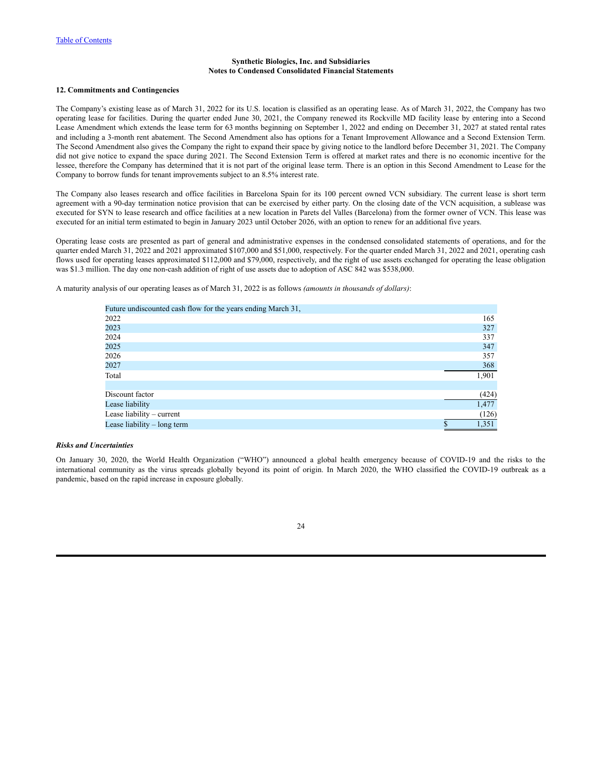#### **12. Commitments and Contingencies**

The Company's existing lease as of March 31, 2022 for its U.S. location is classified as an operating lease. As of March 31, 2022, the Company has two operating lease for facilities. During the quarter ended June 30, 2021, the Company renewed its Rockville MD facility lease by entering into a Second Lease Amendment which extends the lease term for 63 months beginning on September 1, 2022 and ending on December 31, 2027 at stated rental rates and including a 3-month rent abatement. The Second Amendment also has options for a Tenant Improvement Allowance and a Second Extension Term. The Second Amendment also gives the Company the right to expand their space by giving notice to the landlord before December 31, 2021. The Company did not give notice to expand the space during 2021. The Second Extension Term is offered at market rates and there is no economic incentive for the lessee, therefore the Company has determined that it is not part of the original lease term. There is an option in this Second Amendment to Lease for the Company to borrow funds for tenant improvements subject to an 8.5% interest rate.

The Company also leases research and office facilities in Barcelona Spain for its 100 percent owned VCN subsidiary. The current lease is short term agreement with a 90-day termination notice provision that can be exercised by either party. On the closing date of the VCN acquisition, a sublease was executed for SYN to lease research and office facilities at a new location in Parets del Valles (Barcelona) from the former owner of VCN. This lease was executed for an initial term estimated to begin in January 2023 until October 2026, with an option to renew for an additional five years.

Operating lease costs are presented as part of general and administrative expenses in the condensed consolidated statements of operations, and for the quarter ended March 31, 2022 and 2021 approximated \$107,000 and \$51,000, respectively. For the quarter ended March 31, 2022 and 2021, operating cash flows used for operating leases approximated \$112,000 and \$79,000, respectively, and the right of use assets exchanged for operating the lease obligation was \$1.3 million. The day one non-cash addition of right of use assets due to adoption of ASC 842 was \$538,000.

A maturity analysis of our operating leases as of March 31, 2022 is as follows *(amounts in thousands of dollars)*:

| Future undiscounted cash flow for the years ending March 31, |       |
|--------------------------------------------------------------|-------|
| 2022                                                         | 165   |
| 2023                                                         | 327   |
| 2024                                                         | 337   |
| 2025                                                         | 347   |
| 2026                                                         | 357   |
| 2027                                                         | 368   |
| Total                                                        | 1,901 |
|                                                              |       |
| Discount factor                                              | (424) |
| Lease liability                                              | 1,477 |
| Lease liability - current                                    | (126) |
| Lease liability $-$ long term                                | 1,351 |

### *Risks and Uncertainties*

On January 30, 2020, the World Health Organization ("WHO") announced a global health emergency because of COVID-19 and the risks to the international community as the virus spreads globally beyond its point of origin. In March 2020, the WHO classified the COVID-19 outbreak as a pandemic, based on the rapid increase in exposure globally.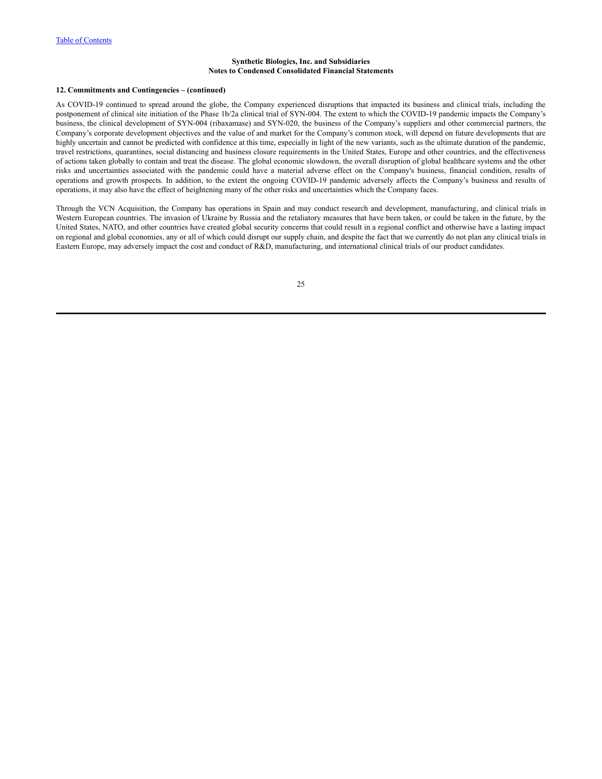## **12. Commitments and Contingencies** *–* **(continued)**

As COVID-19 continued to spread around the globe, the Company experienced disruptions that impacted its business and clinical trials, including the postponement of clinical site initiation of the Phase 1b/2a clinical trial of SYN-004. The extent to which the COVID-19 pandemic impacts the Company's business, the clinical development of SYN-004 (ribaxamase) and SYN-020, the business of the Company's suppliers and other commercial partners, the Company's corporate development objectives and the value of and market for the Company's common stock, will depend on future developments that are highly uncertain and cannot be predicted with confidence at this time, especially in light of the new variants, such as the ultimate duration of the pandemic, travel restrictions, quarantines, social distancing and business closure requirements in the United States, Europe and other countries, and the effectiveness of actions taken globally to contain and treat the disease. The global economic slowdown, the overall disruption of global healthcare systems and the other risks and uncertainties associated with the pandemic could have a material adverse effect on the Company's business, financial condition, results of operations and growth prospects. In addition, to the extent the ongoing COVID-19 pandemic adversely affects the Company's business and results of operations, it may also have the effect of heightening many of the other risks and uncertainties which the Company faces.

Through the VCN Acquisition, the Company has operations in Spain and may conduct research and development, manufacturing, and clinical trials in Western European countries. The invasion of Ukraine by Russia and the retaliatory measures that have been taken, or could be taken in the future, by the United States, NATO, and other countries have created global security concerns that could result in a regional conflict and otherwise have a lasting impact on regional and global economies, any or all of which could disrupt our supply chain, and despite the fact that we currently do not plan any clinical trials in Eastern Europe, may adversely impact the cost and conduct of R&D, manufacturing, and international clinical trials of our product candidates.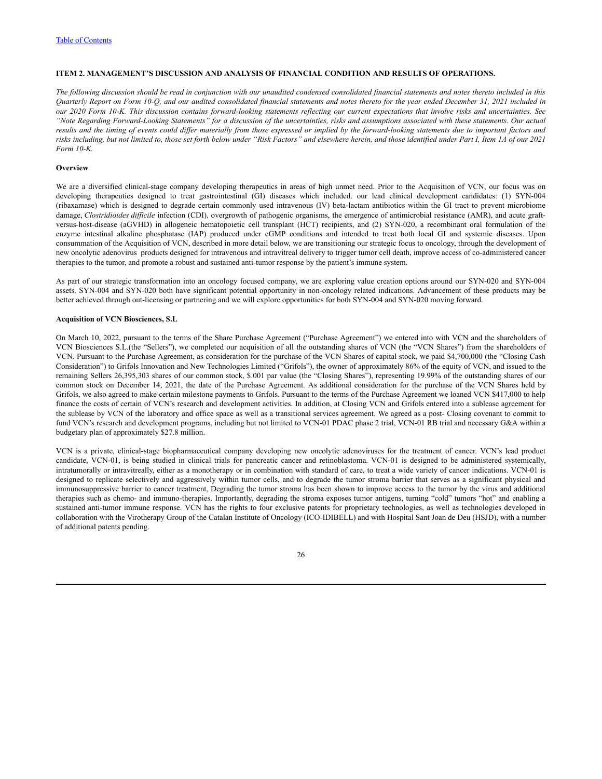## <span id="page-26-0"></span>**ITEM 2. MANAGEMENT'S DISCUSSION AND ANALYSIS OF FINANCIAL CONDITION AND RESULTS OF OPERATIONS.**

The following discussion should be read in conjunction with our unaudited condensed consolidated financial statements and notes thereto included in this Ouarterly Report on Form 10-O, and our audited consolidated financial statements and notes thereto for the vear ended December 31, 2021 included in our 2020 Form 10-K. This discussion contains forward-looking statements reflecting our current expectations that involve risks and uncertainties. See "Note Regarding Forward-Looking Statements" for a discussion of the uncertainties, risks and assumptions associated with these statements. Our actual results and the timing of events could differ materially from those expressed or implied by the forward-looking statements due to important factors and risks including, but not limited to, those set forth below under "Risk Factors" and elsewhere herein, and those identified under Part I, Item 1A of our 2021 *Form 10-K.*

#### **Overview**

We are a diversified clinical-stage company developing therapeutics in areas of high unmet need. Prior to the Acquisition of VCN, our focus was on developing therapeutics designed to treat gastrointestinal (GI) diseases which included. our lead clinical development candidates: (1) SYN-004 (ribaxamase) which is designed to degrade certain commonly used intravenous (IV) beta-lactam antibiotics within the GI tract to prevent microbiome damage, *Clostridioides difficile* infection (CDI), overgrowth of pathogenic organisms, the emergence of antimicrobial resistance (AMR), and acute graftversus-host-disease (aGVHD) in allogeneic hematopoietic cell transplant (HCT) recipients, and (2) SYN-020, a recombinant oral formulation of the enzyme intestinal alkaline phosphatase (IAP) produced under cGMP conditions and intended to treat both local GI and systemic diseases. Upon consummation of the Acquisition of VCN, described in more detail below, we are transitioning our strategic focus to oncology, through the development of new oncolytic adenovirus products designed for intravenous and intravitreal delivery to trigger tumor cell death, improve access of co-administered cancer therapies to the tumor, and promote a robust and sustained anti-tumor response by the patient's immune system.

As part of our strategic transformation into an oncology focused company, we are exploring value creation options around our SYN-020 and SYN-004 assets. SYN-004 and SYN-020 both have significant potential opportunity in non-oncology related indications. Advancement of these products may be better achieved through out-licensing or partnering and we will explore opportunities for both SYN-004 and SYN-020 moving forward.

### **Acquisition of VCN Biosciences, S.L**

On March 10, 2022, pursuant to the terms of the Share Purchase Agreement ("Purchase Agreement") we entered into with VCN and the shareholders of VCN Biosciences S.L.(the "Sellers"), we completed our acquisition of all the outstanding shares of VCN (the "VCN Shares") from the shareholders of VCN. Pursuant to the Purchase Agreement, as consideration for the purchase of the VCN Shares of capital stock, we paid \$4,700,000 (the "Closing Cash Consideration") to Grifols Innovation and New Technologies Limited ("Grifols"), the owner of approximately 86% of the equity of VCN, and issued to the remaining Sellers 26,395,303 shares of our common stock, \$.001 par value (the "Closing Shares"), representing 19.99% of the outstanding shares of our common stock on December 14, 2021, the date of the Purchase Agreement. As additional consideration for the purchase of the VCN Shares held by Grifols, we also agreed to make certain milestone payments to Grifols. Pursuant to the terms of the Purchase Agreement we loaned VCN \$417,000 to help finance the costs of certain of VCN's research and development activities. In addition, at Closing VCN and Grifols entered into a sublease agreement for the sublease by VCN of the laboratory and office space as well as a transitional services agreement. We agreed as a post- Closing covenant to commit to fund VCN's research and development programs, including but not limited to VCN-01 PDAC phase 2 trial, VCN-01 RB trial and necessary G&A within a budgetary plan of approximately \$27.8 million.

VCN is a private, clinical-stage biopharmaceutical company developing new oncolytic adenoviruses for the treatment of cancer. VCN's lead product candidate, VCN-01, is being studied in clinical trials for pancreatic cancer and retinoblastoma. VCN-01 is designed to be administered systemically, intratumorally or intravitreally, either as a monotherapy or in combination with standard of care, to treat a wide variety of cancer indications. VCN-01 is designed to replicate selectively and aggressively within tumor cells, and to degrade the tumor stroma barrier that serves as a significant physical and immunosuppressive barrier to cancer treatment, Degrading the tumor stroma has been shown to improve access to the tumor by the virus and additional therapies such as chemo- and immuno-therapies. Importantly, degrading the stroma exposes tumor antigens, turning "cold" tumors "hot" and enabling a sustained anti-tumor immune response. VCN has the rights to four exclusive patents for proprietary technologies, as well as technologies developed in collaboration with the Virotherapy Group of the Catalan Institute of Oncology (ICO-IDIBELL) and with Hospital Sant Joan de Deu (HSJD), with a number of additional patents pending.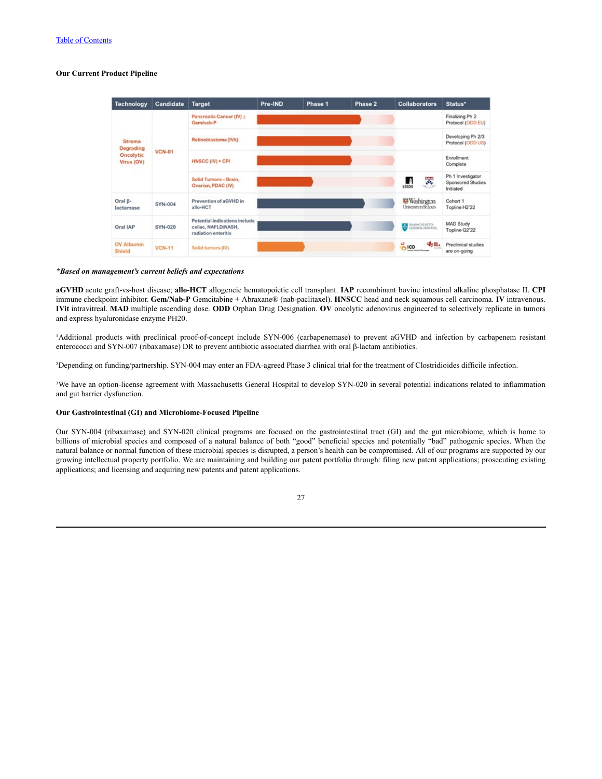### **Our Current Product Pipeline**



#### *\*Based on management's current beliefs and expectations*

**aGVHD** acute graft-vs-host disease; **allo-HCT** allogeneic hematopoietic cell transplant. **IAP** recombinant bovine intestinal alkaline phosphatase II. **CPI** immune checkpoint inhibitor. **Gem/Nab-P** Gemcitabine + Abraxane® (nab-paclitaxel). **HNSCC** head and neck squamous cell carcinoma. **IV** intravenous. **IVit** intravitreal. **MAD** multiple ascending dose. **ODD** Orphan Drug Designation. **OV** oncolytic adenovirus engineered to selectively replicate in tumors and express hyaluronidase enzyme PH20.

<sup>1</sup>Additional products with preclinical proof-of-concept include SYN-006 (carbapenemase) to prevent aGVHD and infection by carbapenem resistant enterococci and SYN-007 (ribaxamase) DR to prevent antibiotic associated diarrhea with oral β-lactam antibiotics.

²Depending on funding/partnership. SYN-004 may enter an FDA-agreed Phase 3 clinical trial for the treatment of Clostridioides difficile infection.

<sup>3</sup>We have an option-license agreement with Massachusetts General Hospital to develop SYN-020 in several potential indications related to inflammation and gut barrier dysfunction.

#### **Our Gastrointestinal (GI) and Microbiome-Focused Pipeline**

Our SYN-004 (ribaxamase) and SYN-020 clinical programs are focused on the gastrointestinal tract (GI) and the gut microbiome, which is home to billions of microbial species and composed of a natural balance of both "good" beneficial species and potentially "bad" pathogenic species. When the natural balance or normal function of these microbial species is disrupted, a person's health can be compromised. All of our programs are supported by our growing intellectual property portfolio. We are maintaining and building our patent portfolio through: filing new patent applications; prosecuting existing applications; and licensing and acquiring new patents and patent applications.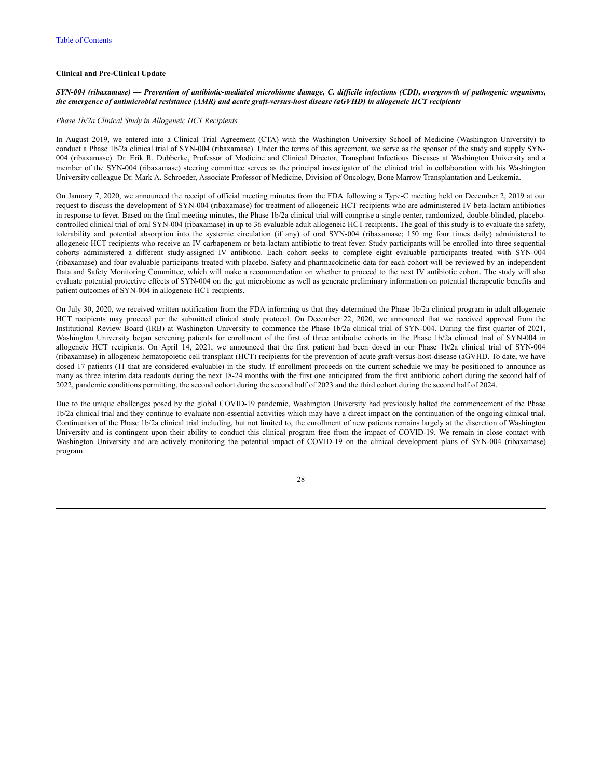### **Clinical and Pre-Clinical Update**

SYN-004 (ribaxamase) - Prevention of antibiotic-mediated microbiome damage, C. difficile infections (CDI), overgrowth of pathogenic organisms, the emergence of antimicrobial resistance (AMR) and acute graft-versus-host disease (aGVHD) in allogeneic HCT recipients

#### *Phase 1b/2a Clinical Study in Allogeneic HCT Recipients*

In August 2019, we entered into a Clinical Trial Agreement (CTA) with the Washington University School of Medicine (Washington University) to conduct a Phase 1b/2a clinical trial of SYN-004 (ribaxamase). Under the terms of this agreement, we serve as the sponsor of the study and supply SYN-004 (ribaxamase). Dr. Erik R. Dubberke, Professor of Medicine and Clinical Director, Transplant Infectious Diseases at Washington University and a member of the SYN-004 (ribaxamase) steering committee serves as the principal investigator of the clinical trial in collaboration with his Washington University colleague Dr. Mark A. Schroeder, Associate Professor of Medicine, Division of Oncology, Bone Marrow Transplantation and Leukemia.

On January 7, 2020, we announced the receipt of official meeting minutes from the FDA following a Type-C meeting held on December 2, 2019 at our request to discuss the development of SYN-004 (ribaxamase) for treatment of allogeneic HCT recipients who are administered IV beta-lactam antibiotics in response to fever. Based on the final meeting minutes, the Phase 1b/2a clinical trial will comprise a single center, randomized, double-blinded, placebocontrolled clinical trial of oral SYN-004 (ribaxamase) in up to 36 evaluable adult allogeneic HCT recipients. The goal of this study is to evaluate the safety, tolerability and potential absorption into the systemic circulation (if any) of oral SYN-004 (ribaxamase; 150 mg four times daily) administered to allogeneic HCT recipients who receive an IV carbapenem or beta-lactam antibiotic to treat fever. Study participants will be enrolled into three sequential cohorts administered a different study-assigned IV antibiotic. Each cohort seeks to complete eight evaluable participants treated with SYN-004 (ribaxamase) and four evaluable participants treated with placebo. Safety and pharmacokinetic data for each cohort will be reviewed by an independent Data and Safety Monitoring Committee, which will make a recommendation on whether to proceed to the next IV antibiotic cohort. The study will also evaluate potential protective effects of SYN-004 on the gut microbiome as well as generate preliminary information on potential therapeutic benefits and patient outcomes of SYN-004 in allogeneic HCT recipients.

On July 30, 2020, we received written notification from the FDA informing us that they determined the Phase 1b/2a clinical program in adult allogeneic HCT recipients may proceed per the submitted clinical study protocol. On December 22, 2020, we announced that we received approval from the Institutional Review Board (IRB) at Washington University to commence the Phase 1b/2a clinical trial of SYN-004. During the first quarter of 2021, Washington University began screening patients for enrollment of the first of three antibiotic cohorts in the Phase 1b/2a clinical trial of SYN-004 in allogeneic HCT recipients. On April 14, 2021, we announced that the first patient had been dosed in our Phase 1b/2a clinical trial of SYN-004 (ribaxamase) in allogeneic hematopoietic cell transplant (HCT) recipients for the prevention of acute graft-versus-host-disease (aGVHD. To date, we have dosed 17 patients (11 that are considered evaluable) in the study. If enrollment proceeds on the current schedule we may be positioned to announce as many as three interim data readouts during the next 18-24 months with the first one anticipated from the first antibiotic cohort during the second half of 2022, pandemic conditions permitting, the second cohort during the second half of 2023 and the third cohort during the second half of 2024.

Due to the unique challenges posed by the global COVID-19 pandemic, Washington University had previously halted the commencement of the Phase 1b/2a clinical trial and they continue to evaluate non-essential activities which may have a direct impact on the continuation of the ongoing clinical trial. Continuation of the Phase 1b/2a clinical trial including, but not limited to, the enrollment of new patients remains largely at the discretion of Washington University and is contingent upon their ability to conduct this clinical program free from the impact of COVID-19. We remain in close contact with Washington University and are actively monitoring the potential impact of COVID-19 on the clinical development plans of SYN-004 (ribaxamase) program.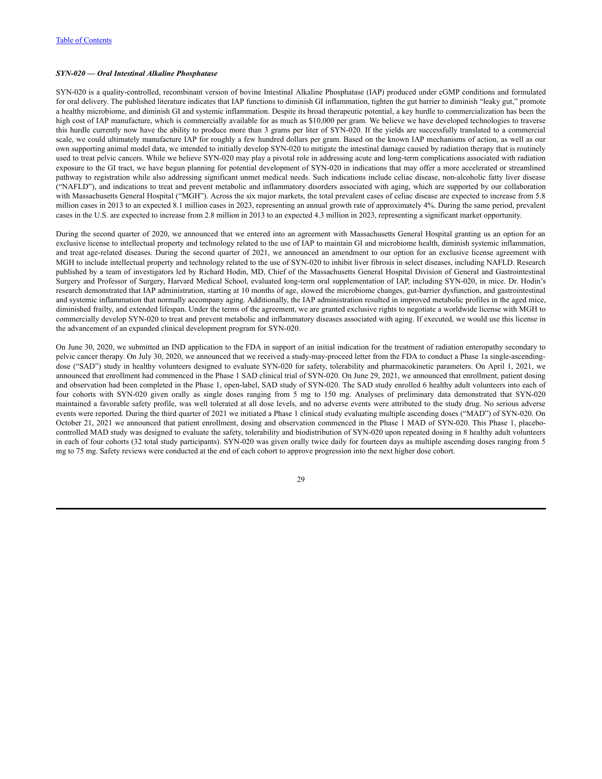## *SYN-020 — Oral Intestinal Alkaline Phosphatase*

SYN-020 is a quality-controlled, recombinant version of bovine Intestinal Alkaline Phosphatase (IAP) produced under cGMP conditions and formulated for oral delivery. The published literature indicates that IAP functions to diminish GI inflammation, tighten the gut barrier to diminish "leaky gut," promote a healthy microbiome, and diminish GI and systemic inflammation. Despite its broad therapeutic potential, a key hurdle to commercialization has been the high cost of IAP manufacture, which is commercially available for as much as \$10,000 per gram. We believe we have developed technologies to traverse this hurdle currently now have the ability to produce more than 3 grams per liter of SYN-020. If the yields are successfully translated to a commercial scale, we could ultimately manufacture IAP for roughly a few hundred dollars per gram. Based on the known IAP mechanisms of action, as well as our own supporting animal model data, we intended to initially develop SYN-020 to mitigate the intestinal damage caused by radiation therapy that is routinely used to treat pelvic cancers. While we believe SYN-020 may play a pivotal role in addressing acute and long-term complications associated with radiation exposure to the GI tract, we have begun planning for potential development of SYN-020 in indications that may offer a more accelerated or streamlined pathway to registration while also addressing significant unmet medical needs. Such indications include celiac disease, non-alcoholic fatty liver disease ("NAFLD"), and indications to treat and prevent metabolic and inflammatory disorders associated with aging, which are supported by our collaboration with Massachusetts General Hospital ("MGH"). Across the six major markets, the total prevalent cases of celiac disease are expected to increase from 5.8 million cases in 2013 to an expected 8.1 million cases in 2023, representing an annual growth rate of approximately 4%. During the same period, prevalent cases in the U.S. are expected to increase from 2.8 million in 2013 to an expected 4.3 million in 2023, representing a significant market opportunity.

During the second quarter of 2020, we announced that we entered into an agreement with Massachusetts General Hospital granting us an option for an exclusive license to intellectual property and technology related to the use of IAP to maintain GI and microbiome health, diminish systemic inflammation, and treat age-related diseases. During the second quarter of 2021, we announced an amendment to our option for an exclusive license agreement with MGH to include intellectual property and technology related to the use of SYN-020 to inhibit liver fibrosis in select diseases, including NAFLD. Research published by a team of investigators led by Richard Hodin, MD, Chief of the Massachusetts General Hospital Division of General and Gastrointestinal Surgery and Professor of Surgery, Harvard Medical School, evaluated long-term oral supplementation of IAP, including SYN-020, in mice. Dr. Hodin's research demonstrated that IAP administration, starting at 10 months of age, slowed the microbiome changes, gut-barrier dysfunction, and gastrointestinal and systemic inflammation that normally accompany aging. Additionally, the IAP administration resulted in improved metabolic profiles in the aged mice, diminished frailty, and extended lifespan. Under the terms of the agreement, we are granted exclusive rights to negotiate a worldwide license with MGH to commercially develop SYN-020 to treat and prevent metabolic and inflammatory diseases associated with aging. If executed, we would use this license in the advancement of an expanded clinical development program for SYN-020.

On June 30, 2020, we submitted an IND application to the FDA in support of an initial indication for the treatment of radiation enteropathy secondary to pelvic cancer therapy. On July 30, 2020, we announced that we received a study-may-proceed letter from the FDA to conduct a Phase 1a single-ascendingdose ("SAD") study in healthy volunteers designed to evaluate SYN-020 for safety, tolerability and pharmacokinetic parameters. On April 1, 2021, we announced that enrollment had commenced in the Phase 1 SAD clinical trial of SYN-020. On June 29, 2021, we announced that enrollment, patient dosing and observation had been completed in the Phase 1, open-label, SAD study of SYN-020. The SAD study enrolled 6 healthy adult volunteers into each of four cohorts with SYN-020 given orally as single doses ranging from 5 mg to 150 mg. Analyses of preliminary data demonstrated that SYN-020 maintained a favorable safety profile, was well tolerated at all dose levels, and no adverse events were attributed to the study drug. No serious adverse events were reported. During the third quarter of 2021 we initiated a Phase 1 clinical study evaluating multiple ascending doses ("MAD") of SYN-020. On October 21, 2021 we announced that patient enrollment, dosing and observation commenced in the Phase 1 MAD of SYN-020. This Phase 1, placebocontrolled MAD study was designed to evaluate the safety, tolerability and biodistribution of SYN-020 upon repeated dosing in 8 healthy adult volunteers in each of four cohorts (32 total study participants). SYN-020 was given orally twice daily for fourteen days as multiple ascending doses ranging from 5 mg to 75 mg. Safety reviews were conducted at the end of each cohort to approve progression into the next higher dose cohort.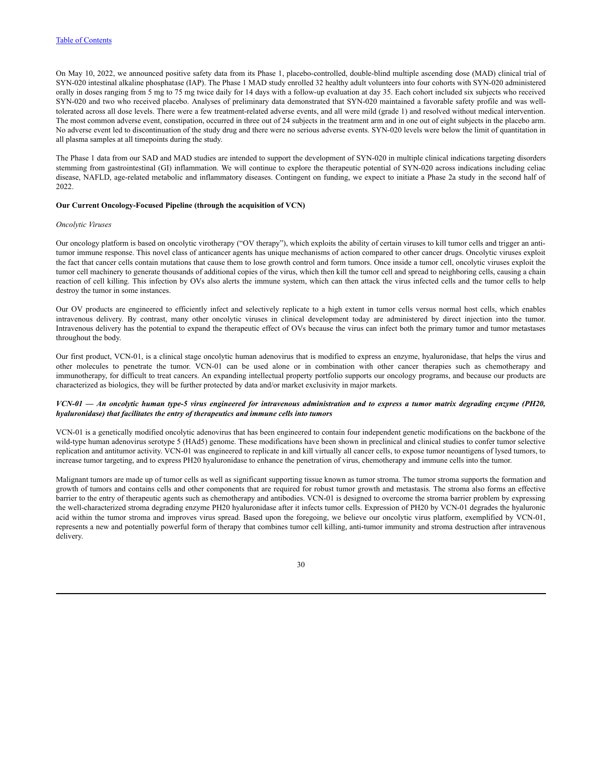On May 10, 2022, we announced positive safety data from its Phase 1, placebo-controlled, double-blind multiple ascending dose (MAD) clinical trial of SYN-020 intestinal alkaline phosphatase (IAP). The Phase 1 MAD study enrolled 32 healthy adult volunteers into four cohorts with SYN-020 administered orally in doses ranging from 5 mg to 75 mg twice daily for 14 days with a follow-up evaluation at day 35. Each cohort included six subjects who received SYN-020 and two who received placebo. Analyses of preliminary data demonstrated that SYN-020 maintained a favorable safety profile and was welltolerated across all dose levels. There were a few treatment-related adverse events, and all were mild (grade 1) and resolved without medical intervention. The most common adverse event, constipation, occurred in three out of 24 subjects in the treatment arm and in one out of eight subjects in the placebo arm. No adverse event led to discontinuation of the study drug and there were no serious adverse events. SYN-020 levels were below the limit of quantitation in all plasma samples at all timepoints during the study.

The Phase 1 data from our SAD and MAD studies are intended to support the development of SYN-020 in multiple clinical indications targeting disorders stemming from gastrointestinal (GI) inflammation. We will continue to explore the therapeutic potential of SYN-020 across indications including celiac disease, NAFLD, age-related metabolic and inflammatory diseases. Contingent on funding, we expect to initiate a Phase 2a study in the second half of 2022.

### **Our Current Oncology-Focused Pipeline (through the acquisition of VCN)**

#### *Oncolytic Viruses*

Our oncology platform is based on oncolytic virotherapy ("OV therapy"), which exploits the ability of certain viruses to kill tumor cells and trigger an antitumor immune response. This novel class of anticancer agents has unique mechanisms of action compared to other cancer drugs. Oncolytic viruses exploit the fact that cancer cells contain mutations that cause them to lose growth control and form tumors. Once inside a tumor cell, oncolytic viruses exploit the tumor cell machinery to generate thousands of additional copies of the virus, which then kill the tumor cell and spread to neighboring cells, causing a chain reaction of cell killing. This infection by OVs also alerts the immune system, which can then attack the virus infected cells and the tumor cells to help destroy the tumor in some instances.

Our OV products are engineered to efficiently infect and selectively replicate to a high extent in tumor cells versus normal host cells, which enables intravenous delivery. By contrast, many other oncolytic viruses in clinical development today are administered by direct injection into the tumor. Intravenous delivery has the potential to expand the therapeutic effect of OVs because the virus can infect both the primary tumor and tumor metastases throughout the body.

Our first product, VCN-01, is a clinical stage oncolytic human adenovirus that is modified to express an enzyme, hyaluronidase, that helps the virus and other molecules to penetrate the tumor. VCN-01 can be used alone or in combination with other cancer therapies such as chemotherapy and immunotherapy, for difficult to treat cancers. An expanding intellectual property portfolio supports our oncology programs, and because our products are characterized as biologics, they will be further protected by data and/or market exclusivity in major markets.

## VCN-01 - An oncolytic human type-5 virus engineered for intravenous administration and to express a tumor matrix degrading enzyme (PH20, *hyaluronidase) that facilitates the entry of therapeutics and immune cells into tumors*

VCN-01 is a genetically modified oncolytic adenovirus that has been engineered to contain four independent genetic modifications on the backbone of the wild-type human adenovirus serotype 5 (HAd5) genome. These modifications have been shown in preclinical and clinical studies to confer tumor selective replication and antitumor activity. VCN-01 was engineered to replicate in and kill virtually all cancer cells, to expose tumor neoantigens of lysed tumors, to increase tumor targeting, and to express PH20 hyaluronidase to enhance the penetration of virus, chemotherapy and immune cells into the tumor.

Malignant tumors are made up of tumor cells as well as significant supporting tissue known as tumor stroma. The tumor stroma supports the formation and growth of tumors and contains cells and other components that are required for robust tumor growth and metastasis. The stroma also forms an effective barrier to the entry of therapeutic agents such as chemotherapy and antibodies. VCN-01 is designed to overcome the stroma barrier problem by expressing the well-characterized stroma degrading enzyme PH20 hyaluronidase after it infects tumor cells. Expression of PH20 by VCN-01 degrades the hyaluronic acid within the tumor stroma and improves virus spread. Based upon the foregoing, we believe our oncolytic virus platform, exemplified by VCN-01, represents a new and potentially powerful form of therapy that combines tumor cell killing, anti-tumor immunity and stroma destruction after intravenous delivery.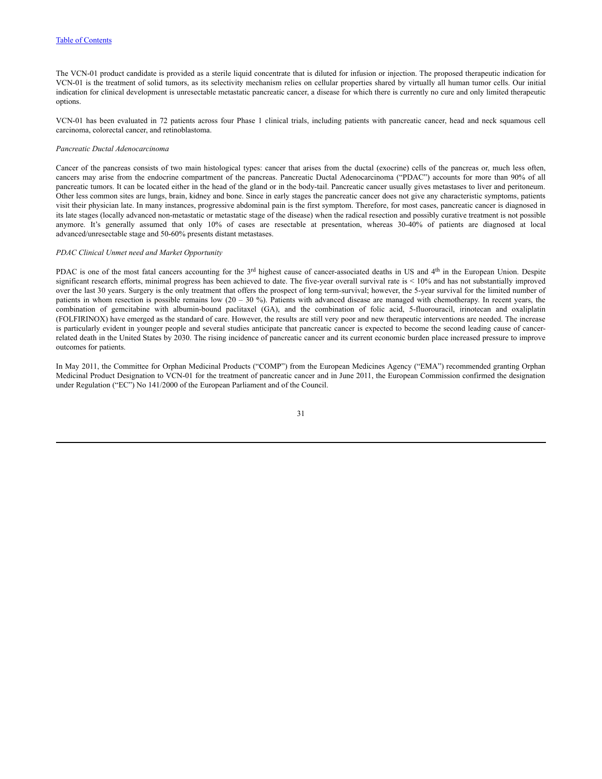The VCN-01 product candidate is provided as a sterile liquid concentrate that is diluted for infusion or injection. The proposed therapeutic indication for VCN-01 is the treatment of solid tumors, as its selectivity mechanism relies on cellular properties shared by virtually all human tumor cells. Our initial indication for clinical development is unresectable metastatic pancreatic cancer, a disease for which there is currently no cure and only limited therapeutic options.

VCN-01 has been evaluated in 72 patients across four Phase 1 clinical trials, including patients with pancreatic cancer, head and neck squamous cell carcinoma, colorectal cancer, and retinoblastoma.

## *Pancreatic Ductal Adenocarcinoma*

Cancer of the pancreas consists of two main histological types: cancer that arises from the ductal (exocrine) cells of the pancreas or, much less often, cancers may arise from the endocrine compartment of the pancreas. Pancreatic Ductal Adenocarcinoma ("PDAC") accounts for more than 90% of all pancreatic tumors. It can be located either in the head of the gland or in the body-tail. Pancreatic cancer usually gives metastases to liver and peritoneum. Other less common sites are lungs, brain, kidney and bone. Since in early stages the pancreatic cancer does not give any characteristic symptoms, patients visit their physician late. In many instances, progressive abdominal pain is the first symptom. Therefore, for most cases, pancreatic cancer is diagnosed in its late stages (locally advanced non-metastatic or metastatic stage of the disease) when the radical resection and possibly curative treatment is not possible anymore. It's generally assumed that only 10% of cases are resectable at presentation, whereas 30-40% of patients are diagnosed at local advanced/unresectable stage and 50-60% presents distant metastases.

## *PDAC Clinical Unmet need and Market Opportunity*

PDAC is one of the most fatal cancers accounting for the  $3<sup>rd</sup>$  highest cause of cancer-associated deaths in US and  $4<sup>th</sup>$  in the European Union. Despite significant research efforts, minimal progress has been achieved to date. The five-year overall survival rate is < 10% and has not substantially improved over the last 30 years. Surgery is the only treatment that offers the prospect of long term-survival; however, the 5-year survival for the limited number of patients in whom resection is possible remains low (20 – 30 %). Patients with advanced disease are managed with chemotherapy. In recent years, the combination of gemcitabine with albumin-bound paclitaxel (GA), and the combination of folic acid, 5-fluorouracil, irinotecan and oxaliplatin (FOLFIRINOX) have emerged as the standard of care. However, the results are still very poor and new therapeutic interventions are needed. The increase is particularly evident in younger people and several studies anticipate that pancreatic cancer is expected to become the second leading cause of cancerrelated death in the United States by 2030. The rising incidence of pancreatic cancer and its current economic burden place increased pressure to improve outcomes for patients.

In May 2011, the Committee for Orphan Medicinal Products ("COMP") from the European Medicines Agency ("EMA") recommended granting Orphan Medicinal Product Designation to VCN-01 for the treatment of pancreatic cancer and in June 2011, the European Commission confirmed the designation under Regulation ("EC") No 141/2000 of the European Parliament and of the Council.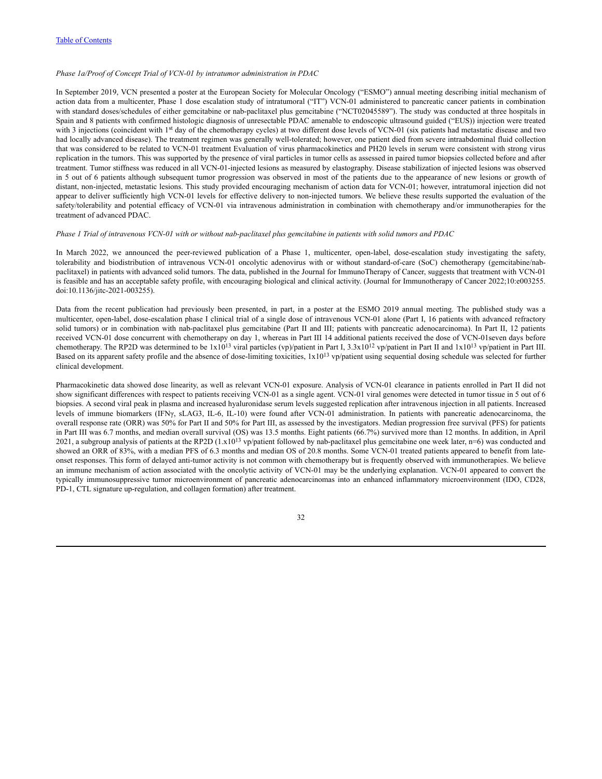## *Phase 1a/Proof of Concept Trial of VCN-01 by intratumor administration in PDAC*

In September 2019, VCN presented a poster at the European Society for Molecular Oncology ("ESMO") annual meeting describing initial mechanism of action data from a multicenter, Phase 1 dose escalation study of intratumoral ("IT") VCN-01 administered to pancreatic cancer patients in combination with standard doses/schedules of either gemcitabine or nab-paclitaxel plus gemcitabine ("NCT02045589"). The study was conducted at three hospitals in Spain and 8 patients with confirmed histologic diagnosis of unresectable PDAC amenable to endoscopic ultrasound guided ("EUS)) injection were treated with 3 injections (coincident with 1<sup>st</sup> day of the chemotherapy cycles) at two different dose levels of VCN-01 (six patients had metastatic disease and two had locally advanced disease). The treatment regimen was generally well-tolerated; however, one patient died from severe intraabdominal fluid collection that was considered to be related to VCN-01 treatment Evaluation of virus pharmacokinetics and PH20 levels in serum were consistent with strong virus replication in the tumors. This was supported by the presence of viral particles in tumor cells as assessed in paired tumor biopsies collected before and after treatment. Tumor stiffness was reduced in all VCN-01-injected lesions as measured by elastography. Disease stabilization of injected lesions was observed in 5 out of 6 patients although subsequent tumor progression was observed in most of the patients due to the appearance of new lesions or growth of distant, non-injected, metastatic lesions. This study provided encouraging mechanism of action data for VCN-01; however, intratumoral injection did not appear to deliver sufficiently high VCN-01 levels for effective delivery to non-injected tumors. We believe these results supported the evaluation of the safety/tolerability and potential efficacy of VCN-01 via intravenous administration in combination with chemotherapy and/or immunotherapies for the treatment of advanced PDAC.

### Phase 1 Trial of intravenous VCN-01 with or without nab-paclitaxel plus gemcitabine in patients with solid tumors and PDAC

In March 2022, we announced the peer-reviewed publication of a Phase 1, multicenter, open-label, dose-escalation study investigating the safety, tolerability and biodistribution of intravenous VCN-01 oncolytic adenovirus with or without standard-of-care (SoC) chemotherapy (gemcitabine/nabpaclitaxel) in patients with advanced solid tumors. The data, published in the Journal for ImmunoTherapy of Cancer, suggests that treatment with VCN-01 is feasible and has an acceptable safety profile, with encouraging biological and clinical activity. (Journal for Immunotherapy of Cancer 2022;10:e003255. doi:10.1136/jitc-2021-003255).

Data from the recent publication had previously been presented, in part, in a poster at the ESMO 2019 annual meeting. The published study was a multicenter, open-label, dose-escalation phase I clinical trial of a single dose of intravenous VCN-01 alone (Part I, 16 patients with advanced refractory solid tumors) or in combination with nab-paclitaxel plus gemcitabine (Part II and III; patients with pancreatic adenocarcinoma). In Part II, 12 patients received VCN-01 dose concurrent with chemotherapy on day 1, whereas in Part III 14 additional patients received the dose of VCN-01seven days before chemotherapy. The RP2D was determined to be  $1 \times 10^{13}$  viral particles (vp)/patient in Part I, 3.3x10<sup>12</sup> vp/patient in Part II and  $1 \times 10^{13}$  vp/patient in Part III. Based on its apparent safety profile and the absence of dose-limiting toxicities,  $1x10^{13}$  vp/patient using sequential dosing schedule was selected for further clinical development.

Pharmacokinetic data showed dose linearity, as well as relevant VCN-01 exposure. Analysis of VCN-01 clearance in patients enrolled in Part II did not show significant differences with respect to patients receiving VCN-01 as a single agent. VCN-01 viral genomes were detected in tumor tissue in 5 out of 6 biopsies. A second viral peak in plasma and increased hyaluronidase serum levels suggested replication after intravenous injection in all patients. Increased levels of immune biomarkers (IFNγ, sLAG3, IL-6, IL-10) were found after VCN-01 administration. In patients with pancreatic adenocarcinoma, the overall response rate (ORR) was 50% for Part II and 50% for Part III, as assessed by the investigators. Median progression free survival (PFS) for patients in Part III was 6.7 months, and median overall survival (OS) was 13.5 months. Eight patients (66.7%) survived more than 12 months. In addition, in April 2021, a subgroup analysis of patients at the RP2D (1.x10<sup>13</sup> vp/patient followed by nab-paclitaxel plus gemcitabine one week later, n=6) was conducted and showed an ORR of 83%, with a median PFS of 6.3 months and median OS of 20.8 months. Some VCN-01 treated patients appeared to benefit from lateonset responses. This form of delayed anti-tumor activity is not common with chemotherapy but is frequently observed with immunotherapies. We believe an immune mechanism of action associated with the oncolytic activity of VCN-01 may be the underlying explanation. VCN-01 appeared to convert the typically immunosuppressive tumor microenvironment of pancreatic adenocarcinomas into an enhanced inflammatory microenvironment (IDO, CD28, PD-1, CTL signature up-regulation, and collagen formation) after treatment.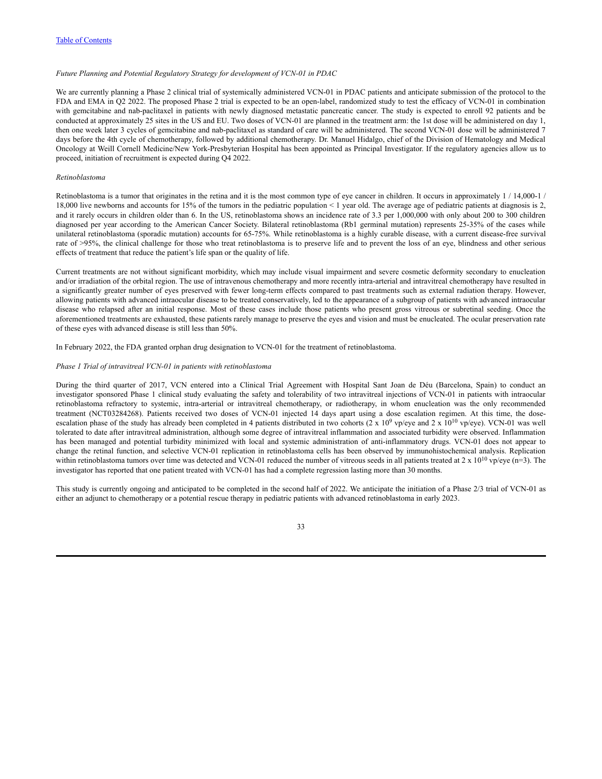## *Future Planning and Potential Regulatory Strategy for development of VCN-01 in PDAC*

We are currently planning a Phase 2 clinical trial of systemically administered VCN-01 in PDAC patients and anticipate submission of the protocol to the FDA and EMA in Q2 2022. The proposed Phase 2 trial is expected to be an open-label, randomized study to test the efficacy of VCN-01 in combination with gemcitabine and nab-paclitaxel in patients with newly diagnosed metastatic pancreatic cancer. The study is expected to enroll 92 patients and be conducted at approximately 25 sites in the US and EU. Two doses of VCN-01 are planned in the treatment arm: the 1st dose will be administered on day 1, then one week later 3 cycles of gemcitabine and nab-paclitaxel as standard of care will be administered. The second VCN-01 dose will be administered 7 days before the 4th cycle of chemotherapy, followed by additional chemotherapy. Dr. Manuel Hidalgo, chief of the Division of Hematology and Medical Oncology at Weill Cornell Medicine/New York-Presbyterian Hospital has been appointed as Principal Investigator. If the regulatory agencies allow us to proceed, initiation of recruitment is expected during Q4 2022.

## *Retinoblastoma*

Retinoblastoma is a tumor that originates in the retina and it is the most common type of eye cancer in children. It occurs in approximately 1 / 14,000-1 / 18,000 live newborns and accounts for 15% of the tumors in the pediatric population < 1 year old. The average age of pediatric patients at diagnosis is 2, and it rarely occurs in children older than 6. In the US, retinoblastoma shows an incidence rate of 3.3 per 1,000,000 with only about 200 to 300 children diagnosed per year according to the American Cancer Society. Bilateral retinoblastoma (Rb1 germinal mutation) represents 25-35% of the cases while unilateral retinoblastoma (sporadic mutation) accounts for 65-75%. While retinoblastoma is a highly curable disease, with a current disease-free survival rate of >95%, the clinical challenge for those who treat retinoblastoma is to preserve life and to prevent the loss of an eye, blindness and other serious effects of treatment that reduce the patient's life span or the quality of life.

Current treatments are not without significant morbidity, which may include visual impairment and severe cosmetic deformity secondary to enucleation and/or irradiation of the orbital region. The use of intravenous chemotherapy and more recently intra-arterial and intravitreal chemotherapy have resulted in a significantly greater number of eyes preserved with fewer long-term effects compared to past treatments such as external radiation therapy. However, allowing patients with advanced intraocular disease to be treated conservatively, led to the appearance of a subgroup of patients with advanced intraocular disease who relapsed after an initial response. Most of these cases include those patients who present gross vitreous or subretinal seeding. Once the aforementioned treatments are exhausted, these patients rarely manage to preserve the eyes and vision and must be enucleated. The ocular preservation rate of these eyes with advanced disease is still less than 50%.

In February 2022, the FDA granted orphan drug designation to VCN-01 for the treatment of retinoblastoma.

#### *Phase 1 Trial of intravitreal VCN-01 in patients with retinoblastoma*

During the third quarter of 2017, VCN entered into a Clinical Trial Agreement with Hospital Sant Joan de Déu (Barcelona, Spain) to conduct an investigator sponsored Phase 1 clinical study evaluating the safety and tolerability of two intravitreal injections of VCN-01 in patients with intraocular retinoblastoma refractory to systemic, intra-arterial or intravitreal chemotherapy, or radiotherapy, in whom enucleation was the only recommended treatment (NCT03284268). Patients received two doses of VCN-01 injected 14 days apart using a dose escalation regimen. At this time, the doseescalation phase of the study has already been completed in 4 patients distributed in two cohorts  $(2 \times 10^9 \text{ vp/eye and } 2 \times 10^{10} \text{ vp/eye})$ . VCN-01 was well tolerated to date after intravitreal administration, although some degree of intravitreal inflammation and associated turbidity were observed. Inflammation has been managed and potential turbidity minimized with local and systemic administration of anti-inflammatory drugs. VCN-01 does not appear to change the retinal function, and selective VCN-01 replication in retinoblastoma cells has been observed by immunohistochemical analysis. Replication within retinoblastoma tumors over time was detected and VCN-01 reduced the number of vitreous seeds in all patients treated at  $2 \times 10^{10}$  vp/eye (n=3). The investigator has reported that one patient treated with VCN-01 has had a complete regression lasting more than 30 months.

This study is currently ongoing and anticipated to be completed in the second half of 2022. We anticipate the initiation of a Phase 2/3 trial of VCN-01 as either an adjunct to chemotherapy or a potential rescue therapy in pediatric patients with advanced retinoblastoma in early 2023.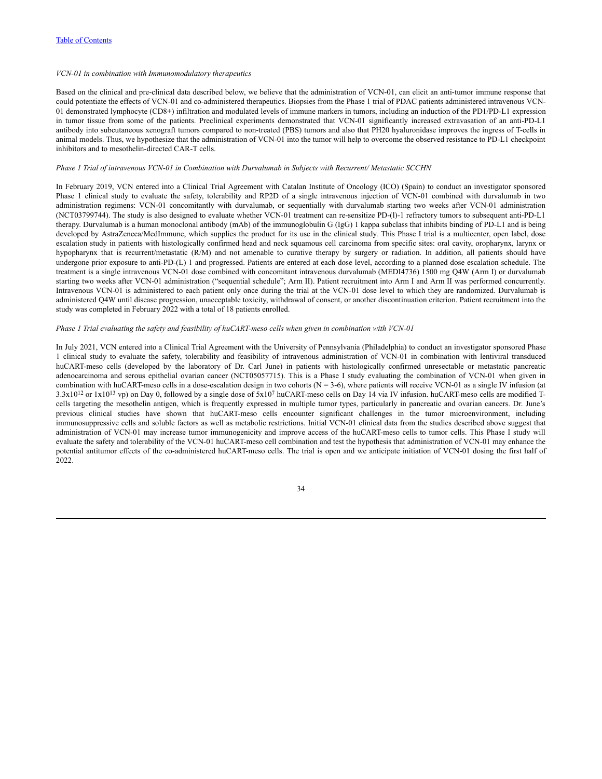#### *VCN-01 in combination with Immunomodulatory therapeutics*

Based on the clinical and pre-clinical data described below, we believe that the administration of VCN-01, can elicit an anti-tumor immune response that could potentiate the effects of VCN-01 and co-administered therapeutics. Biopsies from the Phase 1 trial of PDAC patients administered intravenous VCN-01 demonstrated lymphocyte (CD8+) infiltration and modulated levels of immune markers in tumors, including an induction of the PD1/PD-L1 expression in tumor tissue from some of the patients. Preclinical experiments demonstrated that VCN-01 significantly increased extravasation of an anti-PD-L1 antibody into subcutaneous xenograft tumors compared to non-treated (PBS) tumors and also that PH20 hyaluronidase improves the ingress of T-cells in animal models. Thus, we hypothesize that the administration of VCN-01 into the tumor will help to overcome the observed resistance to PD-L1 checkpoint inhibitors and to mesothelin-directed CAR-T cells.

### *Phase 1 Trial of intravenous VCN-01 in Combination with Durvalumab in Subjects with Recurrent/ Metastatic SCCHN*

In February 2019, VCN entered into a Clinical Trial Agreement with Catalan Institute of Oncology (ICO) (Spain) to conduct an investigator sponsored Phase 1 clinical study to evaluate the safety, tolerability and RP2D of a single intravenous injection of VCN-01 combined with durvalumab in two administration regimens: VCN-01 concomitantly with durvalumab, or sequentially with durvalumab starting two weeks after VCN-01 administration (NCT03799744). The study is also designed to evaluate whether VCN-01 treatment can re-sensitize PD-(l)-1 refractory tumors to subsequent anti-PD-L1 therapy. Durvalumab is a human monoclonal antibody (mAb) of the immunoglobulin G (IgG) 1 kappa subclass that inhibits binding of PD-L1 and is being developed by AstraZeneca/MedImmune, which supplies the product for its use in the clinical study. This Phase I trial is a multicenter, open label, dose escalation study in patients with histologically confirmed head and neck squamous cell carcinoma from specific sites: oral cavity, oropharynx, larynx or hypopharynx that is recurrent/metastatic (R/M) and not amenable to curative therapy by surgery or radiation. In addition, all patients should have undergone prior exposure to anti-PD-(L) 1 and progressed. Patients are entered at each dose level, according to a planned dose escalation schedule. The treatment is a single intravenous VCN-01 dose combined with concomitant intravenous durvalumab (MEDI4736) 1500 mg Q4W (Arm I) or durvalumab starting two weeks after VCN-01 administration ("sequential schedule"; Arm II). Patient recruitment into Arm I and Arm II was performed concurrently. Intravenous VCN-01 is administered to each patient only once during the trial at the VCN-01 dose level to which they are randomized. Durvalumab is administered Q4W until disease progression, unacceptable toxicity, withdrawal of consent, or another discontinuation criterion. Patient recruitment into the study was completed in February 2022 with a total of 18 patients enrolled.

## Phase 1 Trial evaluating the safety and feasibility of huCART-meso cells when given in combination with VCN-01

In July 2021, VCN entered into a Clinical Trial Agreement with the University of Pennsylvania (Philadelphia) to conduct an investigator sponsored Phase 1 clinical study to evaluate the safety, tolerability and feasibility of intravenous administration of VCN-01 in combination with lentiviral transduced huCART-meso cells (developed by the laboratory of Dr. Carl June) in patients with histologically confirmed unresectable or metastatic pancreatic adenocarcinoma and serous epithelial ovarian cancer (NCT05057715). This is a Phase I study evaluating the combination of VCN-01 when given in combination with huCART-meso cells in a dose-escalation design in two cohorts ( $N = 3-6$ ), where patients will receive VCN-01 as a single IV infusion (at  $3.3 \times 10^{12}$  or  $1 \times 10^{13}$  vp) on Day 0, followed by a single dose of  $5 \times 10^7$  huCART-meso cells on Day 14 via IV infusion. huCART-meso cells are modified Tcells targeting the mesothelin antigen, which is frequently expressed in multiple tumor types, particularly in pancreatic and ovarian cancers. Dr. June's previous clinical studies have shown that huCART-meso cells encounter significant challenges in the tumor microenvironment, including immunosuppressive cells and soluble factors as well as metabolic restrictions. Initial VCN-01 clinical data from the studies described above suggest that administration of VCN-01 may increase tumor immunogenicity and improve access of the huCART-meso cells to tumor cells. This Phase I study will evaluate the safety and tolerability of the VCN-01 huCART-meso cell combination and test the hypothesis that administration of VCN-01 may enhance the potential antitumor effects of the co-administered huCART-meso cells. The trial is open and we anticipate initiation of VCN-01 dosing the first half of 2022.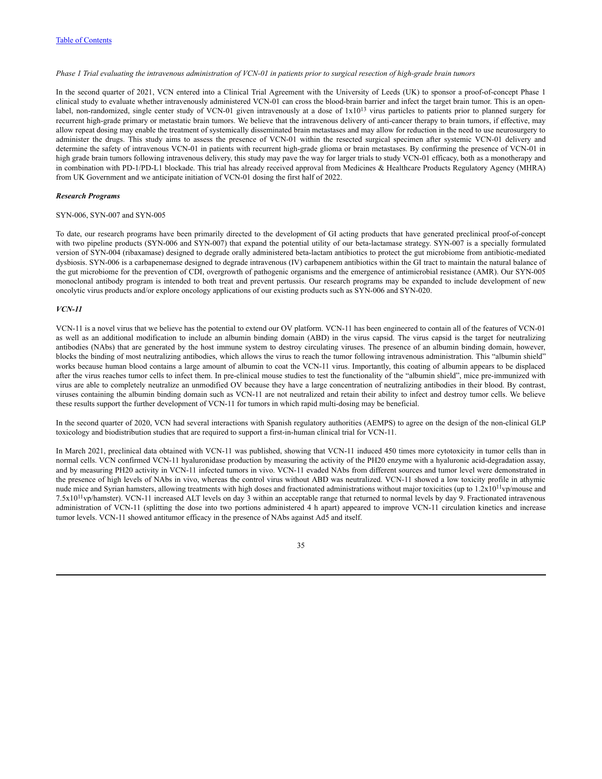## Phase 1 Trial evaluating the intravenous administration of VCN-01 in patients prior to surgical resection of high-grade brain tumors

In the second quarter of 2021, VCN entered into a Clinical Trial Agreement with the University of Leeds (UK) to sponsor a proof-of-concept Phase 1 clinical study to evaluate whether intravenously administered VCN-01 can cross the blood-brain barrier and infect the target brain tumor. This is an openlabel, non-randomized, single center study of VCN-01 given intravenously at a dose of  $1x10^{13}$  virus particles to patients prior to planned surgery for recurrent high-grade primary or metastatic brain tumors. We believe that the intravenous delivery of anti-cancer therapy to brain tumors, if effective, may allow repeat dosing may enable the treatment of systemically disseminated brain metastases and may allow for reduction in the need to use neurosurgery to administer the drugs. This study aims to assess the presence of VCN-01 within the resected surgical specimen after systemic VCN-01 delivery and determine the safety of intravenous VCN-01 in patients with recurrent high-grade glioma or brain metastases. By confirming the presence of VCN-01 in high grade brain tumors following intravenous delivery, this study may pave the way for larger trials to study VCN-01 efficacy, both as a monotherapy and in combination with PD-1/PD-L1 blockade. This trial has already received approval from Medicines & Healthcare Products Regulatory Agency (MHRA) from UK Government and we anticipate initiation of VCN-01 dosing the first half of 2022.

# *Research Programs*

#### SYN-006, SYN-007 and SYN-005

To date, our research programs have been primarily directed to the development of GI acting products that have generated preclinical proof-of-concept with two pipeline products (SYN-006 and SYN-007) that expand the potential utility of our beta-lactamase strategy. SYN-007 is a specially formulated version of SYN-004 (ribaxamase) designed to degrade orally administered beta-lactam antibiotics to protect the gut microbiome from antibiotic-mediated dysbiosis. SYN-006 is a carbapenemase designed to degrade intravenous (IV) carbapenem antibiotics within the GI tract to maintain the natural balance of the gut microbiome for the prevention of CDI, overgrowth of pathogenic organisms and the emergence of antimicrobial resistance (AMR). Our SYN-005 monoclonal antibody program is intended to both treat and prevent pertussis. Our research programs may be expanded to include development of new oncolytic virus products and/or explore oncology applications of our existing products such as SYN-006 and SYN-020.

#### *VCN-11*

VCN-11 is a novel virus that we believe has the potential to extend our OV platform. VCN-11 has been engineered to contain all of the features of VCN-01 as well as an additional modification to include an albumin binding domain (ABD) in the virus capsid. The virus capsid is the target for neutralizing antibodies (NAbs) that are generated by the host immune system to destroy circulating viruses. The presence of an albumin binding domain, however, blocks the binding of most neutralizing antibodies, which allows the virus to reach the tumor following intravenous administration. This "albumin shield" works because human blood contains a large amount of albumin to coat the VCN-11 virus. Importantly, this coating of albumin appears to be displaced after the virus reaches tumor cells to infect them. In pre-clinical mouse studies to test the functionality of the "albumin shield", mice pre-immunized with virus are able to completely neutralize an unmodified OV because they have a large concentration of neutralizing antibodies in their blood. By contrast, viruses containing the albumin binding domain such as VCN-11 are not neutralized and retain their ability to infect and destroy tumor cells. We believe these results support the further development of VCN-11 for tumors in which rapid multi-dosing may be beneficial.

In the second quarter of 2020, VCN had several interactions with Spanish regulatory authorities (AEMPS) to agree on the design of the non-clinical GLP toxicology and biodistribution studies that are required to support a first-in-human clinical trial for VCN-11.

In March 2021, preclinical data obtained with VCN-11 was published, showing that VCN-11 induced 450 times more cytotoxicity in tumor cells than in normal cells. VCN confirmed VCN-11 hyaluronidase production by measuring the activity of the PH20 enzyme with a hyaluronic acid-degradation assay, and by measuring PH20 activity in VCN-11 infected tumors in vivo. VCN-11 evaded NAbs from different sources and tumor level were demonstrated in the presence of high levels of NAbs in vivo, whereas the control virus without ABD was neutralized. VCN-11 showed a low toxicity profile in athymic nude mice and Syrian hamsters, allowing treatments with high doses and fractionated administrations without major toxicities (up to  $1.2x10^{11}$ vp/mouse and 7.5x10<sup>11</sup>vp/hamster). VCN-11 increased ALT levels on day 3 within an acceptable range that returned to normal levels by day 9. Fractionated intravenous administration of VCN-11 (splitting the dose into two portions administered 4 h apart) appeared to improve VCN-11 circulation kinetics and increase tumor levels. VCN-11 showed antitumor efficacy in the presence of NAbs against Ad5 and itself.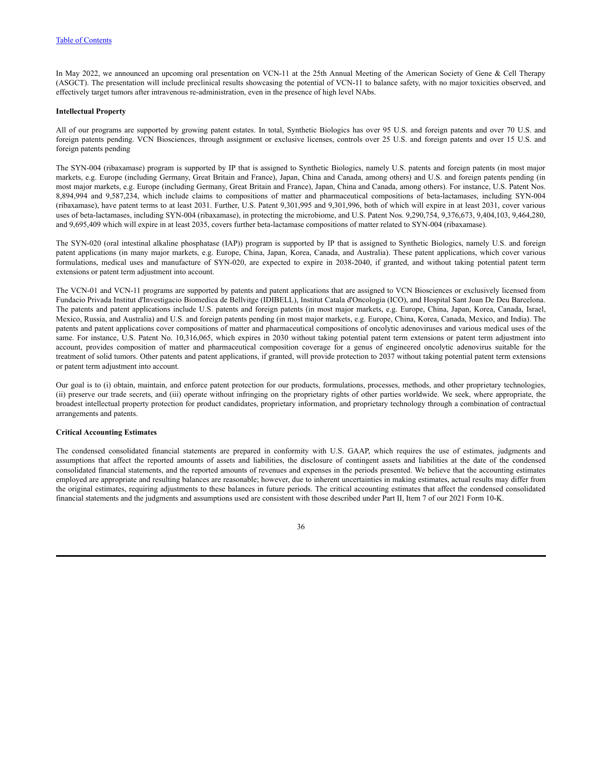In May 2022, we announced an upcoming oral presentation on VCN-11 at the 25th Annual Meeting of the American Society of Gene & Cell Therapy (ASGCT). The presentation will include preclinical results showcasing the potential of VCN-11 to balance safety, with no major toxicities observed, and effectively target tumors after intravenous re-administration, even in the presence of high level NAbs.

#### **Intellectual Property**

All of our programs are supported by growing patent estates. In total, Synthetic Biologics has over 95 U.S. and foreign patents and over 70 U.S. and foreign patents pending. VCN Biosciences, through assignment or exclusive licenses, controls over 25 U.S. and foreign patents and over 15 U.S. and foreign patents pending

The SYN-004 (ribaxamase) program is supported by IP that is assigned to Synthetic Biologics, namely U.S. patents and foreign patents (in most major markets, e.g. Europe (including Germany, Great Britain and France), Japan, China and Canada, among others) and U.S. and foreign patents pending (in most major markets, e.g. Europe (including Germany, Great Britain and France), Japan, China and Canada, among others). For instance, U.S. Patent Nos. 8,894,994 and 9,587,234, which include claims to compositions of matter and pharmaceutical compositions of beta-lactamases, including SYN-004 (ribaxamase), have patent terms to at least 2031. Further, U.S. Patent 9,301,995 and 9,301,996, both of which will expire in at least 2031, cover various uses of beta-lactamases, including SYN-004 (ribaxamase), in protecting the microbiome, and U.S. Patent Nos. 9,290,754, 9,376,673, 9,404,103, 9,464,280, and 9,695,409 which will expire in at least 2035, covers further beta-lactamase compositions of matter related to SYN-004 (ribaxamase).

The SYN-020 (oral intestinal alkaline phosphatase (IAP)) program is supported by IP that is assigned to Synthetic Biologics, namely U.S. and foreign patent applications (in many major markets, e.g. Europe, China, Japan, Korea, Canada, and Australia). These patent applications, which cover various formulations, medical uses and manufacture of SYN-020, are expected to expire in 2038-2040, if granted, and without taking potential patent term extensions or patent term adjustment into account.

The VCN-01 and VCN-11 programs are supported by patents and patent applications that are assigned to VCN Biosciences or exclusively licensed from Fundacio Privada Institut d'Investigacio Biomedica de Bellvitge (IDIBELL), Institut Catala d'Oncologia (ICO), and Hospital Sant Joan De Deu Barcelona. The patents and patent applications include U.S. patents and foreign patents (in most major markets, e.g. Europe, China, Japan, Korea, Canada, Israel, Mexico, Russia, and Australia) and U.S. and foreign patents pending (in most major markets, e.g. Europe, China, Korea, Canada, Mexico, and India). The patents and patent applications cover compositions of matter and pharmaceutical compositions of oncolytic adenoviruses and various medical uses of the same. For instance, U.S. Patent No. 10,316,065, which expires in 2030 without taking potential patent term extensions or patent term adjustment into account, provides composition of matter and pharmaceutical composition coverage for a genus of engineered oncolytic adenovirus suitable for the treatment of solid tumors. Other patents and patent applications, if granted, will provide protection to 2037 without taking potential patent term extensions or patent term adjustment into account.

Our goal is to (i) obtain, maintain, and enforce patent protection for our products, formulations, processes, methods, and other proprietary technologies, (ii) preserve our trade secrets, and (iii) operate without infringing on the proprietary rights of other parties worldwide. We seek, where appropriate, the broadest intellectual property protection for product candidates, proprietary information, and proprietary technology through a combination of contractual arrangements and patents.

### **Critical Accounting Estimates**

The condensed consolidated financial statements are prepared in conformity with U.S. GAAP, which requires the use of estimates, judgments and assumptions that affect the reported amounts of assets and liabilities, the disclosure of contingent assets and liabilities at the date of the condensed consolidated financial statements, and the reported amounts of revenues and expenses in the periods presented. We believe that the accounting estimates employed are appropriate and resulting balances are reasonable; however, due to inherent uncertainties in making estimates, actual results may differ from the original estimates, requiring adjustments to these balances in future periods. The critical accounting estimates that affect the condensed consolidated financial statements and the judgments and assumptions used are consistent with those described under Part II, Item 7 of our 2021 Form 10-K.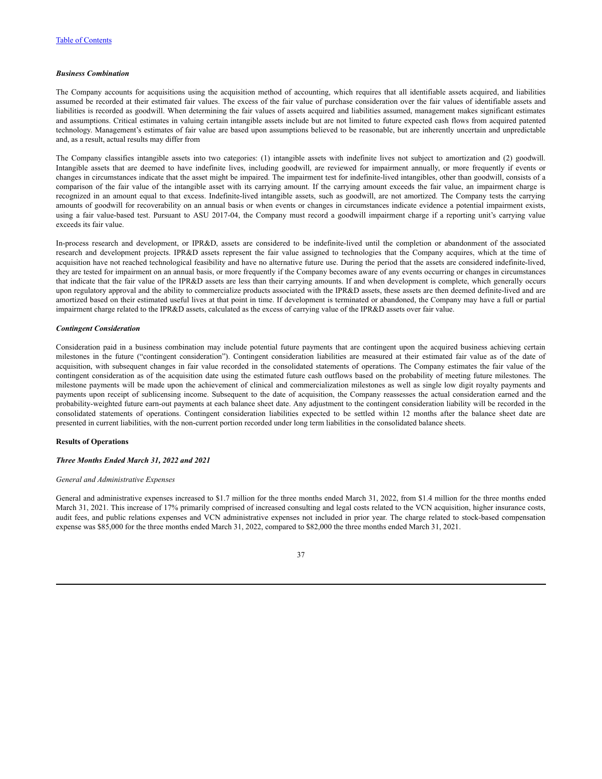### *Business Combination*

The Company accounts for acquisitions using the acquisition method of accounting, which requires that all identifiable assets acquired, and liabilities assumed be recorded at their estimated fair values. The excess of the fair value of purchase consideration over the fair values of identifiable assets and liabilities is recorded as goodwill. When determining the fair values of assets acquired and liabilities assumed, management makes significant estimates and assumptions. Critical estimates in valuing certain intangible assets include but are not limited to future expected cash flows from acquired patented technology. Management's estimates of fair value are based upon assumptions believed to be reasonable, but are inherently uncertain and unpredictable and, as a result, actual results may differ from

The Company classifies intangible assets into two categories: (1) intangible assets with indefinite lives not subject to amortization and (2) goodwill. Intangible assets that are deemed to have indefinite lives, including goodwill, are reviewed for impairment annually, or more frequently if events or changes in circumstances indicate that the asset might be impaired. The impairment test for indefinite-lived intangibles, other than goodwill, consists of a comparison of the fair value of the intangible asset with its carrying amount. If the carrying amount exceeds the fair value, an impairment charge is recognized in an amount equal to that excess. Indefinite-lived intangible assets, such as goodwill, are not amortized. The Company tests the carrying amounts of goodwill for recoverability on an annual basis or when events or changes in circumstances indicate evidence a potential impairment exists, using a fair value-based test. Pursuant to ASU 2017-04, the Company must record a goodwill impairment charge if a reporting unit's carrying value exceeds its fair value.

In-process research and development, or IPR&D, assets are considered to be indefinite-lived until the completion or abandonment of the associated research and development projects. IPR&D assets represent the fair value assigned to technologies that the Company acquires, which at the time of acquisition have not reached technological feasibility and have no alternative future use. During the period that the assets are considered indefinite-lived, they are tested for impairment on an annual basis, or more frequently if the Company becomes aware of any events occurring or changes in circumstances that indicate that the fair value of the IPR&D assets are less than their carrying amounts. If and when development is complete, which generally occurs upon regulatory approval and the ability to commercialize products associated with the IPR&D assets, these assets are then deemed definite-lived and are amortized based on their estimated useful lives at that point in time. If development is terminated or abandoned, the Company may have a full or partial impairment charge related to the IPR&D assets, calculated as the excess of carrying value of the IPR&D assets over fair value.

### *Contingent Consideration*

Consideration paid in a business combination may include potential future payments that are contingent upon the acquired business achieving certain milestones in the future ("contingent consideration"). Contingent consideration liabilities are measured at their estimated fair value as of the date of acquisition, with subsequent changes in fair value recorded in the consolidated statements of operations. The Company estimates the fair value of the contingent consideration as of the acquisition date using the estimated future cash outflows based on the probability of meeting future milestones. The milestone payments will be made upon the achievement of clinical and commercialization milestones as well as single low digit royalty payments and payments upon receipt of sublicensing income. Subsequent to the date of acquisition, the Company reassesses the actual consideration earned and the probability-weighted future earn-out payments at each balance sheet date. Any adjustment to the contingent consideration liability will be recorded in the consolidated statements of operations. Contingent consideration liabilities expected to be settled within 12 months after the balance sheet date are presented in current liabilities, with the non-current portion recorded under long term liabilities in the consolidated balance sheets.

## **Results of Operations**

#### *Three Months Ended March 31, 2022 and 2021*

### *General and Administrative Expenses*

General and administrative expenses increased to \$1.7 million for the three months ended March 31, 2022, from \$1.4 million for the three months ended March 31, 2021. This increase of 17% primarily comprised of increased consulting and legal costs related to the VCN acquisition, higher insurance costs, audit fees, and public relations expenses and VCN administrative expenses not included in prior year. The charge related to stock-based compensation expense was \$85,000 for the three months ended March 31, 2022, compared to \$82,000 the three months ended March 31, 2021.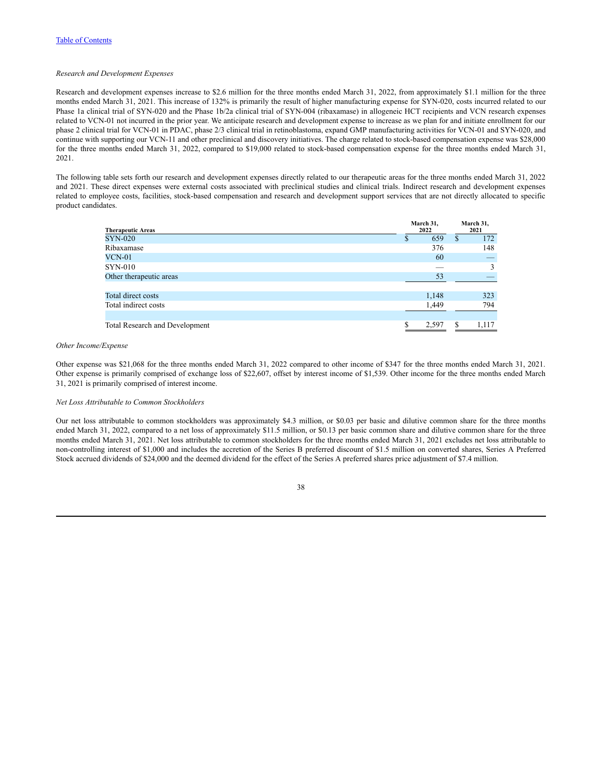## *Research and Development Expenses*

Research and development expenses increase to \$2.6 million for the three months ended March 31, 2022, from approximately \$1.1 million for the three months ended March 31, 2021. This increase of 132% is primarily the result of higher manufacturing expense for SYN-020, costs incurred related to our Phase 1a clinical trial of SYN-020 and the Phase 1b/2a clinical trial of SYN-004 (ribaxamase) in allogeneic HCT recipients and VCN research expenses related to VCN-01 not incurred in the prior year. We anticipate research and development expense to increase as we plan for and initiate enrollment for our phase 2 clinical trial for VCN-01 in PDAC, phase 2/3 clinical trial in retinoblastoma, expand GMP manufacturing activities for VCN-01 and SYN-020, and continue with supporting our VCN-11 and other preclinical and discovery initiatives. The charge related to stock-based compensation expense was \$28,000 for the three months ended March 31, 2022, compared to \$19,000 related to stock-based compensation expense for the three months ended March 31, 2021.

The following table sets forth our research and development expenses directly related to our therapeutic areas for the three months ended March 31, 2022 and 2021. These direct expenses were external costs associated with preclinical studies and clinical trials. Indirect research and development expenses related to employee costs, facilities, stock-based compensation and research and development support services that are not directly allocated to specific product candidates.

| <b>Therapeutic Areas</b>              | March 31,<br>2022 |   | March 31,<br>2021 |  |
|---------------------------------------|-------------------|---|-------------------|--|
| <b>SYN-020</b>                        | 659               | S | 172               |  |
| Ribaxamase                            | 376               |   | 148               |  |
| $VCN-01$                              | 60                |   |                   |  |
| SYN-010                               |                   |   | ٩                 |  |
| Other therapeutic areas               | 53                |   |                   |  |
|                                       |                   |   |                   |  |
| Total direct costs                    | 1,148             |   | 323               |  |
| Total indirect costs                  | 1,449             |   | 794               |  |
|                                       |                   |   |                   |  |
| <b>Total Research and Development</b> | 2,597             | S | 1,117             |  |

#### *Other Income/Expense*

Other expense was \$21,068 for the three months ended March 31, 2022 compared to other income of \$347 for the three months ended March 31, 2021. Other expense is primarily comprised of exchange loss of \$22,607, offset by interest income of \$1,539. Other income for the three months ended March 31, 2021 is primarily comprised of interest income.

#### *Net Loss Attributable to Common Stockholders*

Our net loss attributable to common stockholders was approximately \$4.3 million, or \$0.03 per basic and dilutive common share for the three months ended March 31, 2022, compared to a net loss of approximately \$11.5 million, or \$0.13 per basic common share and dilutive common share for the three months ended March 31, 2021. Net loss attributable to common stockholders for the three months ended March 31, 2021 excludes net loss attributable to non-controlling interest of \$1,000 and includes the accretion of the Series B preferred discount of \$1.5 million on converted shares, Series A Preferred Stock accrued dividends of \$24,000 and the deemed dividend for the effect of the Series A preferred shares price adjustment of \$7.4 million.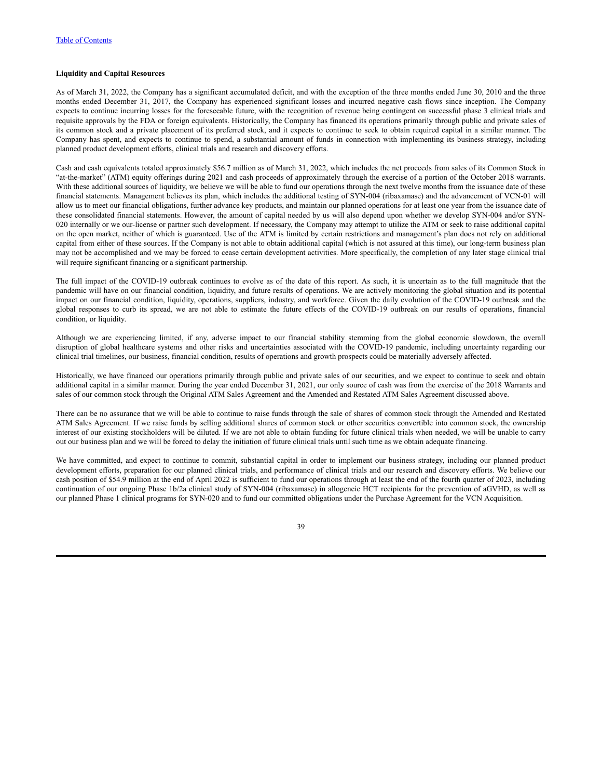## **Liquidity and Capital Resources**

As of March 31, 2022, the Company has a significant accumulated deficit, and with the exception of the three months ended June 30, 2010 and the three months ended December 31, 2017, the Company has experienced significant losses and incurred negative cash flows since inception. The Company expects to continue incurring losses for the foreseeable future, with the recognition of revenue being contingent on successful phase 3 clinical trials and requisite approvals by the FDA or foreign equivalents. Historically, the Company has financed its operations primarily through public and private sales of its common stock and a private placement of its preferred stock, and it expects to continue to seek to obtain required capital in a similar manner. The Company has spent, and expects to continue to spend, a substantial amount of funds in connection with implementing its business strategy, including planned product development efforts, clinical trials and research and discovery efforts.

Cash and cash equivalents totaled approximately \$56.7 million as of March 31, 2022, which includes the net proceeds from sales of its Common Stock in "at-the-market" (ATM) equity offerings during 2021 and cash proceeds of approximately through the exercise of a portion of the October 2018 warrants. With these additional sources of liquidity, we believe we will be able to fund our operations through the next twelve months from the issuance date of these financial statements. Management believes its plan, which includes the additional testing of SYN-004 (ribaxamase) and the advancement of VCN-01 will allow us to meet our financial obligations, further advance key products, and maintain our planned operations for at least one year from the issuance date of these consolidated financial statements. However, the amount of capital needed by us will also depend upon whether we develop SYN-004 and/or SYN-020 internally or we our-license or partner such development. If necessary, the Company may attempt to utilize the ATM or seek to raise additional capital on the open market, neither of which is guaranteed. Use of the ATM is limited by certain restrictions and management's plan does not rely on additional capital from either of these sources. If the Company is not able to obtain additional capital (which is not assured at this time), our long-term business plan may not be accomplished and we may be forced to cease certain development activities. More specifically, the completion of any later stage clinical trial will require significant financing or a significant partnership.

The full impact of the COVID-19 outbreak continues to evolve as of the date of this report. As such, it is uncertain as to the full magnitude that the pandemic will have on our financial condition, liquidity, and future results of operations. We are actively monitoring the global situation and its potential impact on our financial condition, liquidity, operations, suppliers, industry, and workforce. Given the daily evolution of the COVID-19 outbreak and the global responses to curb its spread, we are not able to estimate the future effects of the COVID-19 outbreak on our results of operations, financial condition, or liquidity.

Although we are experiencing limited, if any, adverse impact to our financial stability stemming from the global economic slowdown, the overall disruption of global healthcare systems and other risks and uncertainties associated with the COVID-19 pandemic, including uncertainty regarding our clinical trial timelines, our business, financial condition, results of operations and growth prospects could be materially adversely affected.

Historically, we have financed our operations primarily through public and private sales of our securities, and we expect to continue to seek and obtain additional capital in a similar manner. During the year ended December 31, 2021, our only source of cash was from the exercise of the 2018 Warrants and sales of our common stock through the Original ATM Sales Agreement and the Amended and Restated ATM Sales Agreement discussed above.

There can be no assurance that we will be able to continue to raise funds through the sale of shares of common stock through the Amended and Restated ATM Sales Agreement. If we raise funds by selling additional shares of common stock or other securities convertible into common stock, the ownership interest of our existing stockholders will be diluted. If we are not able to obtain funding for future clinical trials when needed, we will be unable to carry out our business plan and we will be forced to delay the initiation of future clinical trials until such time as we obtain adequate financing.

We have committed, and expect to continue to commit, substantial capital in order to implement our business strategy, including our planned product development efforts, preparation for our planned clinical trials, and performance of clinical trials and our research and discovery efforts. We believe our cash position of \$54.9 million at the end of April 2022 is sufficient to fund our operations through at least the end of the fourth quarter of 2023, including continuation of our ongoing Phase 1b/2a clinical study of SYN-004 (ribaxamase) in allogeneic HCT recipients for the prevention of aGVHD, as well as our planned Phase 1 clinical programs for SYN-020 and to fund our committed obligations under the Purchase Agreement for the VCN Acquisition.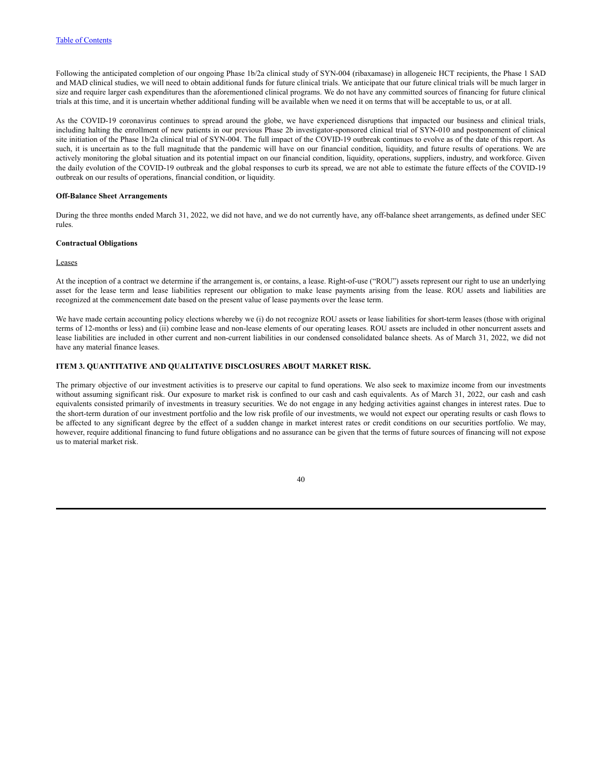Following the anticipated completion of our ongoing Phase 1b/2a clinical study of SYN-004 (ribaxamase) in allogeneic HCT recipients, the Phase 1 SAD and MAD clinical studies, we will need to obtain additional funds for future clinical trials. We anticipate that our future clinical trials will be much larger in size and require larger cash expenditures than the aforementioned clinical programs. We do not have any committed sources of financing for future clinical trials at this time, and it is uncertain whether additional funding will be available when we need it on terms that will be acceptable to us, or at all.

As the COVID-19 coronavirus continues to spread around the globe, we have experienced disruptions that impacted our business and clinical trials, including halting the enrollment of new patients in our previous Phase 2b investigator-sponsored clinical trial of SYN-010 and postponement of clinical site initiation of the Phase 1b/2a clinical trial of SYN-004. The full impact of the COVID-19 outbreak continues to evolve as of the date of this report. As such, it is uncertain as to the full magnitude that the pandemic will have on our financial condition, liquidity, and future results of operations. We are actively monitoring the global situation and its potential impact on our financial condition, liquidity, operations, suppliers, industry, and workforce. Given the daily evolution of the COVID-19 outbreak and the global responses to curb its spread, we are not able to estimate the future effects of the COVID-19 outbreak on our results of operations, financial condition, or liquidity.

### **Off-Balance Sheet Arrangements**

During the three months ended March 31, 2022, we did not have, and we do not currently have, any off-balance sheet arrangements, as defined under SEC rules.

#### **Contractual Obligations**

#### Leases

At the inception of a contract we determine if the arrangement is, or contains, a lease. Right-of-use ("ROU") assets represent our right to use an underlying asset for the lease term and lease liabilities represent our obligation to make lease payments arising from the lease. ROU assets and liabilities are recognized at the commencement date based on the present value of lease payments over the lease term.

We have made certain accounting policy elections whereby we (i) do not recognize ROU assets or lease liabilities for short-term leases (those with original terms of 12-months or less) and (ii) combine lease and non-lease elements of our operating leases. ROU assets are included in other noncurrent assets and lease liabilities are included in other current and non-current liabilities in our condensed consolidated balance sheets. As of March 31, 2022, we did not have any material finance leases.

#### <span id="page-40-0"></span>**ITEM 3. QUANTITATIVE AND QUALITATIVE DISCLOSURES ABOUT MARKET RISK.**

The primary objective of our investment activities is to preserve our capital to fund operations. We also seek to maximize income from our investments without assuming significant risk. Our exposure to market risk is confined to our cash and cash equivalents. As of March 31, 2022, our cash and cash equivalents consisted primarily of investments in treasury securities. We do not engage in any hedging activities against changes in interest rates. Due to the short-term duration of our investment portfolio and the low risk profile of our investments, we would not expect our operating results or cash flows to be affected to any significant degree by the effect of a sudden change in market interest rates or credit conditions on our securities portfolio. We may, however, require additional financing to fund future obligations and no assurance can be given that the terms of future sources of financing will not expose us to material market risk.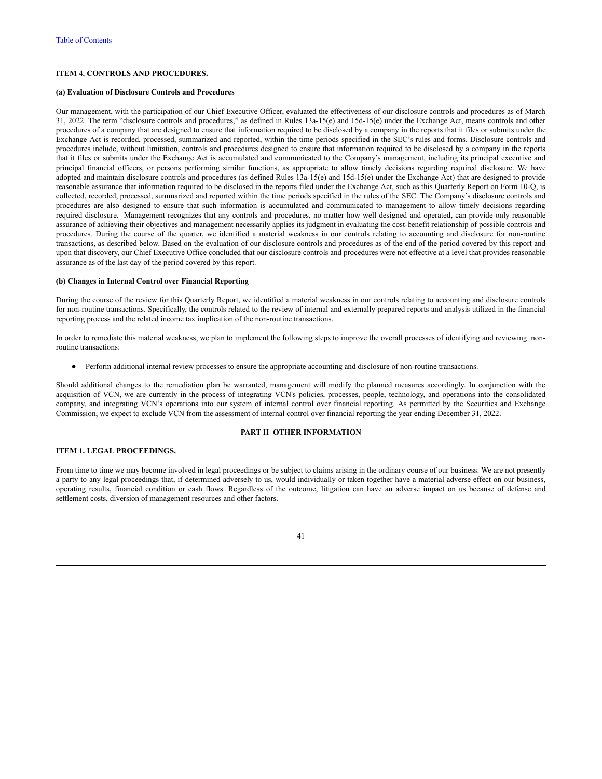## <span id="page-41-0"></span>**ITEM 4. CONTROLS AND PROCEDURES.**

#### **(a) Evaluation of Disclosure Controls and Procedures**

Our management, with the participation of our Chief Executive Officer, evaluated the effectiveness of our disclosure controls and procedures as of March 31, 2022. The term "disclosure controls and procedures," as defined in Rules 13a-15(e) and 15d-15(e) under the Exchange Act, means controls and other procedures of a company that are designed to ensure that information required to be disclosed by a company in the reports that it files or submits under the Exchange Act is recorded, processed, summarized and reported, within the time periods specified in the SEC's rules and forms. Disclosure controls and procedures include, without limitation, controls and procedures designed to ensure that information required to be disclosed by a company in the reports that it files or submits under the Exchange Act is accumulated and communicated to the Company's management, including its principal executive and principal financial officers, or persons performing similar functions, as appropriate to allow timely decisions regarding required disclosure. We have adopted and maintain disclosure controls and procedures (as defined Rules  $13a-15(e)$  and  $15d-15(e)$  under the Exchange Act) that are designed to provide reasonable assurance that information required to be disclosed in the reports filed under the Exchange Act, such as this Quarterly Report on Form 10-Q, is collected, recorded, processed, summarized and reported within the time periods specified in the rules of the SEC. The Company's disclosure controls and procedures are also designed to ensure that such information is accumulated and communicated to management to allow timely decisions regarding required disclosure. Management recognizes that any controls and procedures, no matter how well designed and operated, can provide only reasonable assurance of achieving their objectives and management necessarily applies its judgment in evaluating the cost-benefit relationship of possible controls and procedures. During the course of the quarter, we identified a material weakness in our controls relating to accounting and disclosure for non-routine transactions, as described below. Based on the evaluation of our disclosure controls and procedures as of the end of the period covered by this report and upon that discovery, our Chief Executive Office concluded that our disclosure controls and procedures were not effective at a level that provides reasonable assurance as of the last day of the period covered by this report.

## **(b) Changes in Internal Control over Financial Reporting**

During the course of the review for this Quarterly Report, we identified a material weakness in our controls relating to accounting and disclosure controls for non-routine transactions. Specifically, the controls related to the review of internal and externally prepared reports and analysis utilized in the financial reporting process and the related income tax implication of the non-routine transactions.

In order to remediate this material weakness, we plan to implement the following steps to improve the overall processes of identifying and reviewing nonroutine transactions:

● Perform additional internal review processes to ensure the appropriate accounting and disclosure of non-routine transactions.

Should additional changes to the remediation plan be warranted, management will modify the planned measures accordingly. In conjunction with the acquisition of VCN, we are currently in the process of integrating VCN's policies, processes, people, technology, and operations into the consolidated company, and integrating VCN's operations into our system of internal control over financial reporting. As permitted by the Securities and Exchange Commission, we expect to exclude VCN from the assessment of internal control over financial reporting the year ending December 31, 2022.

## **PART II–OTHER INFORMATION**

#### <span id="page-41-2"></span><span id="page-41-1"></span>**ITEM 1. LEGAL PROCEEDINGS.**

From time to time we may become involved in legal proceedings or be subject to claims arising in the ordinary course of our business. We are not presently a party to any legal proceedings that, if determined adversely to us, would individually or taken together have a material adverse effect on our business, operating results, financial condition or cash flows. Regardless of the outcome, litigation can have an adverse impact on us because of defense and settlement costs, diversion of management resources and other factors.

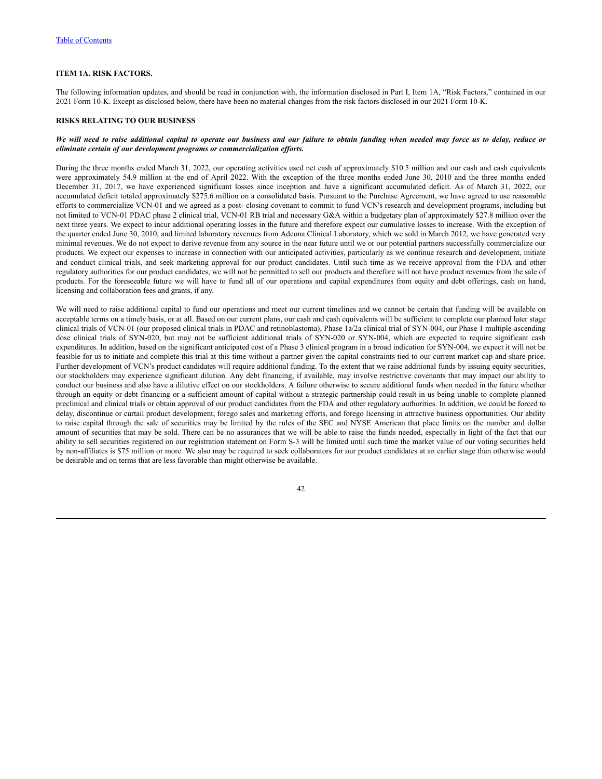### <span id="page-42-0"></span>**ITEM 1A. RISK FACTORS.**

The following information updates, and should be read in conjunction with, the information disclosed in Part I, Item 1A, "Risk Factors," contained in our 2021 Form 10-K. Except as disclosed below, there have been no material changes from the risk factors disclosed in our 2021 Form 10-K.

### **RISKS RELATING TO OUR BUSINESS**

#### We will need to raise additional capital to operate our business and our failure to obtain funding when needed may force us to delay, reduce or *eliminate certain of our development programs or commercialization ef orts.*

During the three months ended March 31, 2022, our operating activities used net cash of approximately \$10.5 million and our cash and cash equivalents were approximately 54.9 million at the end of April 2022. With the exception of the three months ended June 30, 2010 and the three months ended December 31, 2017, we have experienced significant losses since inception and have a significant accumulated deficit. As of March 31, 2022, our accumulated deficit totaled approximately \$275.6 million on a consolidated basis. Pursuant to the Purchase Agreement, we have agreed to use reasonable efforts to commercialize VCN-01 and we agreed as a post- closing covenant to commit to fund VCN's research and development programs, including but not limited to VCN-01 PDAC phase 2 clinical trial, VCN-01 RB trial and necessary G&A within a budgetary plan of approximately \$27.8 million over the next three years. We expect to incur additional operating losses in the future and therefore expect our cumulative losses to increase. With the exception of the quarter ended June 30, 2010, and limited laboratory revenues from Adeona Clinical Laboratory, which we sold in March 2012, we have generated very minimal revenues. We do not expect to derive revenue from any source in the near future until we or our potential partners successfully commercialize our products. We expect our expenses to increase in connection with our anticipated activities, particularly as we continue research and development, initiate and conduct clinical trials, and seek marketing approval for our product candidates. Until such time as we receive approval from the FDA and other regulatory authorities for our product candidates, we will not be permitted to sell our products and therefore will not have product revenues from the sale of products. For the foreseeable future we will have to fund all of our operations and capital expenditures from equity and debt offerings, cash on hand, licensing and collaboration fees and grants, if any.

We will need to raise additional capital to fund our operations and meet our current timelines and we cannot be certain that funding will be available on acceptable terms on a timely basis, or at all. Based on our current plans, our cash and cash equivalents will be sufficient to complete our planned later stage clinical trials of VCN-01 (our proposed clinical trials in PDAC and retinoblastoma), Phase 1a/2a clinical trial of SYN-004, our Phase 1 multiple-ascending dose clinical trials of SYN-020, but may not be sufficient additional trials of SYN-020 or SYN-004, which are expected to require significant cash expenditures. In addition, based on the significant anticipated cost of a Phase 3 clinical program in a broad indication for SYN-004, we expect it will not be feasible for us to initiate and complete this trial at this time without a partner given the capital constraints tied to our current market cap and share price. Further development of VCN's product candidates will require additional funding. To the extent that we raise additional funds by issuing equity securities, our stockholders may experience significant dilution. Any debt financing, if available, may involve restrictive covenants that may impact our ability to conduct our business and also have a dilutive effect on our stockholders. A failure otherwise to secure additional funds when needed in the future whether through an equity or debt financing or a sufficient amount of capital without a strategic partnership could result in us being unable to complete planned preclinical and clinical trials or obtain approval of our product candidates from the FDA and other regulatory authorities. In addition, we could be forced to delay, discontinue or curtail product development, forego sales and marketing efforts, and forego licensing in attractive business opportunities. Our ability to raise capital through the sale of securities may be limited by the rules of the SEC and NYSE American that place limits on the number and dollar amount of securities that may be sold. There can be no assurances that we will be able to raise the funds needed, especially in light of the fact that our ability to sell securities registered on our registration statement on Form S-3 will be limited until such time the market value of our voting securities held by non-affiliates is \$75 million or more. We also may be required to seek collaborators for our product candidates at an earlier stage than otherwise would be desirable and on terms that are less favorable than might otherwise be available.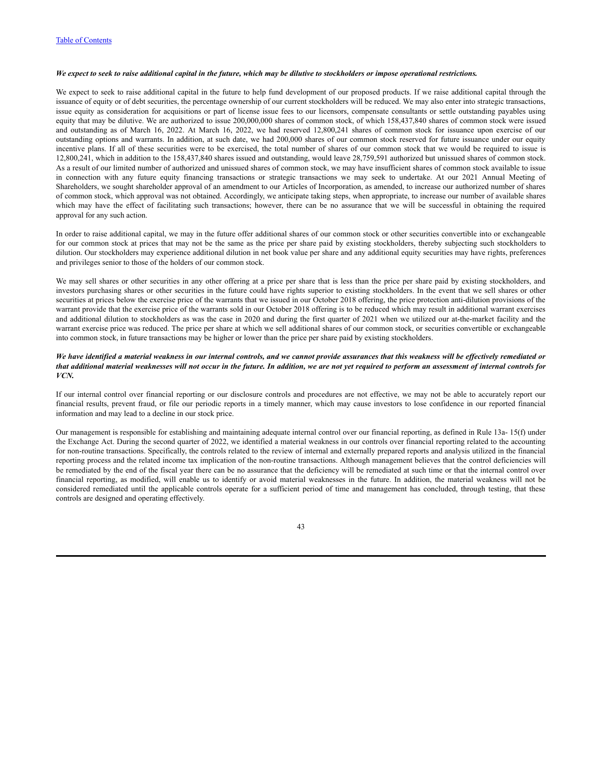## We expect to seek to raise additional capital in the future, which may be dilutive to stockholders or impose operational restrictions.

We expect to seek to raise additional capital in the future to help fund development of our proposed products. If we raise additional capital through the issuance of equity or of debt securities, the percentage ownership of our current stockholders will be reduced. We may also enter into strategic transactions, issue equity as consideration for acquisitions or part of license issue fees to our licensors, compensate consultants or settle outstanding payables using equity that may be dilutive. We are authorized to issue 200,000,000 shares of common stock, of which 158,437,840 shares of common stock were issued and outstanding as of March 16, 2022. At March 16, 2022, we had reserved 12,800,241 shares of common stock for issuance upon exercise of our outstanding options and warrants. In addition, at such date, we had 200,000 shares of our common stock reserved for future issuance under our equity incentive plans. If all of these securities were to be exercised, the total number of shares of our common stock that we would be required to issue is 12,800,241, which in addition to the 158,437,840 shares issued and outstanding, would leave 28,759,591 authorized but unissued shares of common stock. As a result of our limited number of authorized and unissued shares of common stock, we may have insufficient shares of common stock available to issue in connection with any future equity financing transactions or strategic transactions we may seek to undertake. At our 2021 Annual Meeting of Shareholders, we sought shareholder approval of an amendment to our Articles of Incorporation, as amended, to increase our authorized number of shares of common stock, which approval was not obtained. Accordingly, we anticipate taking steps, when appropriate, to increase our number of available shares which may have the effect of facilitating such transactions; however, there can be no assurance that we will be successful in obtaining the required approval for any such action.

In order to raise additional capital, we may in the future offer additional shares of our common stock or other securities convertible into or exchangeable for our common stock at prices that may not be the same as the price per share paid by existing stockholders, thereby subjecting such stockholders to dilution. Our stockholders may experience additional dilution in net book value per share and any additional equity securities may have rights, preferences and privileges senior to those of the holders of our common stock.

We may sell shares or other securities in any other offering at a price per share that is less than the price per share paid by existing stockholders, and investors purchasing shares or other securities in the future could have rights superior to existing stockholders. In the event that we sell shares or other securities at prices below the exercise price of the warrants that we issued in our October 2018 offering, the price protection anti-dilution provisions of the warrant provide that the exercise price of the warrants sold in our October 2018 offering is to be reduced which may result in additional warrant exercises and additional dilution to stockholders as was the case in 2020 and during the first quarter of 2021 when we utilized our at-the-market facility and the warrant exercise price was reduced. The price per share at which we sell additional shares of our common stock, or securities convertible or exchangeable into common stock, in future transactions may be higher or lower than the price per share paid by existing stockholders.

## We have identified a material weakness in our internal controls, and we cannot provide assurances that this weakness will be effectively remediated or that additional material weaknesses will not occur in the future. In addition, we are not yet required to perform an assessment of internal controls for *VCN.*

If our internal control over financial reporting or our disclosure controls and procedures are not effective, we may not be able to accurately report our financial results, prevent fraud, or file our periodic reports in a timely manner, which may cause investors to lose confidence in our reported financial information and may lead to a decline in our stock price.

Our management is responsible for establishing and maintaining adequate internal control over our financial reporting, as defined in Rule 13a- 15(f) under the Exchange Act. During the second quarter of 2022, we identified a material weakness in our controls over financial reporting related to the accounting for non-routine transactions. Specifically, the controls related to the review of internal and externally prepared reports and analysis utilized in the financial reporting process and the related income tax implication of the non-routine transactions. Although management believes that the control deficiencies will be remediated by the end of the fiscal year there can be no assurance that the deficiency will be remediated at such time or that the internal control over financial reporting, as modified, will enable us to identify or avoid material weaknesses in the future. In addition, the material weakness will not be considered remediated until the applicable controls operate for a sufficient period of time and management has concluded, through testing, that these controls are designed and operating effectively.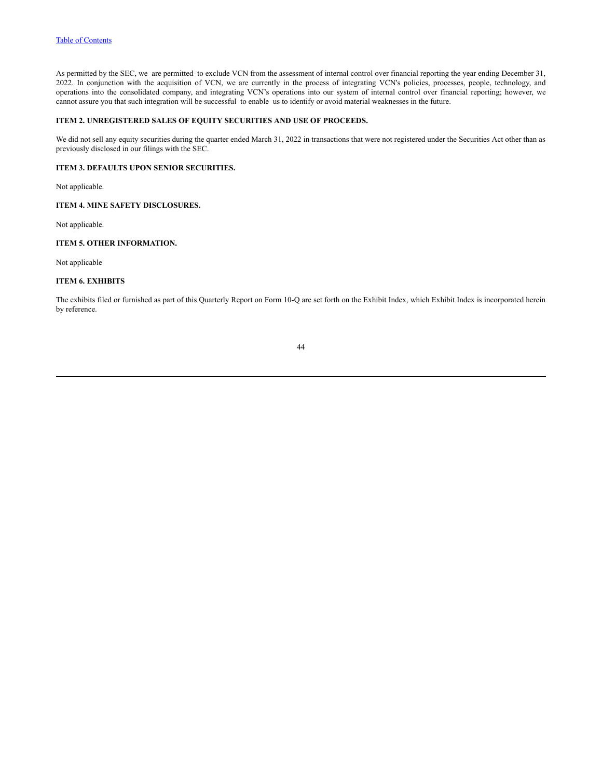As permitted by the SEC, we are permitted to exclude VCN from the assessment of internal control over financial reporting the year ending December 31, 2022. In conjunction with the acquisition of VCN, we are currently in the process of integrating VCN's policies, processes, people, technology, and operations into the consolidated company, and integrating VCN's operations into our system of internal control over financial reporting; however, we cannot assure you that such integration will be successful to enable us to identify or avoid material weaknesses in the future.

# <span id="page-44-0"></span>**ITEM 2. UNREGISTERED SALES OF EQUITY SECURITIES AND USE OF PROCEEDS.**

We did not sell any equity securities during the quarter ended March 31, 2022 in transactions that were not registered under the Securities Act other than as previously disclosed in our filings with the SEC.

# <span id="page-44-1"></span>**ITEM 3. DEFAULTS UPON SENIOR SECURITIES.**

Not applicable.

### <span id="page-44-2"></span>**ITEM 4. MINE SAFETY DISCLOSURES.**

Not applicable.

# <span id="page-44-3"></span>**ITEM 5. OTHER INFORMATION.**

Not applicable

# <span id="page-44-4"></span>**ITEM 6. EXHIBITS**

The exhibits filed or furnished as part of this Quarterly Report on Form 10-Q are set forth on the Exhibit Index, which Exhibit Index is incorporated herein by reference.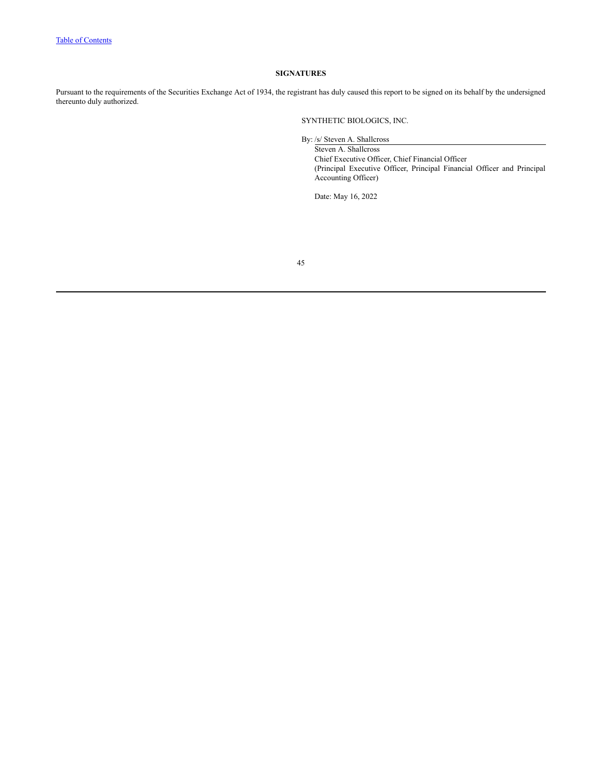## **SIGNATURES**

<span id="page-45-0"></span>Pursuant to the requirements of the Securities Exchange Act of 1934, the registrant has duly caused this report to be signed on its behalf by the undersigned thereunto duly authorized.

SYNTHETIC BIOLOGICS, INC.

By: /s/ Steven A. Shallcross

Steven A. Shallcross Chief Executive Officer, Chief Financial Officer (Principal Executive Officer, Principal Financial Officer and Principal Accounting Officer)

Date: May 16, 2022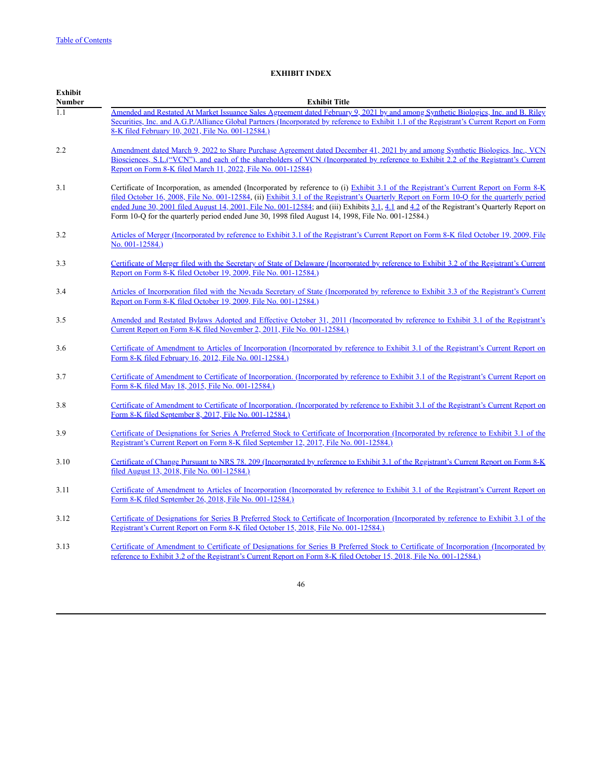# **EXHIBIT INDEX**

| <b>Exhibit</b><br><b>Number</b> | <b>Exhibit Title</b>                                                                                                                                                                                                                                                                                                                                                                                                                                                                                                                 |
|---------------------------------|--------------------------------------------------------------------------------------------------------------------------------------------------------------------------------------------------------------------------------------------------------------------------------------------------------------------------------------------------------------------------------------------------------------------------------------------------------------------------------------------------------------------------------------|
| 11                              | Amended and Restated At Market Issuance Sales Agreement dated February 9, 2021 by and among Synthetic Biologics, Inc. and B. Riley<br>Securities, Inc. and A.G.P./Alliance Global Partners (Incorporated by reference to Exhibit 1.1 of the Registrant's Current Report on Form<br>8-K filed February 10, 2021, File No. 001-12584.)                                                                                                                                                                                                 |
| 2.2                             | <u>Amendment dated March 9, 2022 to Share Purchase Agreement dated December 41, 2021 by and among Synthetic Biologics, Inc., VCN</u><br>Biosciences, S.L.("VCN"), and each of the shareholders of VCN (Incorporated by reference to Exhibit 2.2 of the Registrant's Current<br>Report on Form 8-K filed March 11, 2022, File No. 001-12584)                                                                                                                                                                                          |
| 3.1                             | Certificate of Incorporation, as amended (Incorporated by reference to (i) Exhibit 3.1 of the Registrant's Current Report on Form 8-K<br>filed October 16, 2008, File No. 001-12584, (ii) Exhibit 3.1 of the Registrant's Quarterly Report on Form 10-Q for the quarterly period<br>ended June 30, 2001 filed August 14, 2001, File No. 001-12584; and (iii) Exhibits 3.1, 4.1 and 4.2 of the Registrant's Quarterly Report on<br>Form 10-Q for the quarterly period ended June 30, 1998 filed August 14, 1998, File No. 001-12584.) |
| 3.2                             | Articles of Merger (Incorporated by reference to Exhibit 3.1 of the Registrant's Current Report on Form 8-K filed October 19, 2009, File<br>No. 001-12584.)                                                                                                                                                                                                                                                                                                                                                                          |
| 3.3                             | Certificate of Merger filed with the Secretary of State of Delaware (Incorporated by reference to Exhibit 3.2 of the Registrant's Current<br>Report on Form 8-K filed October 19, 2009, File No. 001-12584.)                                                                                                                                                                                                                                                                                                                         |
| 3.4                             | Articles of Incorporation filed with the Nevada Secretary of State (Incorporated by reference to Exhibit 3.3 of the Registrant's Current<br>Report on Form 8-K filed October 19, 2009, File No. 001-12584.)                                                                                                                                                                                                                                                                                                                          |
| 3.5                             | Amended and Restated Bylaws Adopted and Effective October 31, 2011 (Incorporated by reference to Exhibit 3.1 of the Registrant's<br>Current Report on Form 8-K filed November 2, 2011, File No. 001-12584.)                                                                                                                                                                                                                                                                                                                          |
| 3.6                             | Certificate of Amendment to Articles of Incorporation (Incorporated by reference to Exhibit 3.1 of the Registrant's Current Report on<br>Form 8-K filed February 16, 2012, File No. 001-12584.)                                                                                                                                                                                                                                                                                                                                      |
| 3.7                             | Certificate of Amendment to Certificate of Incorporation. (Incorporated by reference to Exhibit 3.1 of the Registrant's Current Report on<br>Form 8-K filed May 18, 2015, File No. 001-12584.)                                                                                                                                                                                                                                                                                                                                       |
| 3.8                             | Certificate of Amendment to Certificate of Incorporation. (Incorporated by reference to Exhibit 3.1 of the Registrant's Current Report on<br>Form 8-K filed September 8, 2017, File No. 001-12584.)                                                                                                                                                                                                                                                                                                                                  |
| 3.9                             | Certificate of Designations for Series A Preferred Stock to Certificate of Incorporation (Incorporated by reference to Exhibit 3.1 of the<br>Registrant's Current Report on Form 8-K filed September 12, 2017, File No. 001-12584.)                                                                                                                                                                                                                                                                                                  |
| 3.10                            | Certificate of Change Pursuant to NRS 78, 209 (Incorporated by reference to Exhibit 3.1 of the Registrant's Current Report on Form 8-K<br>filed August 13, 2018, File No. 001-12584.)                                                                                                                                                                                                                                                                                                                                                |
| 3.11                            | Certificate of Amendment to Articles of Incorporation (Incorporated by reference to Exhibit 3.1 of the Registrant's Current Report on<br>Form 8-K filed September 26, 2018, File No. 001-12584.)                                                                                                                                                                                                                                                                                                                                     |
| 3.12                            | Certificate of Designations for Series B Preferred Stock to Certificate of Incorporation (Incorporated by reference to Exhibit 3.1 of the<br>Registrant's Current Report on Form 8-K filed October 15, 2018, File No. 001-12584.)                                                                                                                                                                                                                                                                                                    |
| 3.13                            | Certificate of Amendment to Certificate of Designations for Series B Preferred Stock to Certificate of Incorporation (Incorporated by<br>reference to Exhibit 3.2 of the Registrant's Current Report on Form 8-K filed October 15, 2018, File No. 001-12584.)                                                                                                                                                                                                                                                                        |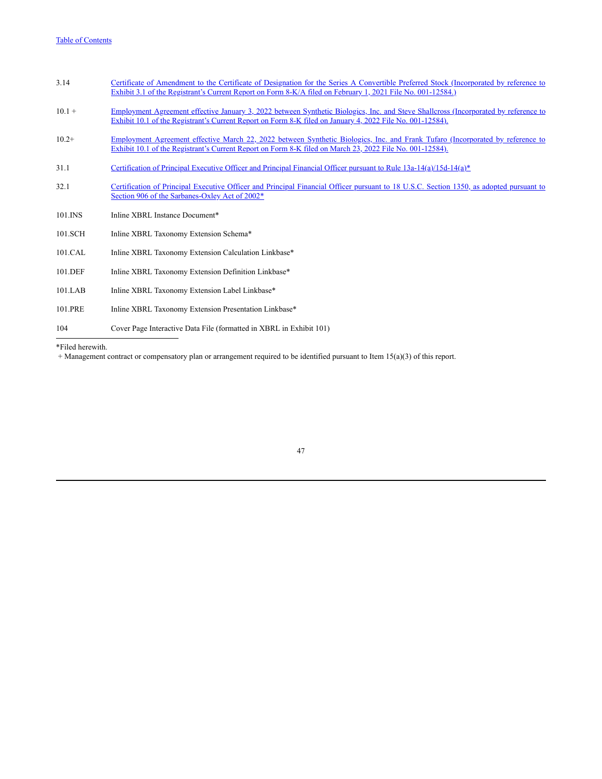- 3.14 Certificate of Amendment to the Certificate of Designation for the Series A Convertible Preferred Stock [\(Incorporated](https://www.sec.gov/Archives/edgar/data/894158/000110465921009794/tm214840d1_ex3-1.htm) by reference to Exhibit 3.1 of the Registrant's Current Report on Form 8-K/A filed on February 1, 2021 File No. 001-12584.)
- 10.1 + Employment Agreement effective January 3, 2022 between Synthetic Biologics, Inc. and Steve Shallcross [\(Incorporated](https://www.sec.gov/Archives/edgar/data/894158/000110465922000998/tm221380d1_ex10-1.htm) by reference to Exhibit 10.1 of the Registrant's Current Report on Form 8-K filed on January 4, 2022 File No. 001-12584).
- 10.2+ Employment Agreement effective March 22, 2022 between Synthetic Biologics, Inc. and Frank Tufaro [\(Incorporated](https://www.sec.gov/Archives/edgar/data/894158/000110465922036805/tm2210202d1_ex10-1.htm) by reference to Exhibit 10.1 of the Registrant's Current Report on Form 8-K filed on March 23, 2022 File No. 001-12584).
- 31.1 Certification of Principal Executive Officer and Principal Financial Officer pursuant to Rule  $13a-14(a)/15d-14(a)^*$
- 32.1 Certification of Principal Executive Officer and Principal Financial Officer pursuant to 18 U.S.C. Section 1350, as adopted pursuant to Section 906 of the [Sarbanes-Oxley](https://s3.amazonaws.com/content.stockpr.com/sec/0001410578-22-001679/syn-20220331xex32d1.htm) Act of 2002\*
- 101.INS Inline XBRL Instance Document\*

101.SCH Inline XBRL Taxonomy Extension Schema\*

- 101.CAL Inline XBRL Taxonomy Extension Calculation Linkbase\*
- 101.DEF Inline XBRL Taxonomy Extension Definition Linkbase\*
- 101.LAB Inline XBRL Taxonomy Extension Label Linkbase\*
- 101.PRE Inline XBRL Taxonomy Extension Presentation Linkbase\*
- 104 Cover Page Interactive Data File (formatted in XBRL in Exhibit 101)

\*Filed herewith.

+ Management contract or compensatory plan or arrangement required to be identified pursuant to Item 15(a)(3) of this report.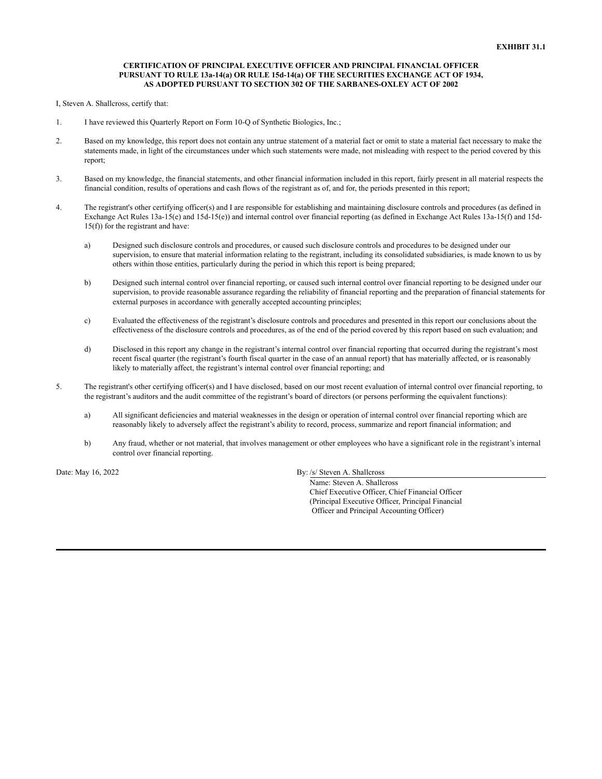## **CERTIFICATION OF PRINCIPAL EXECUTIVE OFFICER AND PRINCIPAL FINANCIAL OFFICER PURSUANT TO RULE 13a-14(a) OR RULE 15d-14(a) OF THE SECURITIES EXCHANGE ACT OF 1934, AS ADOPTED PURSUANT TO SECTION 302 OF THE SARBANES-OXLEY ACT OF 2002**

I, Steven A. Shallcross, certify that:

- 1. I have reviewed this Quarterly Report on Form 10-Q of Synthetic Biologics, Inc.;
- 2. Based on my knowledge, this report does not contain any untrue statement of a material fact or omit to state a material fact necessary to make the statements made, in light of the circumstances under which such statements were made, not misleading with respect to the period covered by this report;
- 3. Based on my knowledge, the financial statements, and other financial information included in this report, fairly present in all material respects the financial condition, results of operations and cash flows of the registrant as of, and for, the periods presented in this report;
- 4. The registrant's other certifying officer(s) and I are responsible for establishing and maintaining disclosure controls and procedures (as defined in Exchange Act Rules 13a-15(e) and 15d-15(e)) and internal control over financial reporting (as defined in Exchange Act Rules 13a-15(f) and 15d-15(f)) for the registrant and have:
	- a) Designed such disclosure controls and procedures, or caused such disclosure controls and procedures to be designed under our supervision, to ensure that material information relating to the registrant, including its consolidated subsidiaries, is made known to us by others within those entities, particularly during the period in which this report is being prepared;
	- b) Designed such internal control over financial reporting, or caused such internal control over financial reporting to be designed under our supervision, to provide reasonable assurance regarding the reliability of financial reporting and the preparation of financial statements for external purposes in accordance with generally accepted accounting principles;
	- c) Evaluated the effectiveness of the registrant's disclosure controls and procedures and presented in this report our conclusions about the effectiveness of the disclosure controls and procedures, as of the end of the period covered by this report based on such evaluation; and
	- d) Disclosed in this report any change in the registrant's internal control over financial reporting that occurred during the registrant's most recent fiscal quarter (the registrant's fourth fiscal quarter in the case of an annual report) that has materially affected, or is reasonably likely to materially affect, the registrant's internal control over financial reporting; and
- 5. The registrant's other certifying officer(s) and I have disclosed, based on our most recent evaluation of internal control over financial reporting, to the registrant's auditors and the audit committee of the registrant's board of directors (or persons performing the equivalent functions):
	- a) All significant deficiencies and material weaknesses in the design or operation of internal control over financial reporting which are reasonably likely to adversely affect the registrant's ability to record, process, summarize and report financial information; and
	- b) Any fraud, whether or not material, that involves management or other employees who have a significant role in the registrant's internal control over financial reporting.

Date: May 16, 2022 By: /s/ Steven A. Shallcross

Name: Steven A. Shallcross Chief Executive Officer, Chief Financial Officer (Principal Executive Officer, Principal Financial Officer and Principal Accounting Officer)